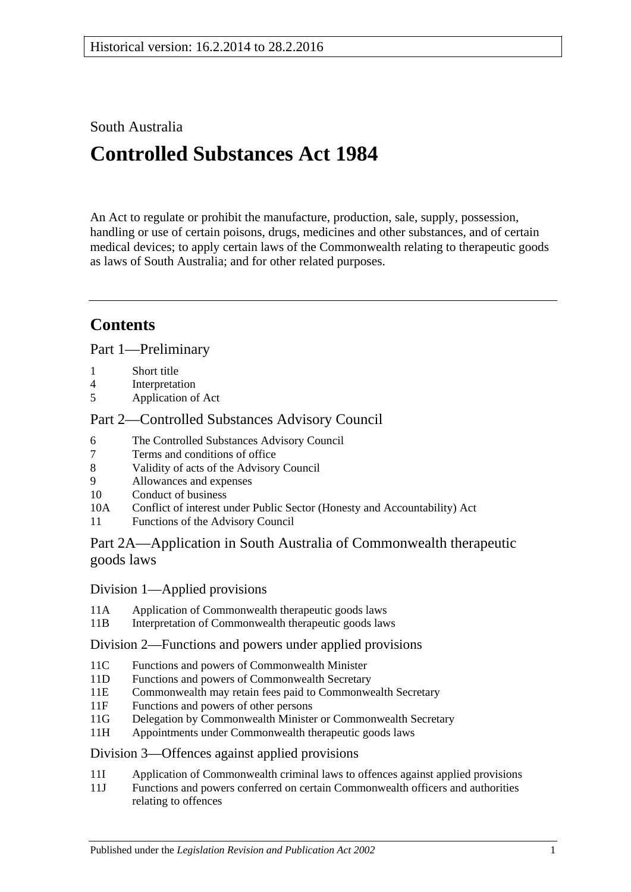## South Australia

# **Controlled Substances Act 1984**

An Act to regulate or prohibit the manufacture, production, sale, supply, possession, handling or use of certain poisons, drugs, medicines and other substances, and of certain medical devices; to apply certain laws of the Commonwealth relating to therapeutic goods as laws of South Australia; and for other related purposes.

## **Contents**

[Part 1—Preliminary](#page-3-0)

- 1 [Short title](#page-3-1)
- 4 [Interpretation](#page-3-2)
- 5 [Application of Act](#page-10-0)

## [Part 2—Controlled Substances Advisory Council](#page-10-1)

- 6 [The Controlled Substances Advisory Council](#page-10-2)
- 7 [Terms and conditions of office](#page-11-0)
- 8 [Validity of acts of the Advisory Council](#page-11-1)
- 9 [Allowances and expenses](#page-11-2)<br>10 Conduct of business
- [Conduct of business](#page-11-3)
- 10A Conflict of interest [under Public Sector \(Honesty and Accountability\) Act](#page-12-0)
- 11 [Functions of the Advisory Council](#page-12-1)

## [Part 2A—Application in South Australia of Commonwealth therapeutic](#page-13-0)  [goods laws](#page-13-0)

## Division [1—Applied provisions](#page-13-1)

- 11A [Application of Commonwealth therapeutic goods laws](#page-13-2)
- 11B [Interpretation of Commonwealth therapeutic goods laws](#page-13-3)

## Division [2—Functions and powers under applied provisions](#page-13-4)

- 11C [Functions and powers of Commonwealth Minister](#page-13-5)<br>11D Functions and powers of Commonwealth Secretary
- [Functions and powers of Commonwealth Secretary](#page-14-0)
- 11E [Commonwealth may retain fees paid to Commonwealth Secretary](#page-14-1)
- 11F [Functions and powers of other persons](#page-14-2)
- 11G [Delegation by Commonwealth Minister or Commonwealth Secretary](#page-14-3)
- 11H [Appointments under Commonwealth therapeutic goods laws](#page-14-4)

## Division [3—Offences against applied provisions](#page-14-5)

- 11I [Application of Commonwealth criminal laws to offences against applied provisions](#page-14-6)
- 11J [Functions and powers conferred on certain Commonwealth officers and authorities](#page-15-0)  [relating to offences](#page-15-0)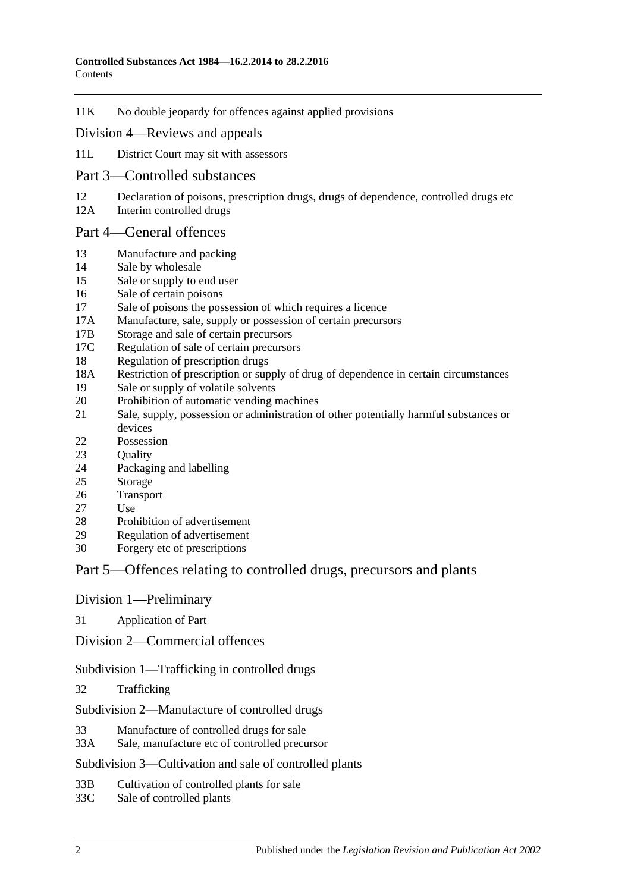11K [No double jeopardy for offences against applied provisions](#page-15-1)

#### Division [4—Reviews and appeals](#page-15-2)

- 11L [District Court may sit with assessors](#page-15-3)
- [Part 3—Controlled substances](#page-16-0)
- 12 [Declaration of poisons, prescription drugs, drugs of dependence, controlled drugs etc](#page-16-1)
- 12A [Interim controlled drugs](#page-16-2)

#### [Part 4—General offences](#page-17-0)

- 13 [Manufacture and packing](#page-17-1)
- 14 [Sale by wholesale](#page-17-2)
- 15 [Sale or supply to end user](#page-18-0)
- 16 [Sale of certain poisons](#page-18-1)
- 17 [Sale of poisons the possession of which requires a licence](#page-18-2)
- 17A [Manufacture, sale, supply or possession of certain precursors](#page-19-0)
- 17B [Storage and sale of certain precursors](#page-19-1)
- 17C [Regulation of sale of certain precursors](#page-20-0)
- 18 [Regulation of prescription drugs](#page-21-0)
- 18A [Restriction of prescription or supply of drug of dependence in certain circumstances](#page-24-0)
- 19 [Sale or supply of volatile solvents](#page-26-0)
- 20 [Prohibition of automatic vending machines](#page-26-1)
- 21 [Sale, supply, possession or administration of other potentially harmful substances or](#page-27-0)  [devices](#page-27-0)
- 22 [Possession](#page-27-1)
- 23 Ouality
- 24 [Packaging and](#page-27-3) labelling
- 25 [Storage](#page-28-0)
- 26 [Transport](#page-28-1)
- 27 [Use](#page-28-2)
- 28 [Prohibition of advertisement](#page-28-3)<br>29 Regulation of advertisement
- [Regulation of advertisement](#page-28-4)
- 30 Forgery [etc of prescriptions](#page-28-5)

## [Part 5—Offences relating to controlled drugs, precursors and plants](#page-29-0)

[Division 1—Preliminary](#page-29-1)

31 [Application of Part](#page-29-2)

[Division 2—Commercial offences](#page-31-0)

[Subdivision 1—Trafficking in controlled drugs](#page-31-1)

32 [Trafficking](#page-31-2)

[Subdivision 2—Manufacture of controlled drugs](#page-32-0)

- 33 [Manufacture of controlled drugs for sale](#page-32-1)
- 33A [Sale, manufacture etc of controlled precursor](#page-33-0)

[Subdivision 3—Cultivation and sale of controlled plants](#page-34-0)

33B [Cultivation of controlled plants for sale](#page-34-1)

33C [Sale of controlled plants](#page-35-0)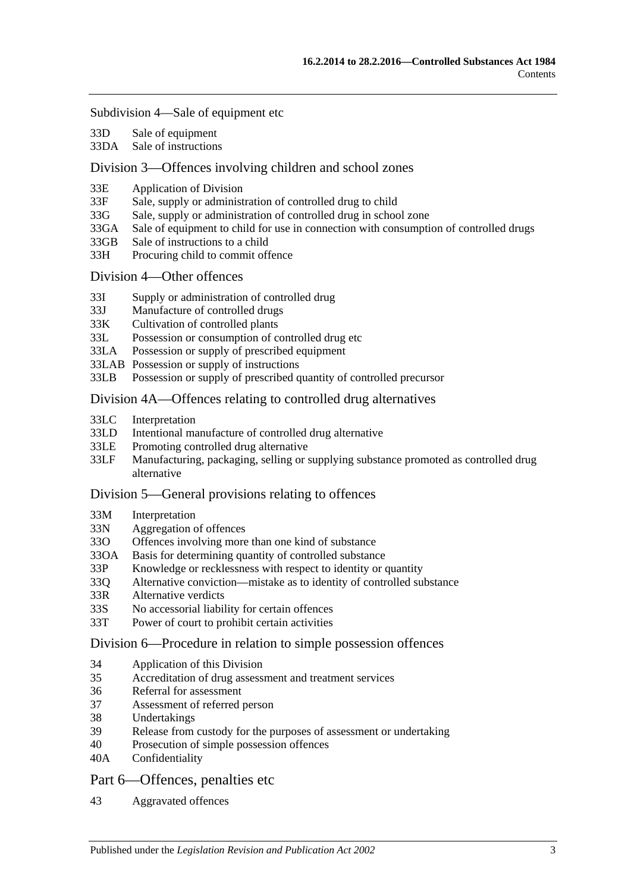#### [Subdivision 4—Sale of equipment etc](#page-36-0)

- 33D [Sale of equipment](#page-36-1)
- 33DA [Sale of instructions](#page-36-2)

#### [Division 3—Offences involving children and school zones](#page-36-3)

- 33E [Application of Division](#page-36-4)
- 33F [Sale, supply or administration of controlled drug to child](#page-37-0)
- 33G [Sale, supply or administration of controlled drug in school zone](#page-37-1)
- 33GA [Sale of equipment to child for use in connection with consumption of controlled drugs](#page-37-2)
- 33GB [Sale of instructions to a child](#page-37-3)
- 33H [Procuring child to commit offence](#page-38-0)

#### [Division 4—Other offences](#page-38-1)

- 33I [Supply or administration of controlled drug](#page-38-2)
- 33J [Manufacture of controlled drugs](#page-38-3)
- 33K [Cultivation of controlled plants](#page-39-0)
- 33L [Possession or consumption of controlled drug etc](#page-39-1)
- 33LA [Possession or supply of prescribed equipment](#page-40-0)
- 33LAB [Possession or supply of instructions](#page-40-1)
- 33LB [Possession or supply of prescribed quantity of controlled precursor](#page-40-2)

#### [Division 4A—Offences relating to controlled drug alternatives](#page-41-0)

- 33LC [Interpretation](#page-41-1)
- 33LD [Intentional manufacture of controlled drug alternative](#page-42-0)
- 33LE [Promoting controlled drug alternative](#page-42-1)
- 33LF [Manufacturing, packaging, selling or supplying substance promoted as controlled drug](#page-43-0)  [alternative](#page-43-0)

#### [Division 5—General provisions relating to offences](#page-43-1)

- 33M [Interpretation](#page-43-2)
- 33N [Aggregation of offences](#page-43-3)
- 33O [Offences involving more than one kind of substance](#page-44-0)
- 33OA [Basis for determining quantity of controlled substance](#page-45-0)
- 33P [Knowledge or recklessness with respect to identity or quantity](#page-46-0)
- 33Q [Alternative conviction—mistake as to identity of controlled substance](#page-46-1)
- 33R [Alternative verdicts](#page-46-2)
- 33S [No accessorial liability for certain offences](#page-46-3)
- 33T [Power of court to prohibit certain activities](#page-46-4)

#### [Division 6—Procedure in relation to simple possession offences](#page-47-0)

- 34 [Application of this Division](#page-47-1)
- 35 [Accreditation of drug assessment and treatment services](#page-47-2)
- 36 [Referral for assessment](#page-47-3)
- 37 [Assessment of referred person](#page-48-0)
- 38 [Undertakings](#page-49-0)
- 39 [Release from custody for the purposes of assessment or undertaking](#page-49-1)
- 40 [Prosecution of simple possession offences](#page-50-0)
- 40A [Confidentiality](#page-50-1)

#### [Part 6—Offences, penalties etc](#page-50-2)

43 [Aggravated offences](#page-50-3)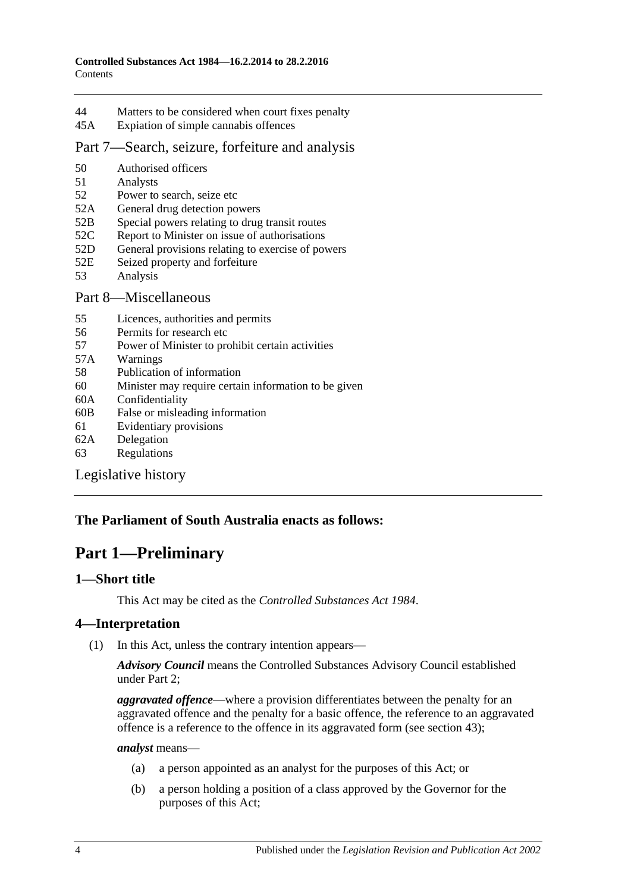- 44 [Matters to be considered when court fixes penalty](#page-51-0)
- 45A [Expiation of simple cannabis offences](#page-52-0)
- [Part 7—Search, seizure, forfeiture and analysis](#page-53-0)
- 50 [Authorised officers](#page-53-1)
- 51 [Analysts](#page-53-2)
- 52 [Power to search, seize etc](#page-53-3)
- 52A [General drug detection powers](#page-55-0)
- 52B [Special powers relating to drug transit routes](#page-56-0)
- 52C [Report to Minister on issue of authorisations](#page-57-0)
- 52D [General provisions relating to exercise of powers](#page-58-0)
- 52E [Seized property and forfeiture](#page-59-0)
- 53 [Analysis](#page-60-0)

### [Part 8—Miscellaneous](#page-61-0)

- 55 [Licences, authorities and permits](#page-61-1)
- 56 [Permits for research etc](#page-62-0)
- 57 [Power of Minister to prohibit certain activities](#page-62-1)
- 57A [Warnings](#page-62-2)
- 58 [Publication of information](#page-63-0)
- 60 [Minister may require certain information to be given](#page-64-0)
- 60A [Confidentiality](#page-64-1)
- 60B [False or misleading information](#page-65-0)
- 61 [Evidentiary provisions](#page-65-1)
- 62A [Delegation](#page-66-0)
- 63 [Regulations](#page-66-1)

[Legislative history](#page-68-0)

## <span id="page-3-0"></span>**The Parliament of South Australia enacts as follows:**

## **Part 1—Preliminary**

## <span id="page-3-1"></span>**1—Short title**

This Act may be cited as the *Controlled Substances Act 1984*.

## <span id="page-3-2"></span>**4—Interpretation**

(1) In this Act, unless the contrary intention appears—

*Advisory Council* means the Controlled Substances Advisory Council established under [Part 2;](#page-10-1)

*aggravated offence*—where a provision differentiates between the penalty for an aggravated offence and the penalty for a basic offence, the reference to an aggravated offence is a reference to the offence in its aggravated form (see [section](#page-50-3) 43);

*analyst* means—

- (a) a person appointed as an analyst for the purposes of this Act; or
- (b) a person holding a position of a class approved by the Governor for the purposes of this Act;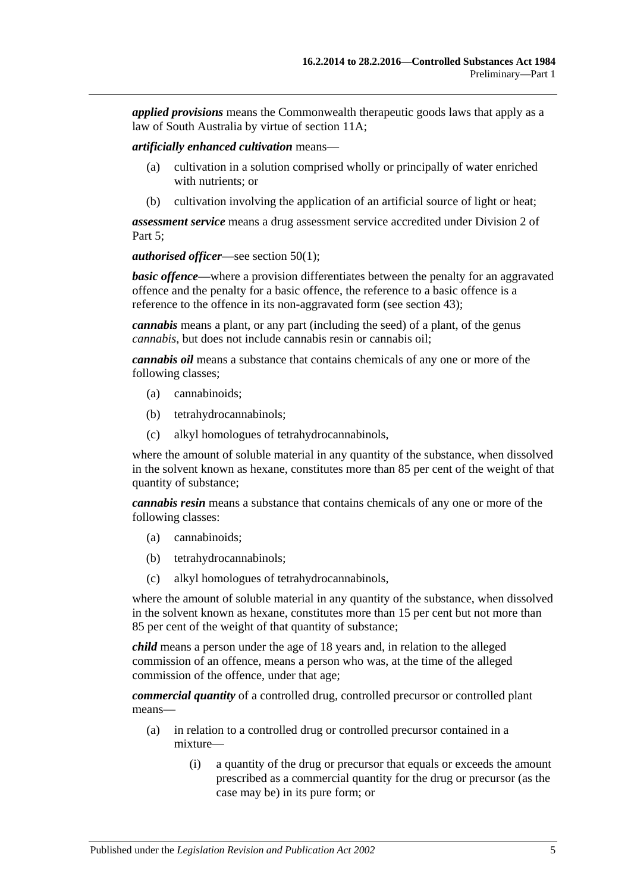*applied provisions* means the Commonwealth therapeutic goods laws that apply as a law of South Australia by virtue of [section](#page-13-2) 11A;

*artificially enhanced cultivation* means—

- (a) cultivation in a solution comprised wholly or principally of water enriched with nutrients; or
- (b) cultivation involving the application of an artificial source of light or heat;

*assessment service* means a drug assessment service accredited under [Division](#page-47-0) 2 of [Part 5;](#page-29-0)

*authorised officer*—see [section](#page-53-4) 50(1);

*basic offence***—where a provision differentiates between the penalty for an aggravated** offence and the penalty for a basic offence, the reference to a basic offence is a reference to the offence in its non-aggravated form (see [section](#page-50-3) 43);

*cannabis* means a plant, or any part (including the seed) of a plant, of the genus *cannabis*, but does not include cannabis resin or cannabis oil;

*cannabis oil* means a substance that contains chemicals of any one or more of the following classes;

- (a) cannabinoids;
- (b) tetrahydrocannabinols;
- (c) alkyl homologues of tetrahydrocannabinols,

where the amount of soluble material in any quantity of the substance, when dissolved in the solvent known as hexane, constitutes more than 85 per cent of the weight of that quantity of substance;

*cannabis resin* means a substance that contains chemicals of any one or more of the following classes:

- (a) cannabinoids;
- (b) tetrahydrocannabinols;
- (c) alkyl homologues of tetrahydrocannabinols,

where the amount of soluble material in any quantity of the substance, when dissolved in the solvent known as hexane, constitutes more than 15 per cent but not more than 85 per cent of the weight of that quantity of substance;

*child* means a person under the age of 18 years and, in relation to the alleged commission of an offence, means a person who was, at the time of the alleged commission of the offence, under that age;

*commercial quantity* of a controlled drug, controlled precursor or controlled plant means—

- (a) in relation to a controlled drug or controlled precursor contained in a mixture—
	- (i) a quantity of the drug or precursor that equals or exceeds the amount prescribed as a commercial quantity for the drug or precursor (as the case may be) in its pure form; or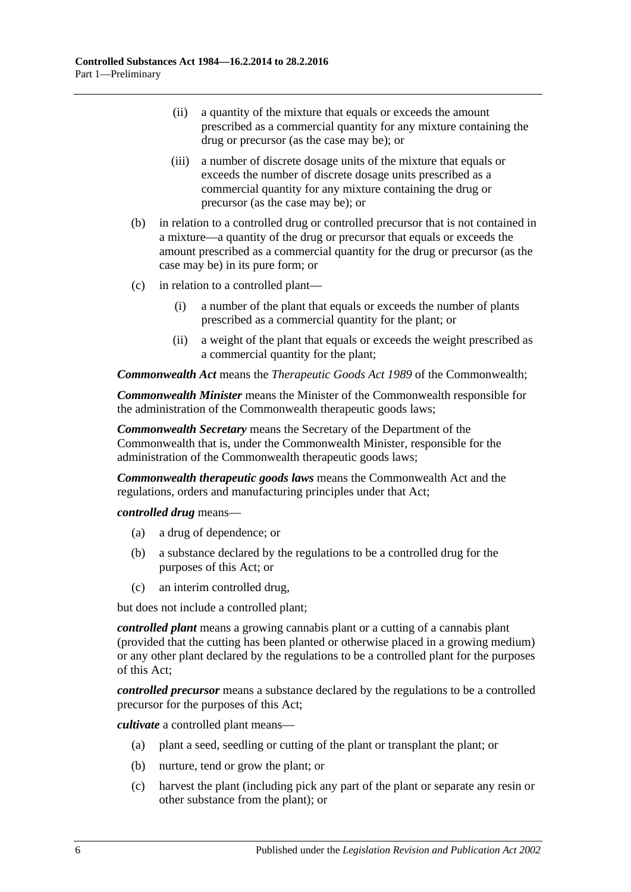- (ii) a quantity of the mixture that equals or exceeds the amount prescribed as a commercial quantity for any mixture containing the drug or precursor (as the case may be); or
- (iii) a number of discrete dosage units of the mixture that equals or exceeds the number of discrete dosage units prescribed as a commercial quantity for any mixture containing the drug or precursor (as the case may be); or
- (b) in relation to a controlled drug or controlled precursor that is not contained in a mixture—a quantity of the drug or precursor that equals or exceeds the amount prescribed as a commercial quantity for the drug or precursor (as the case may be) in its pure form; or
- (c) in relation to a controlled plant—
	- (i) a number of the plant that equals or exceeds the number of plants prescribed as a commercial quantity for the plant; or
	- (ii) a weight of the plant that equals or exceeds the weight prescribed as a commercial quantity for the plant;

*Commonwealth Act* means the *Therapeutic Goods Act 1989* of the Commonwealth;

*Commonwealth Minister* means the Minister of the Commonwealth responsible for the administration of the Commonwealth therapeutic goods laws;

*Commonwealth Secretary* means the Secretary of the Department of the Commonwealth that is, under the Commonwealth Minister, responsible for the administration of the Commonwealth therapeutic goods laws;

*Commonwealth therapeutic goods laws* means the Commonwealth Act and the regulations, orders and manufacturing principles under that Act;

*controlled drug* means—

- (a) a drug of dependence; or
- (b) a substance declared by the regulations to be a controlled drug for the purposes of this Act; or
- (c) an interim controlled drug,

but does not include a controlled plant;

*controlled plant* means a growing cannabis plant or a cutting of a cannabis plant (provided that the cutting has been planted or otherwise placed in a growing medium) or any other plant declared by the regulations to be a controlled plant for the purposes of this Act;

*controlled precursor* means a substance declared by the regulations to be a controlled precursor for the purposes of this Act;

*cultivate* a controlled plant means—

- (a) plant a seed, seedling or cutting of the plant or transplant the plant; or
- (b) nurture, tend or grow the plant; or
- (c) harvest the plant (including pick any part of the plant or separate any resin or other substance from the plant); or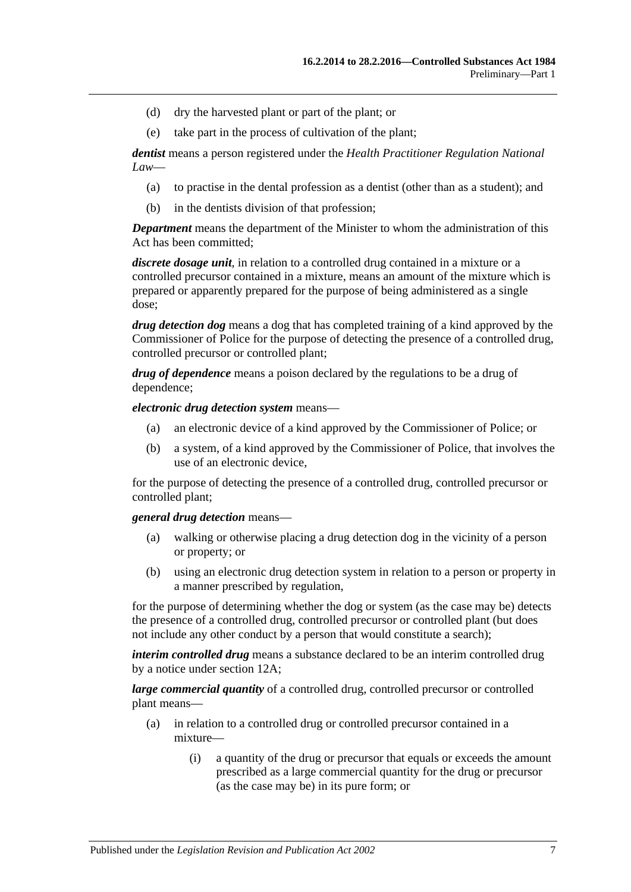- (d) dry the harvested plant or part of the plant; or
- (e) take part in the process of cultivation of the plant;

*dentist* means a person registered under the *Health Practitioner Regulation National Law*—

- (a) to practise in the dental profession as a dentist (other than as a student); and
- (b) in the dentists division of that profession;

*Department* means the department of the Minister to whom the administration of this Act has been committed;

*discrete dosage unit*, in relation to a controlled drug contained in a mixture or a controlled precursor contained in a mixture, means an amount of the mixture which is prepared or apparently prepared for the purpose of being administered as a single dose;

*drug detection dog* means a dog that has completed training of a kind approved by the Commissioner of Police for the purpose of detecting the presence of a controlled drug, controlled precursor or controlled plant;

*drug of dependence* means a poison declared by the regulations to be a drug of dependence;

*electronic drug detection system* means—

- (a) an electronic device of a kind approved by the Commissioner of Police; or
- (b) a system, of a kind approved by the Commissioner of Police, that involves the use of an electronic device,

for the purpose of detecting the presence of a controlled drug, controlled precursor or controlled plant;

#### *general drug detection* means—

- (a) walking or otherwise placing a drug detection dog in the vicinity of a person or property; or
- (b) using an electronic drug detection system in relation to a person or property in a manner prescribed by regulation,

for the purpose of determining whether the dog or system (as the case may be) detects the presence of a controlled drug, controlled precursor or controlled plant (but does not include any other conduct by a person that would constitute a search);

*interim controlled drug* means a substance declared to be an interim controlled drug by a notice under [section](#page-16-2) 12A;

*large commercial quantity* of a controlled drug, controlled precursor or controlled plant means—

- (a) in relation to a controlled drug or controlled precursor contained in a mixture—
	- (i) a quantity of the drug or precursor that equals or exceeds the amount prescribed as a large commercial quantity for the drug or precursor (as the case may be) in its pure form; or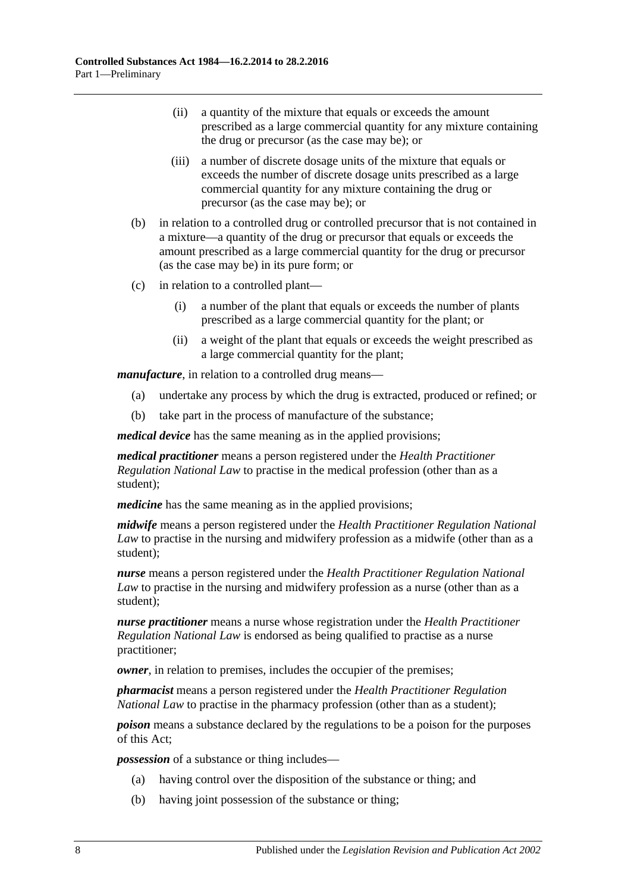- (ii) a quantity of the mixture that equals or exceeds the amount prescribed as a large commercial quantity for any mixture containing the drug or precursor (as the case may be); or
- (iii) a number of discrete dosage units of the mixture that equals or exceeds the number of discrete dosage units prescribed as a large commercial quantity for any mixture containing the drug or precursor (as the case may be); or
- (b) in relation to a controlled drug or controlled precursor that is not contained in a mixture—a quantity of the drug or precursor that equals or exceeds the amount prescribed as a large commercial quantity for the drug or precursor (as the case may be) in its pure form; or
- (c) in relation to a controlled plant—
	- (i) a number of the plant that equals or exceeds the number of plants prescribed as a large commercial quantity for the plant; or
	- (ii) a weight of the plant that equals or exceeds the weight prescribed as a large commercial quantity for the plant;

*manufacture*, in relation to a controlled drug means—

- (a) undertake any process by which the drug is extracted, produced or refined; or
- (b) take part in the process of manufacture of the substance;

*medical device* has the same meaning as in the applied provisions;

*medical practitioner* means a person registered under the *Health Practitioner Regulation National Law* to practise in the medical profession (other than as a student);

*medicine* has the same meaning as in the applied provisions;

*midwife* means a person registered under the *Health Practitioner Regulation National Law* to practise in the nursing and midwifery profession as a midwife (other than as a student);

*nurse* means a person registered under the *Health Practitioner Regulation National Law* to practise in the nursing and midwifery profession as a nurse (other than as a student);

*nurse practitioner* means a nurse whose registration under the *Health Practitioner Regulation National Law* is endorsed as being qualified to practise as a nurse practitioner;

*owner*, in relation to premises, includes the occupier of the premises;

*pharmacist* means a person registered under the *Health Practitioner Regulation National Law* to practise in the pharmacy profession (other than as a student);

*poison* means a substance declared by the regulations to be a poison for the purposes of this Act;

*possession* of a substance or thing includes—

- (a) having control over the disposition of the substance or thing; and
- (b) having joint possession of the substance or thing;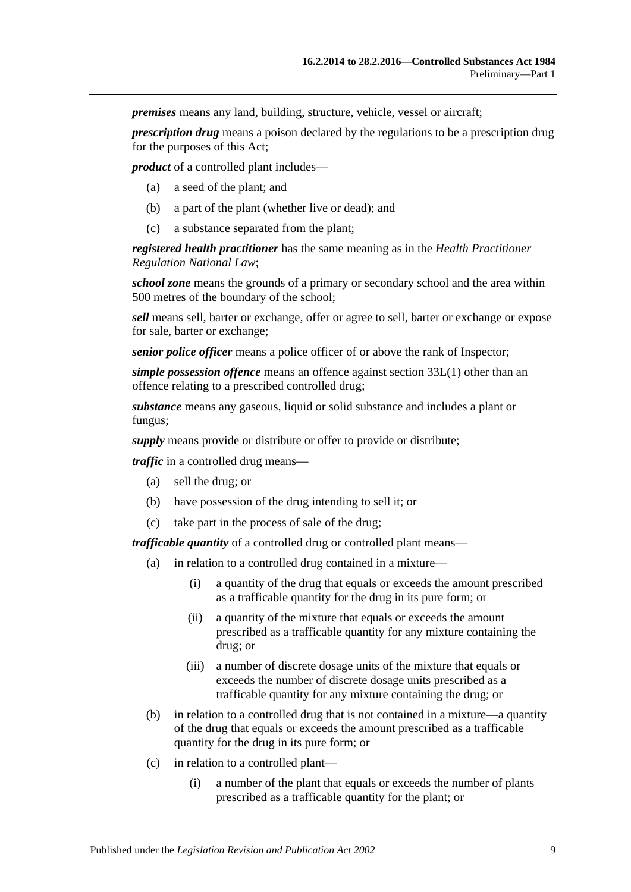*premises* means any land, building, structure, vehicle, vessel or aircraft;

*prescription drug* means a poison declared by the regulations to be a prescription drug for the purposes of this Act;

*product* of a controlled plant includes—

- (a) a seed of the plant; and
- (b) a part of the plant (whether live or dead); and
- (c) a substance separated from the plant;

*registered health practitioner* has the same meaning as in the *Health Practitioner Regulation National Law*;

*school zone* means the grounds of a primary or secondary school and the area within 500 metres of the boundary of the school;

*sell* means sell, barter or exchange, offer or agree to sell, barter or exchange or expose for sale, barter or exchange;

*senior police officer* means a police officer of or above the rank of Inspector;

*simple possession offence* means an offence against [section](#page-39-2) 33L(1) other than an offence relating to a prescribed controlled drug;

*substance* means any gaseous, liquid or solid substance and includes a plant or fungus;

*supply* means provide or distribute or offer to provide or distribute;

*traffic* in a controlled drug means—

- (a) sell the drug; or
- (b) have possession of the drug intending to sell it; or
- (c) take part in the process of sale of the drug;

*trafficable quantity* of a controlled drug or controlled plant means—

- (a) in relation to a controlled drug contained in a mixture—
	- (i) a quantity of the drug that equals or exceeds the amount prescribed as a trafficable quantity for the drug in its pure form; or
	- (ii) a quantity of the mixture that equals or exceeds the amount prescribed as a trafficable quantity for any mixture containing the drug; or
	- (iii) a number of discrete dosage units of the mixture that equals or exceeds the number of discrete dosage units prescribed as a trafficable quantity for any mixture containing the drug; or
- (b) in relation to a controlled drug that is not contained in a mixture—a quantity of the drug that equals or exceeds the amount prescribed as a trafficable quantity for the drug in its pure form; or
- (c) in relation to a controlled plant—
	- (i) a number of the plant that equals or exceeds the number of plants prescribed as a trafficable quantity for the plant; or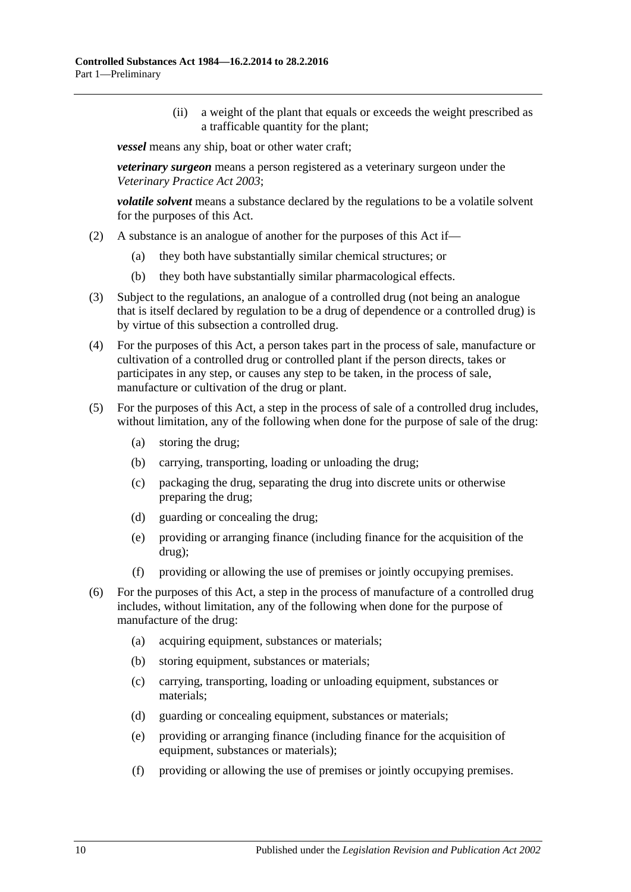(ii) a weight of the plant that equals or exceeds the weight prescribed as a trafficable quantity for the plant;

*vessel* means any ship, boat or other water craft;

*veterinary surgeon* means a person registered as a veterinary surgeon under the *[Veterinary Practice Act](http://www.legislation.sa.gov.au/index.aspx?action=legref&type=act&legtitle=Veterinary%20Practice%20Act%202003) 2003*;

*volatile solvent* means a substance declared by the regulations to be a volatile solvent for the purposes of this Act.

- (2) A substance is an analogue of another for the purposes of this Act if—
	- (a) they both have substantially similar chemical structures; or
	- (b) they both have substantially similar pharmacological effects.
- (3) Subject to the regulations, an analogue of a controlled drug (not being an analogue that is itself declared by regulation to be a drug of dependence or a controlled drug) is by virtue of this subsection a controlled drug.
- (4) For the purposes of this Act, a person takes part in the process of sale, manufacture or cultivation of a controlled drug or controlled plant if the person directs, takes or participates in any step, or causes any step to be taken, in the process of sale, manufacture or cultivation of the drug or plant.
- (5) For the purposes of this Act, a step in the process of sale of a controlled drug includes, without limitation, any of the following when done for the purpose of sale of the drug:
	- (a) storing the drug;
	- (b) carrying, transporting, loading or unloading the drug;
	- (c) packaging the drug, separating the drug into discrete units or otherwise preparing the drug;
	- (d) guarding or concealing the drug;
	- (e) providing or arranging finance (including finance for the acquisition of the drug);
	- (f) providing or allowing the use of premises or jointly occupying premises.
- (6) For the purposes of this Act, a step in the process of manufacture of a controlled drug includes, without limitation, any of the following when done for the purpose of manufacture of the drug:
	- (a) acquiring equipment, substances or materials;
	- (b) storing equipment, substances or materials;
	- (c) carrying, transporting, loading or unloading equipment, substances or materials;
	- (d) guarding or concealing equipment, substances or materials;
	- (e) providing or arranging finance (including finance for the acquisition of equipment, substances or materials);
	- (f) providing or allowing the use of premises or jointly occupying premises.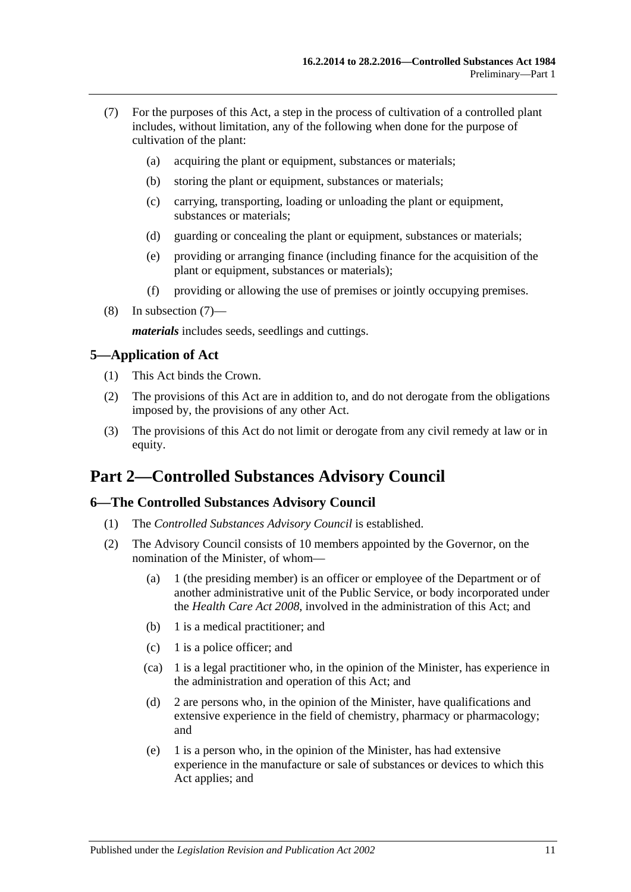- <span id="page-10-3"></span>(7) For the purposes of this Act, a step in the process of cultivation of a controlled plant includes, without limitation, any of the following when done for the purpose of cultivation of the plant:
	- (a) acquiring the plant or equipment, substances or materials;
	- (b) storing the plant or equipment, substances or materials;
	- (c) carrying, transporting, loading or unloading the plant or equipment, substances or materials;
	- (d) guarding or concealing the plant or equipment, substances or materials;
	- (e) providing or arranging finance (including finance for the acquisition of the plant or equipment, substances or materials);
	- (f) providing or allowing the use of premises or jointly occupying premises.
- (8) In [subsection](#page-10-3) (7)—

*materials* includes seeds, seedlings and cuttings.

### <span id="page-10-0"></span>**5—Application of Act**

- (1) This Act binds the Crown.
- (2) The provisions of this Act are in addition to, and do not derogate from the obligations imposed by, the provisions of any other Act.
- (3) The provisions of this Act do not limit or derogate from any civil remedy at law or in equity.

## <span id="page-10-1"></span>**Part 2—Controlled Substances Advisory Council**

## <span id="page-10-2"></span>**6—The Controlled Substances Advisory Council**

- (1) The *Controlled Substances Advisory Council* is established.
- (2) The Advisory Council consists of 10 members appointed by the Governor, on the nomination of the Minister, of whom—
	- (a) 1 (the presiding member) is an officer or employee of the Department or of another administrative unit of the Public Service, or body incorporated under the *[Health Care Act](http://www.legislation.sa.gov.au/index.aspx?action=legref&type=act&legtitle=Health%20Care%20Act%202008) 2008*, involved in the administration of this Act; and
	- (b) 1 is a medical practitioner; and
	- (c) 1 is a police officer; and
	- (ca) 1 is a legal practitioner who, in the opinion of the Minister, has experience in the administration and operation of this Act; and
	- (d) 2 are persons who, in the opinion of the Minister, have qualifications and extensive experience in the field of chemistry, pharmacy or pharmacology; and
	- (e) 1 is a person who, in the opinion of the Minister, has had extensive experience in the manufacture or sale of substances or devices to which this Act applies; and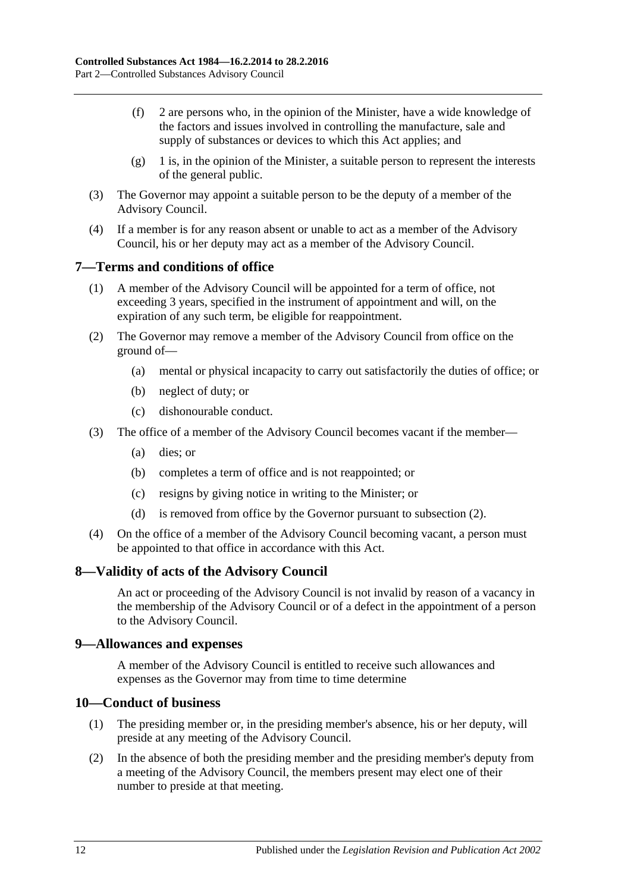- (f) 2 are persons who, in the opinion of the Minister, have a wide knowledge of the factors and issues involved in controlling the manufacture, sale and supply of substances or devices to which this Act applies; and
- $(g)$  1 is, in the opinion of the Minister, a suitable person to represent the interests of the general public.
- (3) The Governor may appoint a suitable person to be the deputy of a member of the Advisory Council.
- (4) If a member is for any reason absent or unable to act as a member of the Advisory Council, his or her deputy may act as a member of the Advisory Council.

## <span id="page-11-0"></span>**7—Terms and conditions of office**

- (1) A member of the Advisory Council will be appointed for a term of office, not exceeding 3 years, specified in the instrument of appointment and will, on the expiration of any such term, be eligible for reappointment.
- <span id="page-11-4"></span>(2) The Governor may remove a member of the Advisory Council from office on the ground of—
	- (a) mental or physical incapacity to carry out satisfactorily the duties of office; or
	- (b) neglect of duty; or
	- (c) dishonourable conduct.
- (3) The office of a member of the Advisory Council becomes vacant if the member—
	- (a) dies; or
	- (b) completes a term of office and is not reappointed; or
	- (c) resigns by giving notice in writing to the Minister; or
	- (d) is removed from office by the Governor pursuant to [subsection](#page-11-4) (2).
- (4) On the office of a member of the Advisory Council becoming vacant, a person must be appointed to that office in accordance with this Act.

#### <span id="page-11-1"></span>**8—Validity of acts of the Advisory Council**

An act or proceeding of the Advisory Council is not invalid by reason of a vacancy in the membership of the Advisory Council or of a defect in the appointment of a person to the Advisory Council.

#### <span id="page-11-2"></span>**9—Allowances and expenses**

A member of the Advisory Council is entitled to receive such allowances and expenses as the Governor may from time to time determine

#### <span id="page-11-3"></span>**10—Conduct of business**

- (1) The presiding member or, in the presiding member's absence, his or her deputy, will preside at any meeting of the Advisory Council.
- (2) In the absence of both the presiding member and the presiding member's deputy from a meeting of the Advisory Council, the members present may elect one of their number to preside at that meeting.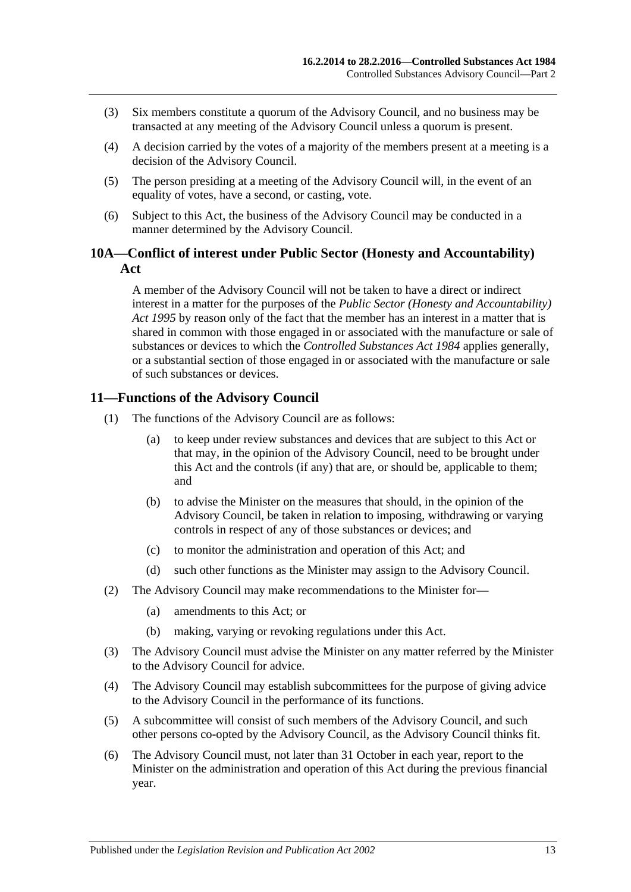- (3) Six members constitute a quorum of the Advisory Council, and no business may be transacted at any meeting of the Advisory Council unless a quorum is present.
- (4) A decision carried by the votes of a majority of the members present at a meeting is a decision of the Advisory Council.
- (5) The person presiding at a meeting of the Advisory Council will, in the event of an equality of votes, have a second, or casting, vote.
- (6) Subject to this Act, the business of the Advisory Council may be conducted in a manner determined by the Advisory Council.

### <span id="page-12-0"></span>**10A—Conflict of interest under Public Sector (Honesty and Accountability) Act**

A member of the Advisory Council will not be taken to have a direct or indirect interest in a matter for the purposes of the *[Public Sector \(Honesty and Accountability\)](http://www.legislation.sa.gov.au/index.aspx?action=legref&type=act&legtitle=Public%20Sector%20(Honesty%20and%20Accountability)%20Act%201995)  Act [1995](http://www.legislation.sa.gov.au/index.aspx?action=legref&type=act&legtitle=Public%20Sector%20(Honesty%20and%20Accountability)%20Act%201995)* by reason only of the fact that the member has an interest in a matter that is shared in common with those engaged in or associated with the manufacture or sale of substances or devices to which the *[Controlled Substances Act](http://www.legislation.sa.gov.au/index.aspx?action=legref&type=act&legtitle=Controlled%20Substances%20Act%201984) 1984* applies generally, or a substantial section of those engaged in or associated with the manufacture or sale of such substances or devices.

## <span id="page-12-1"></span>**11—Functions of the Advisory Council**

- (1) The functions of the Advisory Council are as follows:
	- (a) to keep under review substances and devices that are subject to this Act or that may, in the opinion of the Advisory Council, need to be brought under this Act and the controls (if any) that are, or should be, applicable to them; and
	- (b) to advise the Minister on the measures that should, in the opinion of the Advisory Council, be taken in relation to imposing, withdrawing or varying controls in respect of any of those substances or devices; and
	- (c) to monitor the administration and operation of this Act; and
	- (d) such other functions as the Minister may assign to the Advisory Council.
- (2) The Advisory Council may make recommendations to the Minister for—
	- (a) amendments to this Act; or
	- (b) making, varying or revoking regulations under this Act.
- (3) The Advisory Council must advise the Minister on any matter referred by the Minister to the Advisory Council for advice.
- (4) The Advisory Council may establish subcommittees for the purpose of giving advice to the Advisory Council in the performance of its functions.
- (5) A subcommittee will consist of such members of the Advisory Council, and such other persons co-opted by the Advisory Council, as the Advisory Council thinks fit.
- <span id="page-12-2"></span>(6) The Advisory Council must, not later than 31 October in each year, report to the Minister on the administration and operation of this Act during the previous financial year.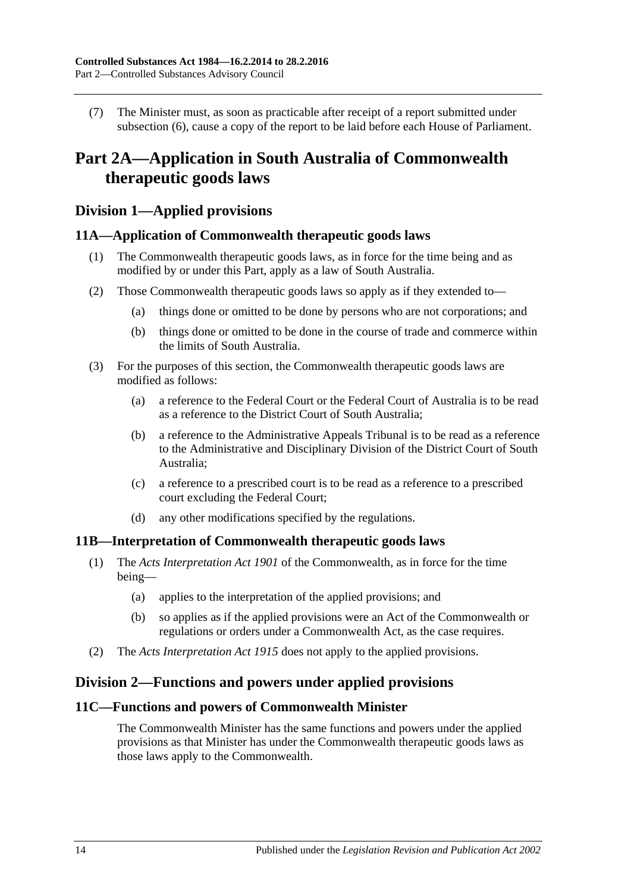(7) The Minister must, as soon as practicable after receipt of a report submitted under [subsection](#page-12-2) (6), cause a copy of the report to be laid before each House of Parliament.

## <span id="page-13-0"></span>**Part 2A—Application in South Australia of Commonwealth therapeutic goods laws**

## <span id="page-13-1"></span>**Division 1—Applied provisions**

## <span id="page-13-2"></span>**11A—Application of Commonwealth therapeutic goods laws**

- (1) The Commonwealth therapeutic goods laws, as in force for the time being and as modified by or under this Part, apply as a law of South Australia.
- (2) Those Commonwealth therapeutic goods laws so apply as if they extended to—
	- (a) things done or omitted to be done by persons who are not corporations; and
	- (b) things done or omitted to be done in the course of trade and commerce within the limits of South Australia.
- (3) For the purposes of this section, the Commonwealth therapeutic goods laws are modified as follows:
	- (a) a reference to the Federal Court or the Federal Court of Australia is to be read as a reference to the District Court of South Australia;
	- (b) a reference to the Administrative Appeals Tribunal is to be read as a reference to the Administrative and Disciplinary Division of the District Court of South Australia;
	- (c) a reference to a prescribed court is to be read as a reference to a prescribed court excluding the Federal Court;
	- (d) any other modifications specified by the regulations.

#### <span id="page-13-3"></span>**11B—Interpretation of Commonwealth therapeutic goods laws**

- (1) The *Acts Interpretation Act 1901* of the Commonwealth, as in force for the time being—
	- (a) applies to the interpretation of the applied provisions; and
	- (b) so applies as if the applied provisions were an Act of the Commonwealth or regulations or orders under a Commonwealth Act, as the case requires.
- (2) The *[Acts Interpretation Act](http://www.legislation.sa.gov.au/index.aspx?action=legref&type=act&legtitle=Acts%20Interpretation%20Act%201915) 1915* does not apply to the applied provisions.

## <span id="page-13-4"></span>**Division 2—Functions and powers under applied provisions**

### <span id="page-13-5"></span>**11C—Functions and powers of Commonwealth Minister**

The Commonwealth Minister has the same functions and powers under the applied provisions as that Minister has under the Commonwealth therapeutic goods laws as those laws apply to the Commonwealth.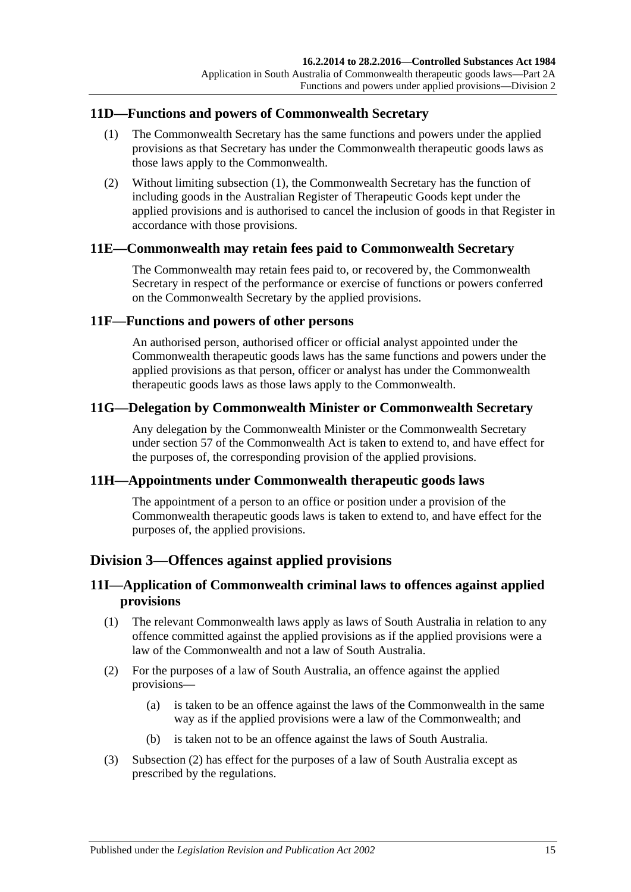## <span id="page-14-7"></span><span id="page-14-0"></span>**11D—Functions and powers of Commonwealth Secretary**

- (1) The Commonwealth Secretary has the same functions and powers under the applied provisions as that Secretary has under the Commonwealth therapeutic goods laws as those laws apply to the Commonwealth.
- (2) Without limiting [subsection](#page-14-7) (1), the Commonwealth Secretary has the function of including goods in the Australian Register of Therapeutic Goods kept under the applied provisions and is authorised to cancel the inclusion of goods in that Register in accordance with those provisions.

### <span id="page-14-1"></span>**11E—Commonwealth may retain fees paid to Commonwealth Secretary**

The Commonwealth may retain fees paid to, or recovered by, the Commonwealth Secretary in respect of the performance or exercise of functions or powers conferred on the Commonwealth Secretary by the applied provisions.

#### <span id="page-14-2"></span>**11F—Functions and powers of other persons**

An authorised person, authorised officer or official analyst appointed under the Commonwealth therapeutic goods laws has the same functions and powers under the applied provisions as that person, officer or analyst has under the Commonwealth therapeutic goods laws as those laws apply to the Commonwealth.

### <span id="page-14-3"></span>**11G—Delegation by Commonwealth Minister or Commonwealth Secretary**

Any delegation by the Commonwealth Minister or the Commonwealth Secretary under section 57 of the Commonwealth Act is taken to extend to, and have effect for the purposes of, the corresponding provision of the applied provisions.

#### <span id="page-14-4"></span>**11H—Appointments under Commonwealth therapeutic goods laws**

The appointment of a person to an office or position under a provision of the Commonwealth therapeutic goods laws is taken to extend to, and have effect for the purposes of, the applied provisions.

## <span id="page-14-5"></span>**Division 3—Offences against applied provisions**

## <span id="page-14-6"></span>**11I—Application of Commonwealth criminal laws to offences against applied provisions**

- (1) The relevant Commonwealth laws apply as laws of South Australia in relation to any offence committed against the applied provisions as if the applied provisions were a law of the Commonwealth and not a law of South Australia.
- <span id="page-14-8"></span>(2) For the purposes of a law of South Australia, an offence against the applied provisions—
	- (a) is taken to be an offence against the laws of the Commonwealth in the same way as if the applied provisions were a law of the Commonwealth; and
	- (b) is taken not to be an offence against the laws of South Australia.
- (3) [Subsection](#page-14-8) (2) has effect for the purposes of a law of South Australia except as prescribed by the regulations.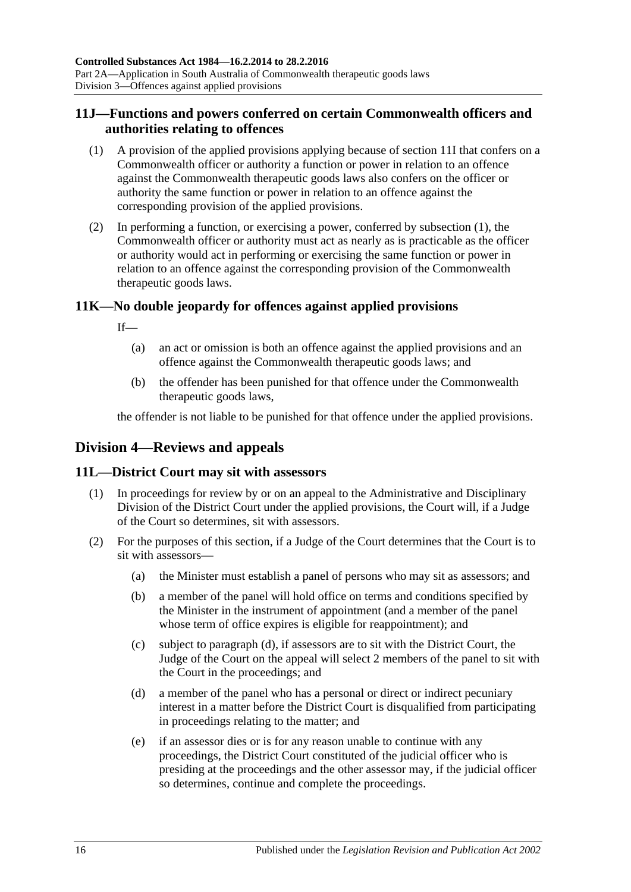## <span id="page-15-0"></span>**11J—Functions and powers conferred on certain Commonwealth officers and authorities relating to offences**

- <span id="page-15-4"></span>(1) A provision of the applied provisions applying because of [section](#page-14-6) 11I that confers on a Commonwealth officer or authority a function or power in relation to an offence against the Commonwealth therapeutic goods laws also confers on the officer or authority the same function or power in relation to an offence against the corresponding provision of the applied provisions.
- (2) In performing a function, or exercising a power, conferred by [subsection](#page-15-4) (1), the Commonwealth officer or authority must act as nearly as is practicable as the officer or authority would act in performing or exercising the same function or power in relation to an offence against the corresponding provision of the Commonwealth therapeutic goods laws.

## <span id="page-15-1"></span>**11K—No double jeopardy for offences against applied provisions**

If—

- (a) an act or omission is both an offence against the applied provisions and an offence against the Commonwealth therapeutic goods laws; and
- (b) the offender has been punished for that offence under the Commonwealth therapeutic goods laws,

the offender is not liable to be punished for that offence under the applied provisions.

## <span id="page-15-2"></span>**Division 4—Reviews and appeals**

## <span id="page-15-3"></span>**11L—District Court may sit with assessors**

- (1) In proceedings for review by or on an appeal to the Administrative and Disciplinary Division of the District Court under the applied provisions, the Court will, if a Judge of the Court so determines, sit with assessors.
- <span id="page-15-5"></span>(2) For the purposes of this section, if a Judge of the Court determines that the Court is to sit with assessors—
	- (a) the Minister must establish a panel of persons who may sit as assessors; and
	- (b) a member of the panel will hold office on terms and conditions specified by the Minister in the instrument of appointment (and a member of the panel whose term of office expires is eligible for reappointment); and
	- (c) subject to [paragraph](#page-15-5) (d), if assessors are to sit with the District Court, the Judge of the Court on the appeal will select 2 members of the panel to sit with the Court in the proceedings; and
	- (d) a member of the panel who has a personal or direct or indirect pecuniary interest in a matter before the District Court is disqualified from participating in proceedings relating to the matter; and
	- (e) if an assessor dies or is for any reason unable to continue with any proceedings, the District Court constituted of the judicial officer who is presiding at the proceedings and the other assessor may, if the judicial officer so determines, continue and complete the proceedings.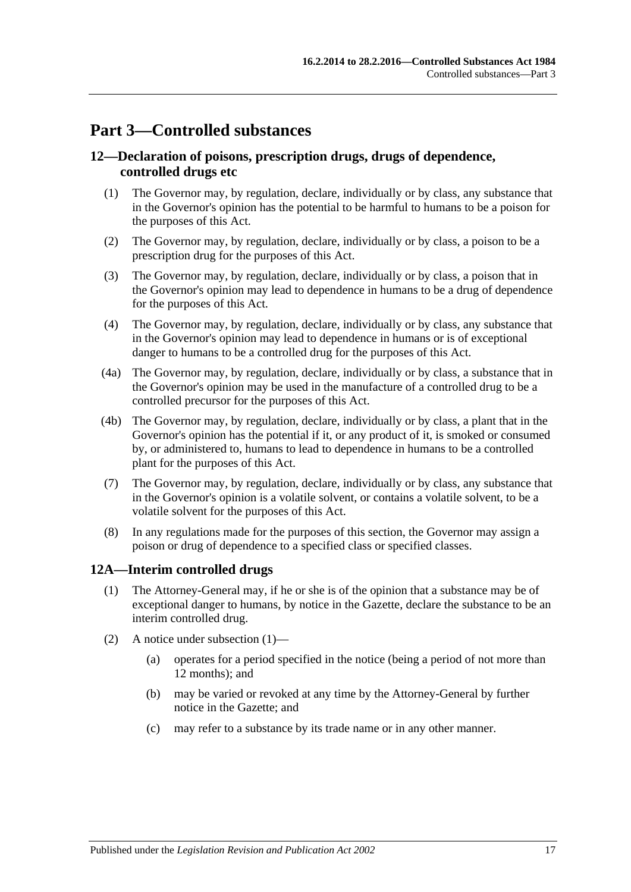## <span id="page-16-0"></span>**Part 3—Controlled substances**

## <span id="page-16-1"></span>**12—Declaration of poisons, prescription drugs, drugs of dependence, controlled drugs etc**

- (1) The Governor may, by regulation, declare, individually or by class, any substance that in the Governor's opinion has the potential to be harmful to humans to be a poison for the purposes of this Act.
- (2) The Governor may, by regulation, declare, individually or by class, a poison to be a prescription drug for the purposes of this Act.
- (3) The Governor may, by regulation, declare, individually or by class, a poison that in the Governor's opinion may lead to dependence in humans to be a drug of dependence for the purposes of this Act.
- (4) The Governor may, by regulation, declare, individually or by class, any substance that in the Governor's opinion may lead to dependence in humans or is of exceptional danger to humans to be a controlled drug for the purposes of this Act.
- (4a) The Governor may, by regulation, declare, individually or by class, a substance that in the Governor's opinion may be used in the manufacture of a controlled drug to be a controlled precursor for the purposes of this Act.
- (4b) The Governor may, by regulation, declare, individually or by class, a plant that in the Governor's opinion has the potential if it, or any product of it, is smoked or consumed by, or administered to, humans to lead to dependence in humans to be a controlled plant for the purposes of this Act.
- (7) The Governor may, by regulation, declare, individually or by class, any substance that in the Governor's opinion is a volatile solvent, or contains a volatile solvent, to be a volatile solvent for the purposes of this Act.
- (8) In any regulations made for the purposes of this section, the Governor may assign a poison or drug of dependence to a specified class or specified classes.

## <span id="page-16-3"></span><span id="page-16-2"></span>**12A—Interim controlled drugs**

- (1) The Attorney-General may, if he or she is of the opinion that a substance may be of exceptional danger to humans, by notice in the Gazette, declare the substance to be an interim controlled drug.
- (2) A notice under [subsection](#page-16-3) (1)—
	- (a) operates for a period specified in the notice (being a period of not more than 12 months); and
	- (b) may be varied or revoked at any time by the Attorney-General by further notice in the Gazette; and
	- (c) may refer to a substance by its trade name or in any other manner.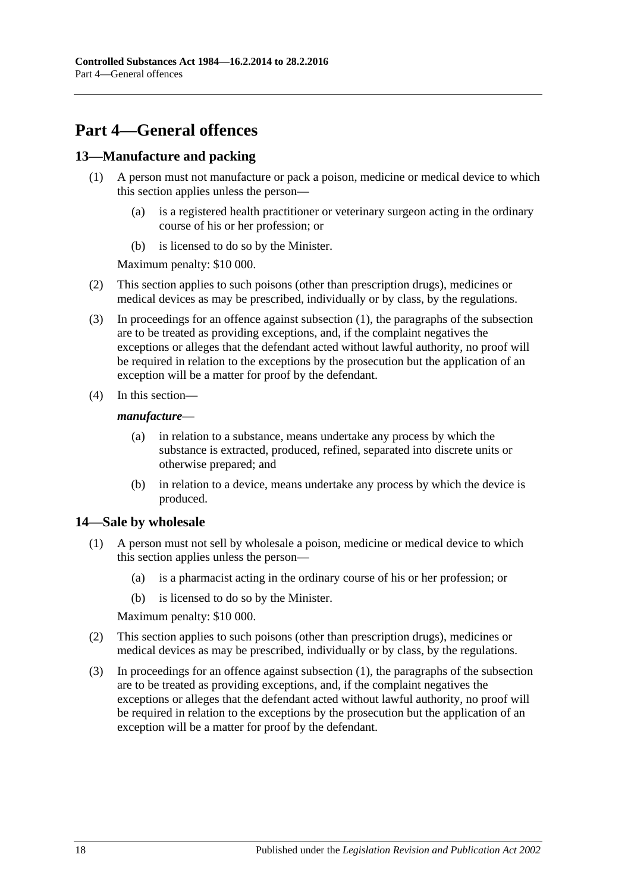## <span id="page-17-0"></span>**Part 4—General offences**

## <span id="page-17-3"></span><span id="page-17-1"></span>**13—Manufacture and packing**

- (1) A person must not manufacture or pack a poison, medicine or medical device to which this section applies unless the person—
	- (a) is a registered health practitioner or veterinary surgeon acting in the ordinary course of his or her profession; or
	- (b) is licensed to do so by the Minister.

Maximum penalty: \$10 000.

- (2) This section applies to such poisons (other than prescription drugs), medicines or medical devices as may be prescribed, individually or by class, by the regulations.
- (3) In proceedings for an offence against [subsection](#page-17-3) (1), the paragraphs of the subsection are to be treated as providing exceptions, and, if the complaint negatives the exceptions or alleges that the defendant acted without lawful authority, no proof will be required in relation to the exceptions by the prosecution but the application of an exception will be a matter for proof by the defendant.
- (4) In this section—

#### *manufacture*—

- (a) in relation to a substance, means undertake any process by which the substance is extracted, produced, refined, separated into discrete units or otherwise prepared; and
- (b) in relation to a device, means undertake any process by which the device is produced.

## <span id="page-17-4"></span><span id="page-17-2"></span>**14—Sale by wholesale**

- (1) A person must not sell by wholesale a poison, medicine or medical device to which this section applies unless the person—
	- (a) is a pharmacist acting in the ordinary course of his or her profession; or
	- (b) is licensed to do so by the Minister.

Maximum penalty: \$10 000.

- (2) This section applies to such poisons (other than prescription drugs), medicines or medical devices as may be prescribed, individually or by class, by the regulations.
- (3) In proceedings for an offence against [subsection](#page-17-4) (1), the paragraphs of the subsection are to be treated as providing exceptions, and, if the complaint negatives the exceptions or alleges that the defendant acted without lawful authority, no proof will be required in relation to the exceptions by the prosecution but the application of an exception will be a matter for proof by the defendant.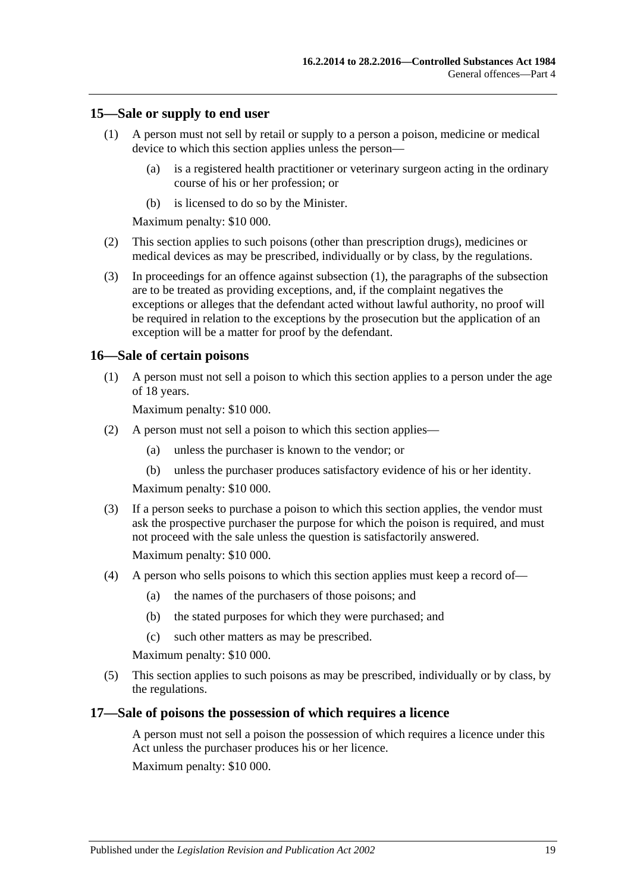#### <span id="page-18-3"></span><span id="page-18-0"></span>**15—Sale or supply to end user**

- (1) A person must not sell by retail or supply to a person a poison, medicine or medical device to which this section applies unless the person—
	- (a) is a registered health practitioner or veterinary surgeon acting in the ordinary course of his or her profession; or
	- (b) is licensed to do so by the Minister.

Maximum penalty: \$10 000.

- (2) This section applies to such poisons (other than prescription drugs), medicines or medical devices as may be prescribed, individually or by class, by the regulations.
- (3) In proceedings for an offence against [subsection](#page-18-3) (1), the paragraphs of the subsection are to be treated as providing exceptions, and, if the complaint negatives the exceptions or alleges that the defendant acted without lawful authority, no proof will be required in relation to the exceptions by the prosecution but the application of an exception will be a matter for proof by the defendant.

#### <span id="page-18-1"></span>**16—Sale of certain poisons**

(1) A person must not sell a poison to which this section applies to a person under the age of 18 years.

Maximum penalty: \$10 000.

- (2) A person must not sell a poison to which this section applies—
	- (a) unless the purchaser is known to the vendor; or
	- (b) unless the purchaser produces satisfactory evidence of his or her identity.

Maximum penalty: \$10 000.

(3) If a person seeks to purchase a poison to which this section applies, the vendor must ask the prospective purchaser the purpose for which the poison is required, and must not proceed with the sale unless the question is satisfactorily answered.

Maximum penalty: \$10 000.

- (4) A person who sells poisons to which this section applies must keep a record of—
	- (a) the names of the purchasers of those poisons; and
	- (b) the stated purposes for which they were purchased; and
	- (c) such other matters as may be prescribed.

Maximum penalty: \$10 000.

(5) This section applies to such poisons as may be prescribed, individually or by class, by the regulations.

### <span id="page-18-2"></span>**17—Sale of poisons the possession of which requires a licence**

A person must not sell a poison the possession of which requires a licence under this Act unless the purchaser produces his or her licence.

Maximum penalty: \$10 000.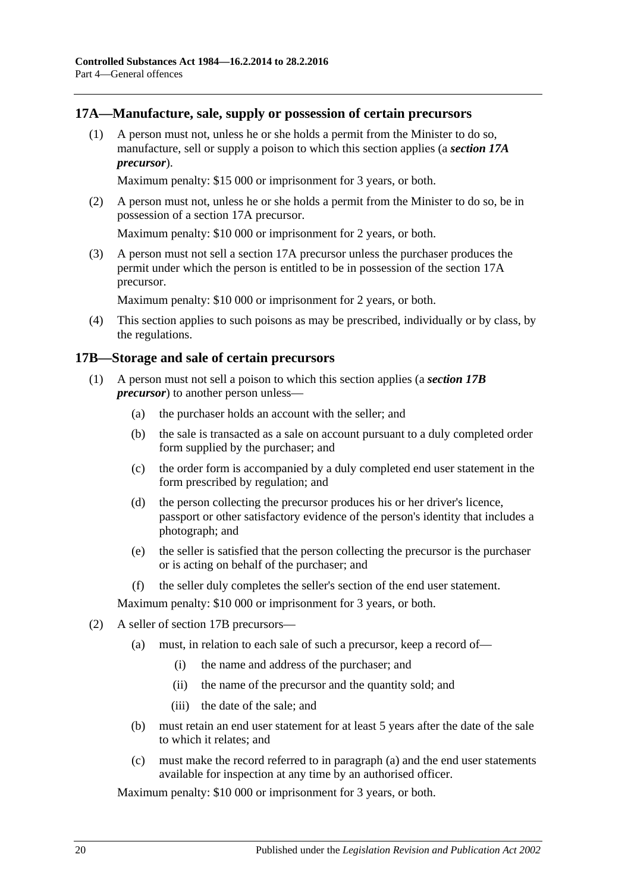### <span id="page-19-0"></span>**17A—Manufacture, sale, supply or possession of certain precursors**

(1) A person must not, unless he or she holds a permit from the Minister to do so, manufacture, sell or supply a poison to which this section applies (a *section 17A precursor*).

Maximum penalty: \$15 000 or imprisonment for 3 years, or both.

(2) A person must not, unless he or she holds a permit from the Minister to do so, be in possession of a section 17A precursor.

Maximum penalty: \$10 000 or imprisonment for 2 years, or both.

(3) A person must not sell a section 17A precursor unless the purchaser produces the permit under which the person is entitled to be in possession of the section 17A precursor.

Maximum penalty: \$10 000 or imprisonment for 2 years, or both.

(4) This section applies to such poisons as may be prescribed, individually or by class, by the regulations.

### <span id="page-19-1"></span>**17B—Storage and sale of certain precursors**

- (1) A person must not sell a poison to which this section applies (a *section 17B precursor*) to another person unless—
	- (a) the purchaser holds an account with the seller; and
	- (b) the sale is transacted as a sale on account pursuant to a duly completed order form supplied by the purchaser; and
	- (c) the order form is accompanied by a duly completed end user statement in the form prescribed by regulation; and
	- (d) the person collecting the precursor produces his or her driver's licence, passport or other satisfactory evidence of the person's identity that includes a photograph; and
	- (e) the seller is satisfied that the person collecting the precursor is the purchaser or is acting on behalf of the purchaser; and
	- (f) the seller duly completes the seller's section of the end user statement.

Maximum penalty: \$10 000 or imprisonment for 3 years, or both.

- <span id="page-19-2"></span>(2) A seller of section 17B precursors—
	- (a) must, in relation to each sale of such a precursor, keep a record of—
		- (i) the name and address of the purchaser; and
		- (ii) the name of the precursor and the quantity sold; and
		- (iii) the date of the sale; and
	- (b) must retain an end user statement for at least 5 years after the date of the sale to which it relates; and
	- (c) must make the record referred to in [paragraph](#page-19-2) (a) and the end user statements available for inspection at any time by an authorised officer.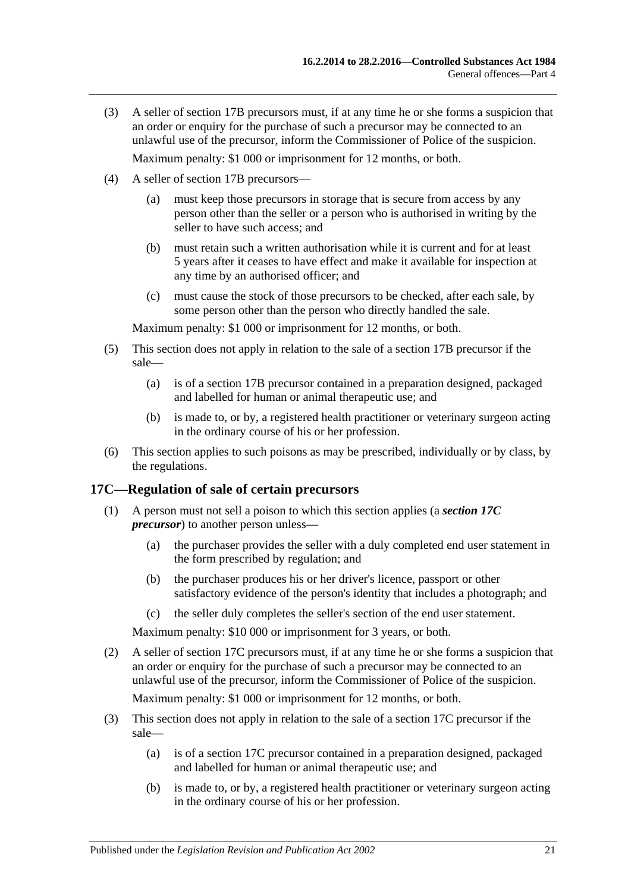- (3) A seller of section 17B precursors must, if at any time he or she forms a suspicion that an order or enquiry for the purchase of such a precursor may be connected to an unlawful use of the precursor, inform the Commissioner of Police of the suspicion. Maximum penalty: \$1 000 or imprisonment for 12 months, or both.
- (4) A seller of section 17B precursors—
	- (a) must keep those precursors in storage that is secure from access by any person other than the seller or a person who is authorised in writing by the seller to have such access: and
	- (b) must retain such a written authorisation while it is current and for at least 5 years after it ceases to have effect and make it available for inspection at any time by an authorised officer; and
	- (c) must cause the stock of those precursors to be checked, after each sale, by some person other than the person who directly handled the sale.

Maximum penalty: \$1 000 or imprisonment for 12 months, or both.

- (5) This section does not apply in relation to the sale of a section 17B precursor if the sale—
	- (a) is of a section 17B precursor contained in a preparation designed, packaged and labelled for human or animal therapeutic use; and
	- (b) is made to, or by, a registered health practitioner or veterinary surgeon acting in the ordinary course of his or her profession.
- (6) This section applies to such poisons as may be prescribed, individually or by class, by the regulations.

#### <span id="page-20-0"></span>**17C—Regulation of sale of certain precursors**

- (1) A person must not sell a poison to which this section applies (a *section 17C precursor*) to another person unless—
	- (a) the purchaser provides the seller with a duly completed end user statement in the form prescribed by regulation; and
	- (b) the purchaser produces his or her driver's licence, passport or other satisfactory evidence of the person's identity that includes a photograph; and
	- (c) the seller duly completes the seller's section of the end user statement.

Maximum penalty: \$10 000 or imprisonment for 3 years, or both.

(2) A seller of section 17C precursors must, if at any time he or she forms a suspicion that an order or enquiry for the purchase of such a precursor may be connected to an unlawful use of the precursor, inform the Commissioner of Police of the suspicion.

Maximum penalty: \$1 000 or imprisonment for 12 months, or both.

- (3) This section does not apply in relation to the sale of a section 17C precursor if the sale—
	- (a) is of a section 17C precursor contained in a preparation designed, packaged and labelled for human or animal therapeutic use; and
	- (b) is made to, or by, a registered health practitioner or veterinary surgeon acting in the ordinary course of his or her profession.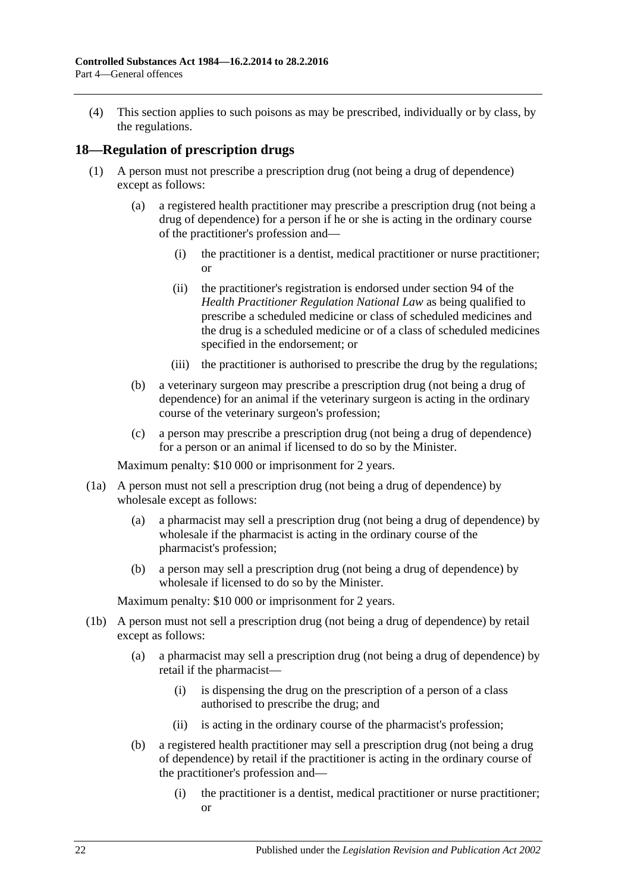(4) This section applies to such poisons as may be prescribed, individually or by class, by the regulations.

### <span id="page-21-1"></span><span id="page-21-0"></span>**18—Regulation of prescription drugs**

- (1) A person must not prescribe a prescription drug (not being a drug of dependence) except as follows:
	- (a) a registered health practitioner may prescribe a prescription drug (not being a drug of dependence) for a person if he or she is acting in the ordinary course of the practitioner's profession and—
		- (i) the practitioner is a dentist, medical practitioner or nurse practitioner; or
		- (ii) the practitioner's registration is endorsed under section 94 of the *Health Practitioner Regulation National Law* as being qualified to prescribe a scheduled medicine or class of scheduled medicines and the drug is a scheduled medicine or of a class of scheduled medicines specified in the endorsement; or
		- (iii) the practitioner is authorised to prescribe the drug by the regulations;
	- (b) a veterinary surgeon may prescribe a prescription drug (not being a drug of dependence) for an animal if the veterinary surgeon is acting in the ordinary course of the veterinary surgeon's profession;
	- (c) a person may prescribe a prescription drug (not being a drug of dependence) for a person or an animal if licensed to do so by the Minister.

Maximum penalty: \$10 000 or imprisonment for 2 years.

- (1a) A person must not sell a prescription drug (not being a drug of dependence) by wholesale except as follows:
	- (a) a pharmacist may sell a prescription drug (not being a drug of dependence) by wholesale if the pharmacist is acting in the ordinary course of the pharmacist's profession;
	- (b) a person may sell a prescription drug (not being a drug of dependence) by wholesale if licensed to do so by the Minister.

- (1b) A person must not sell a prescription drug (not being a drug of dependence) by retail except as follows:
	- (a) a pharmacist may sell a prescription drug (not being a drug of dependence) by retail if the pharmacist—
		- (i) is dispensing the drug on the prescription of a person of a class authorised to prescribe the drug; and
		- (ii) is acting in the ordinary course of the pharmacist's profession;
	- (b) a registered health practitioner may sell a prescription drug (not being a drug of dependence) by retail if the practitioner is acting in the ordinary course of the practitioner's profession and—
		- (i) the practitioner is a dentist, medical practitioner or nurse practitioner; or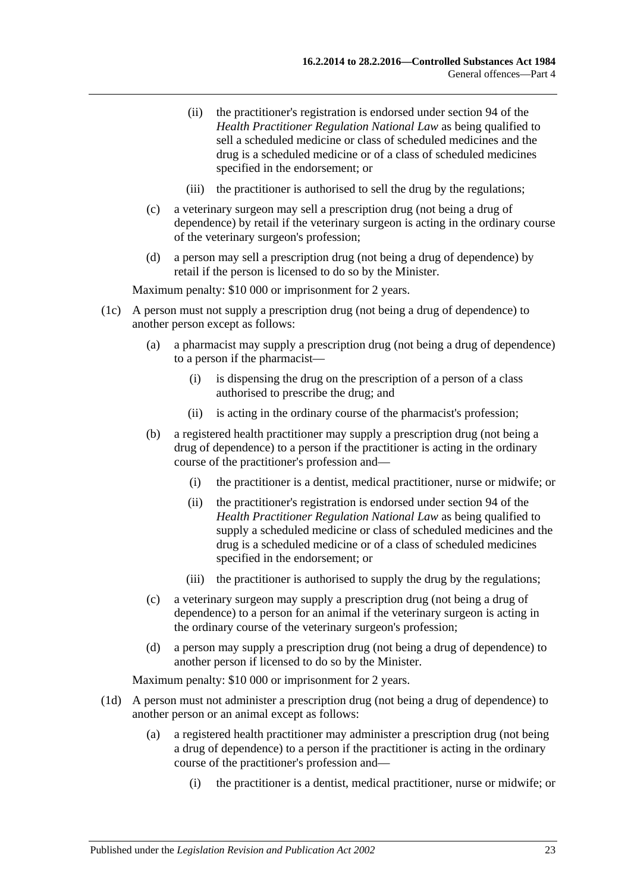- (ii) the practitioner's registration is endorsed under section 94 of the *Health Practitioner Regulation National Law* as being qualified to sell a scheduled medicine or class of scheduled medicines and the drug is a scheduled medicine or of a class of scheduled medicines specified in the endorsement; or
- (iii) the practitioner is authorised to sell the drug by the regulations;
- (c) a veterinary surgeon may sell a prescription drug (not being a drug of dependence) by retail if the veterinary surgeon is acting in the ordinary course of the veterinary surgeon's profession;
- (d) a person may sell a prescription drug (not being a drug of dependence) by retail if the person is licensed to do so by the Minister.

Maximum penalty: \$10 000 or imprisonment for 2 years.

- (1c) A person must not supply a prescription drug (not being a drug of dependence) to another person except as follows:
	- (a) a pharmacist may supply a prescription drug (not being a drug of dependence) to a person if the pharmacist—
		- (i) is dispensing the drug on the prescription of a person of a class authorised to prescribe the drug; and
		- (ii) is acting in the ordinary course of the pharmacist's profession;
	- (b) a registered health practitioner may supply a prescription drug (not being a drug of dependence) to a person if the practitioner is acting in the ordinary course of the practitioner's profession and—
		- (i) the practitioner is a dentist, medical practitioner, nurse or midwife; or
		- (ii) the practitioner's registration is endorsed under section 94 of the *Health Practitioner Regulation National Law* as being qualified to supply a scheduled medicine or class of scheduled medicines and the drug is a scheduled medicine or of a class of scheduled medicines specified in the endorsement; or
		- (iii) the practitioner is authorised to supply the drug by the regulations;
	- (c) a veterinary surgeon may supply a prescription drug (not being a drug of dependence) to a person for an animal if the veterinary surgeon is acting in the ordinary course of the veterinary surgeon's profession;
	- (d) a person may supply a prescription drug (not being a drug of dependence) to another person if licensed to do so by the Minister.

- (1d) A person must not administer a prescription drug (not being a drug of dependence) to another person or an animal except as follows:
	- (a) a registered health practitioner may administer a prescription drug (not being a drug of dependence) to a person if the practitioner is acting in the ordinary course of the practitioner's profession and—
		- (i) the practitioner is a dentist, medical practitioner, nurse or midwife; or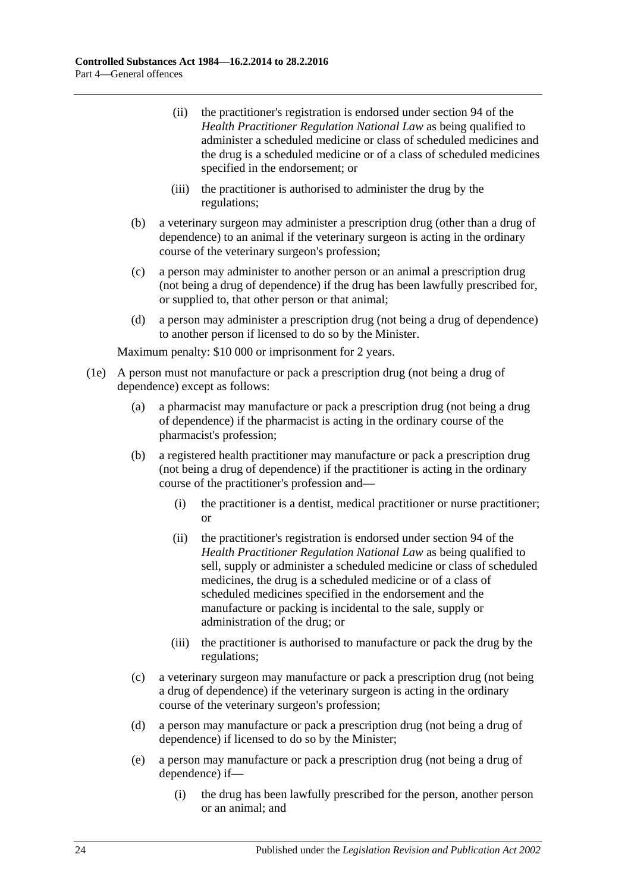- (ii) the practitioner's registration is endorsed under section 94 of the *Health Practitioner Regulation National Law* as being qualified to administer a scheduled medicine or class of scheduled medicines and the drug is a scheduled medicine or of a class of scheduled medicines specified in the endorsement; or
- (iii) the practitioner is authorised to administer the drug by the regulations;
- (b) a veterinary surgeon may administer a prescription drug (other than a drug of dependence) to an animal if the veterinary surgeon is acting in the ordinary course of the veterinary surgeon's profession;
- (c) a person may administer to another person or an animal a prescription drug (not being a drug of dependence) if the drug has been lawfully prescribed for, or supplied to, that other person or that animal;
- (d) a person may administer a prescription drug (not being a drug of dependence) to another person if licensed to do so by the Minister.

- (1e) A person must not manufacture or pack a prescription drug (not being a drug of dependence) except as follows:
	- (a) a pharmacist may manufacture or pack a prescription drug (not being a drug of dependence) if the pharmacist is acting in the ordinary course of the pharmacist's profession;
	- (b) a registered health practitioner may manufacture or pack a prescription drug (not being a drug of dependence) if the practitioner is acting in the ordinary course of the practitioner's profession and—
		- (i) the practitioner is a dentist, medical practitioner or nurse practitioner; or
		- (ii) the practitioner's registration is endorsed under section 94 of the *Health Practitioner Regulation National Law* as being qualified to sell, supply or administer a scheduled medicine or class of scheduled medicines, the drug is a scheduled medicine or of a class of scheduled medicines specified in the endorsement and the manufacture or packing is incidental to the sale, supply or administration of the drug; or
		- (iii) the practitioner is authorised to manufacture or pack the drug by the regulations;
	- (c) a veterinary surgeon may manufacture or pack a prescription drug (not being a drug of dependence) if the veterinary surgeon is acting in the ordinary course of the veterinary surgeon's profession;
	- (d) a person may manufacture or pack a prescription drug (not being a drug of dependence) if licensed to do so by the Minister;
	- (e) a person may manufacture or pack a prescription drug (not being a drug of dependence) if—
		- (i) the drug has been lawfully prescribed for the person, another person or an animal; and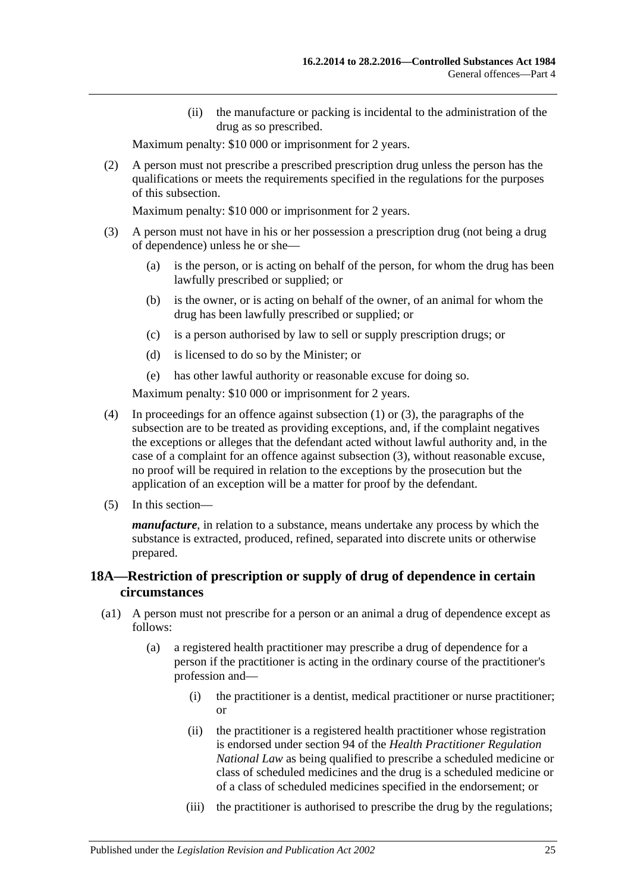(ii) the manufacture or packing is incidental to the administration of the drug as so prescribed.

Maximum penalty: \$10 000 or imprisonment for 2 years.

(2) A person must not prescribe a prescribed prescription drug unless the person has the qualifications or meets the requirements specified in the regulations for the purposes of this subsection.

Maximum penalty: \$10 000 or imprisonment for 2 years.

- <span id="page-24-1"></span>(3) A person must not have in his or her possession a prescription drug (not being a drug of dependence) unless he or she—
	- (a) is the person, or is acting on behalf of the person, for whom the drug has been lawfully prescribed or supplied; or
	- (b) is the owner, or is acting on behalf of the owner, of an animal for whom the drug has been lawfully prescribed or supplied; or
	- (c) is a person authorised by law to sell or supply prescription drugs; or
	- (d) is licensed to do so by the Minister; or
	- (e) has other lawful authority or reasonable excuse for doing so.

Maximum penalty: \$10 000 or imprisonment for 2 years.

- (4) In proceedings for an offence against [subsection](#page-21-1) (1) or [\(3\),](#page-24-1) the paragraphs of the subsection are to be treated as providing exceptions, and, if the complaint negatives the exceptions or alleges that the defendant acted without lawful authority and, in the case of a complaint for an offence against [subsection](#page-24-1) (3), without reasonable excuse, no proof will be required in relation to the exceptions by the prosecution but the application of an exception will be a matter for proof by the defendant.
- (5) In this section—

*manufacture*, in relation to a substance, means undertake any process by which the substance is extracted, produced, refined, separated into discrete units or otherwise prepared.

## <span id="page-24-0"></span>**18A—Restriction of prescription or supply of drug of dependence in certain circumstances**

- (a1) A person must not prescribe for a person or an animal a drug of dependence except as follows:
	- (a) a registered health practitioner may prescribe a drug of dependence for a person if the practitioner is acting in the ordinary course of the practitioner's profession and—
		- (i) the practitioner is a dentist, medical practitioner or nurse practitioner; or
		- (ii) the practitioner is a registered health practitioner whose registration is endorsed under section 94 of the *Health Practitioner Regulation National Law* as being qualified to prescribe a scheduled medicine or class of scheduled medicines and the drug is a scheduled medicine or of a class of scheduled medicines specified in the endorsement; or
		- (iii) the practitioner is authorised to prescribe the drug by the regulations;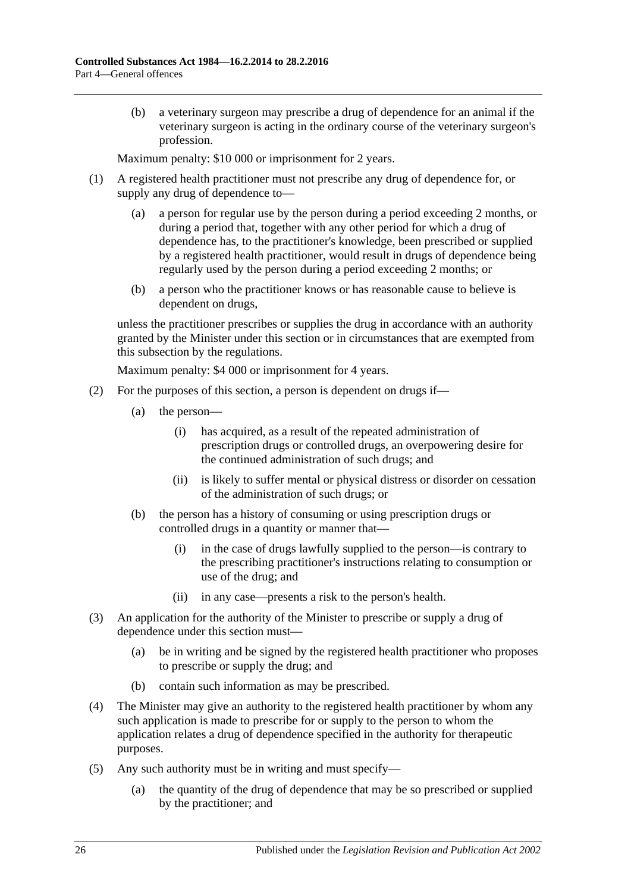(b) a veterinary surgeon may prescribe a drug of dependence for an animal if the veterinary surgeon is acting in the ordinary course of the veterinary surgeon's profession.

Maximum penalty: \$10 000 or imprisonment for 2 years.

- (1) A registered health practitioner must not prescribe any drug of dependence for, or supply any drug of dependence to—
	- (a) a person for regular use by the person during a period exceeding 2 months, or during a period that, together with any other period for which a drug of dependence has, to the practitioner's knowledge, been prescribed or supplied by a registered health practitioner, would result in drugs of dependence being regularly used by the person during a period exceeding 2 months; or
	- (b) a person who the practitioner knows or has reasonable cause to believe is dependent on drugs,

unless the practitioner prescribes or supplies the drug in accordance with an authority granted by the Minister under this section or in circumstances that are exempted from this subsection by the regulations.

- (2) For the purposes of this section, a person is dependent on drugs if—
	- (a) the person—
		- (i) has acquired, as a result of the repeated administration of prescription drugs or controlled drugs, an overpowering desire for the continued administration of such drugs; and
		- (ii) is likely to suffer mental or physical distress or disorder on cessation of the administration of such drugs; or
	- (b) the person has a history of consuming or using prescription drugs or controlled drugs in a quantity or manner that—
		- (i) in the case of drugs lawfully supplied to the person—is contrary to the prescribing practitioner's instructions relating to consumption or use of the drug; and
		- (ii) in any case—presents a risk to the person's health.
- (3) An application for the authority of the Minister to prescribe or supply a drug of dependence under this section must—
	- (a) be in writing and be signed by the registered health practitioner who proposes to prescribe or supply the drug; and
	- (b) contain such information as may be prescribed.
- (4) The Minister may give an authority to the registered health practitioner by whom any such application is made to prescribe for or supply to the person to whom the application relates a drug of dependence specified in the authority for therapeutic purposes.
- (5) Any such authority must be in writing and must specify—
	- (a) the quantity of the drug of dependence that may be so prescribed or supplied by the practitioner; and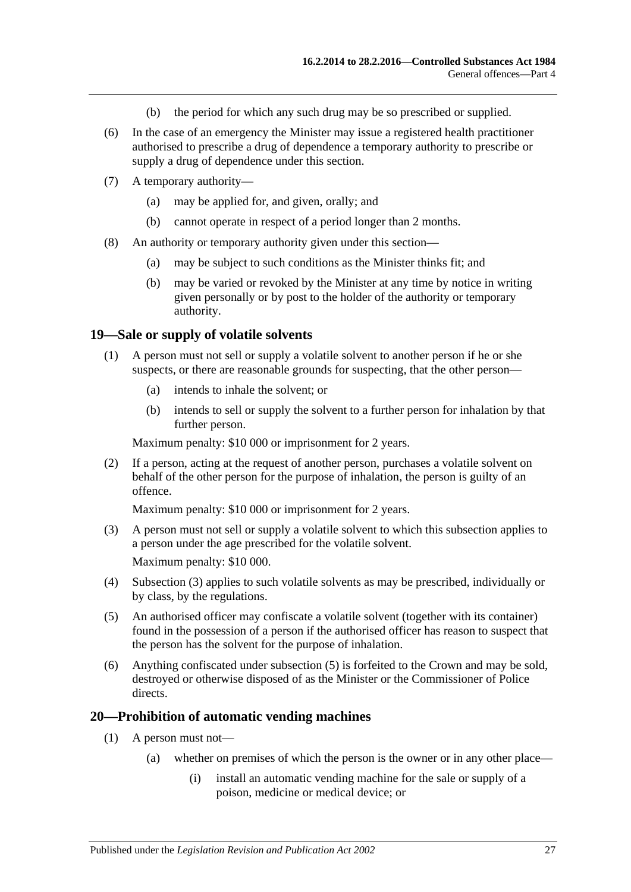- (b) the period for which any such drug may be so prescribed or supplied.
- (6) In the case of an emergency the Minister may issue a registered health practitioner authorised to prescribe a drug of dependence a temporary authority to prescribe or supply a drug of dependence under this section.
- (7) A temporary authority—
	- (a) may be applied for, and given, orally; and
	- (b) cannot operate in respect of a period longer than 2 months.
- (8) An authority or temporary authority given under this section—
	- (a) may be subject to such conditions as the Minister thinks fit; and
	- (b) may be varied or revoked by the Minister at any time by notice in writing given personally or by post to the holder of the authority or temporary authority.

#### <span id="page-26-0"></span>**19—Sale or supply of volatile solvents**

- (1) A person must not sell or supply a volatile solvent to another person if he or she suspects, or there are reasonable grounds for suspecting, that the other person—
	- (a) intends to inhale the solvent; or
	- (b) intends to sell or supply the solvent to a further person for inhalation by that further person.

Maximum penalty: \$10 000 or imprisonment for 2 years.

(2) If a person, acting at the request of another person, purchases a volatile solvent on behalf of the other person for the purpose of inhalation, the person is guilty of an offence.

Maximum penalty: \$10 000 or imprisonment for 2 years.

- <span id="page-26-2"></span>(3) A person must not sell or supply a volatile solvent to which this subsection applies to a person under the age prescribed for the volatile solvent. Maximum penalty: \$10 000.
- (4) [Subsection](#page-26-2) (3) applies to such volatile solvents as may be prescribed, individually or by class, by the regulations.
- <span id="page-26-3"></span>(5) An authorised officer may confiscate a volatile solvent (together with its container) found in the possession of a person if the authorised officer has reason to suspect that the person has the solvent for the purpose of inhalation.
- (6) Anything confiscated under [subsection](#page-26-3) (5) is forfeited to the Crown and may be sold, destroyed or otherwise disposed of as the Minister or the Commissioner of Police directs.

#### <span id="page-26-1"></span>**20—Prohibition of automatic vending machines**

- (1) A person must not—
	- (a) whether on premises of which the person is the owner or in any other place—
		- (i) install an automatic vending machine for the sale or supply of a poison, medicine or medical device; or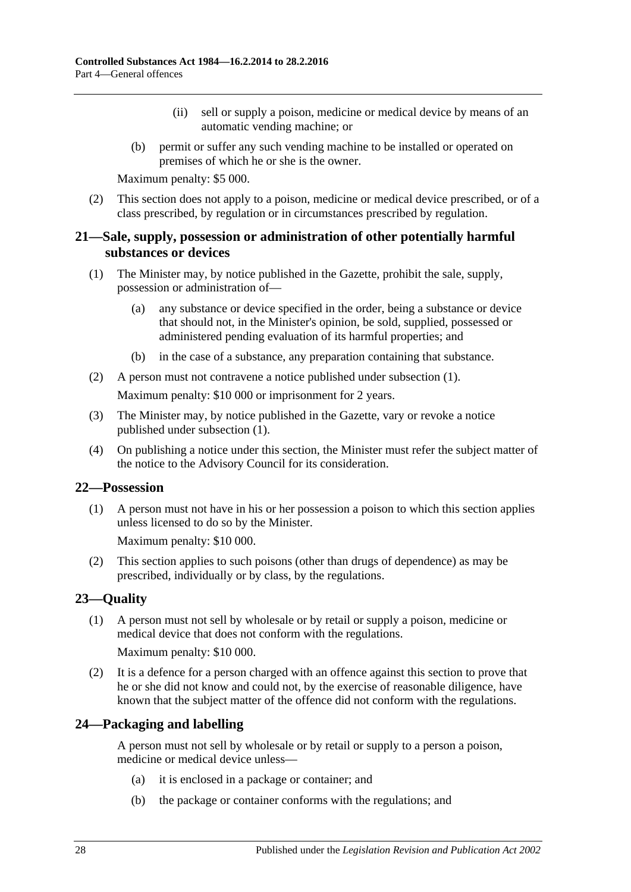- (ii) sell or supply a poison, medicine or medical device by means of an automatic vending machine; or
- (b) permit or suffer any such vending machine to be installed or operated on premises of which he or she is the owner.

Maximum penalty: \$5 000.

(2) This section does not apply to a poison, medicine or medical device prescribed, or of a class prescribed, by regulation or in circumstances prescribed by regulation.

## <span id="page-27-0"></span>**21—Sale, supply, possession or administration of other potentially harmful substances or devices**

- <span id="page-27-4"></span>(1) The Minister may, by notice published in the Gazette, prohibit the sale, supply, possession or administration of—
	- (a) any substance or device specified in the order, being a substance or device that should not, in the Minister's opinion, be sold, supplied, possessed or administered pending evaluation of its harmful properties; and
	- (b) in the case of a substance, any preparation containing that substance.
- (2) A person must not contravene a notice published under [subsection](#page-27-4) (1). Maximum penalty: \$10 000 or imprisonment for 2 years.
- (3) The Minister may, by notice published in the Gazette, vary or revoke a notice published under [subsection](#page-27-4) (1).
- (4) On publishing a notice under this section, the Minister must refer the subject matter of the notice to the Advisory Council for its consideration.

#### <span id="page-27-1"></span>**22—Possession**

(1) A person must not have in his or her possession a poison to which this section applies unless licensed to do so by the Minister.

Maximum penalty: \$10 000.

(2) This section applies to such poisons (other than drugs of dependence) as may be prescribed, individually or by class, by the regulations.

## <span id="page-27-2"></span>**23—Quality**

(1) A person must not sell by wholesale or by retail or supply a poison, medicine or medical device that does not conform with the regulations.

Maximum penalty: \$10 000.

(2) It is a defence for a person charged with an offence against this section to prove that he or she did not know and could not, by the exercise of reasonable diligence, have known that the subject matter of the offence did not conform with the regulations.

## <span id="page-27-3"></span>**24—Packaging and labelling**

A person must not sell by wholesale or by retail or supply to a person a poison, medicine or medical device unless—

- (a) it is enclosed in a package or container; and
- (b) the package or container conforms with the regulations; and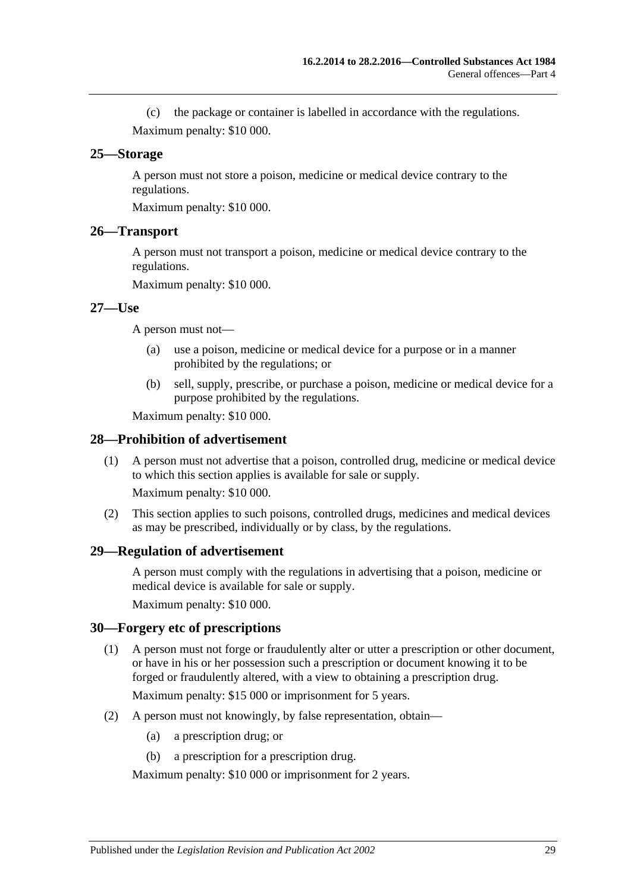(c) the package or container is labelled in accordance with the regulations. Maximum penalty: \$10 000.

#### <span id="page-28-0"></span>**25—Storage**

A person must not store a poison, medicine or medical device contrary to the regulations.

Maximum penalty: \$10 000.

#### <span id="page-28-1"></span>**26—Transport**

A person must not transport a poison, medicine or medical device contrary to the regulations.

Maximum penalty: \$10 000.

#### <span id="page-28-2"></span>**27—Use**

A person must not—

- (a) use a poison, medicine or medical device for a purpose or in a manner prohibited by the regulations; or
- (b) sell, supply, prescribe, or purchase a poison, medicine or medical device for a purpose prohibited by the regulations.

Maximum penalty: \$10 000.

#### <span id="page-28-3"></span>**28—Prohibition of advertisement**

(1) A person must not advertise that a poison, controlled drug, medicine or medical device to which this section applies is available for sale or supply.

Maximum penalty: \$10 000.

(2) This section applies to such poisons, controlled drugs, medicines and medical devices as may be prescribed, individually or by class, by the regulations.

#### <span id="page-28-4"></span>**29—Regulation of advertisement**

A person must comply with the regulations in advertising that a poison, medicine or medical device is available for sale or supply.

Maximum penalty: \$10 000.

#### <span id="page-28-5"></span>**30—Forgery etc of prescriptions**

(1) A person must not forge or fraudulently alter or utter a prescription or other document, or have in his or her possession such a prescription or document knowing it to be forged or fraudulently altered, with a view to obtaining a prescription drug.

Maximum penalty: \$15 000 or imprisonment for 5 years.

- (2) A person must not knowingly, by false representation, obtain—
	- (a) a prescription drug; or
	- (b) a prescription for a prescription drug.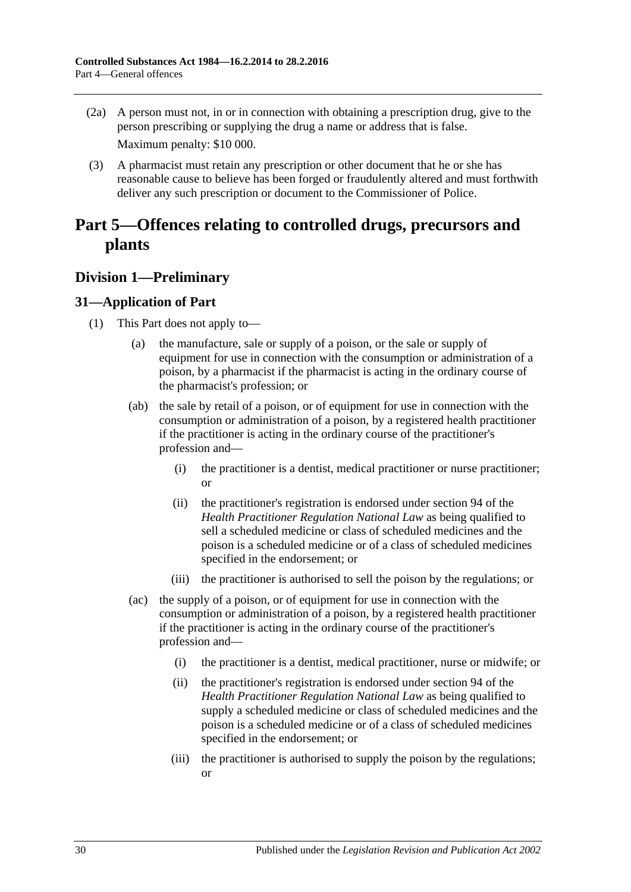- (2a) A person must not, in or in connection with obtaining a prescription drug, give to the person prescribing or supplying the drug a name or address that is false. Maximum penalty: \$10 000.
- (3) A pharmacist must retain any prescription or other document that he or she has reasonable cause to believe has been forged or fraudulently altered and must forthwith deliver any such prescription or document to the Commissioner of Police.

## <span id="page-29-0"></span>**Part 5—Offences relating to controlled drugs, precursors and plants**

## <span id="page-29-1"></span>**Division 1—Preliminary**

## <span id="page-29-3"></span><span id="page-29-2"></span>**31—Application of Part**

- (1) This Part does not apply to—
	- (a) the manufacture, sale or supply of a poison, or the sale or supply of equipment for use in connection with the consumption or administration of a poison, by a pharmacist if the pharmacist is acting in the ordinary course of the pharmacist's profession; or
	- (ab) the sale by retail of a poison, or of equipment for use in connection with the consumption or administration of a poison, by a registered health practitioner if the practitioner is acting in the ordinary course of the practitioner's profession and—
		- (i) the practitioner is a dentist, medical practitioner or nurse practitioner; or
		- (ii) the practitioner's registration is endorsed under section 94 of the *Health Practitioner Regulation National Law* as being qualified to sell a scheduled medicine or class of scheduled medicines and the poison is a scheduled medicine or of a class of scheduled medicines specified in the endorsement; or
		- (iii) the practitioner is authorised to sell the poison by the regulations; or
	- (ac) the supply of a poison, or of equipment for use in connection with the consumption or administration of a poison, by a registered health practitioner if the practitioner is acting in the ordinary course of the practitioner's profession and—
		- (i) the practitioner is a dentist, medical practitioner, nurse or midwife; or
		- (ii) the practitioner's registration is endorsed under section 94 of the *Health Practitioner Regulation National Law* as being qualified to supply a scheduled medicine or class of scheduled medicines and the poison is a scheduled medicine or of a class of scheduled medicines specified in the endorsement; or
		- (iii) the practitioner is authorised to supply the poison by the regulations; or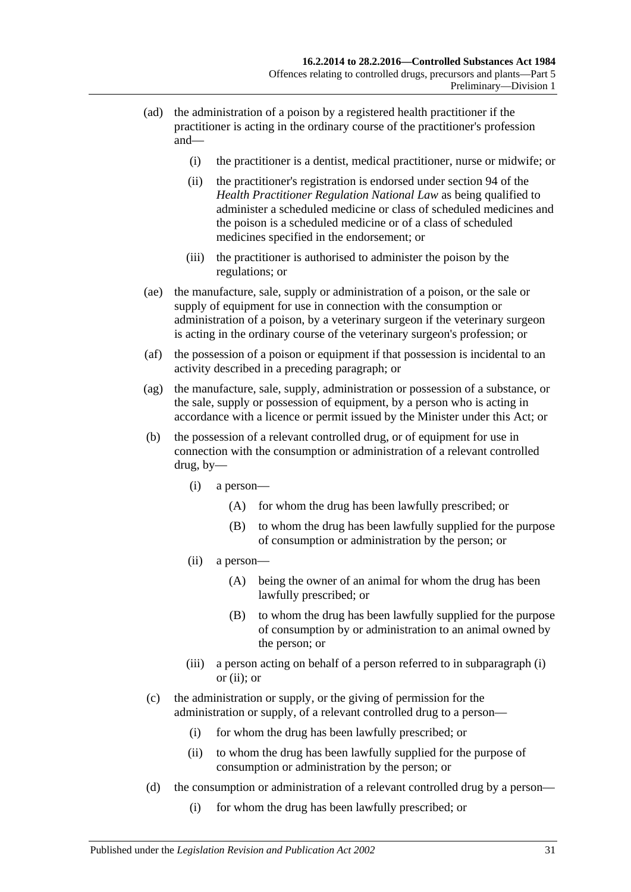- (ad) the administration of a poison by a registered health practitioner if the practitioner is acting in the ordinary course of the practitioner's profession and—
	- (i) the practitioner is a dentist, medical practitioner, nurse or midwife; or
	- (ii) the practitioner's registration is endorsed under section 94 of the *Health Practitioner Regulation National Law* as being qualified to administer a scheduled medicine or class of scheduled medicines and the poison is a scheduled medicine or of a class of scheduled medicines specified in the endorsement; or
	- (iii) the practitioner is authorised to administer the poison by the regulations; or
- (ae) the manufacture, sale, supply or administration of a poison, or the sale or supply of equipment for use in connection with the consumption or administration of a poison, by a veterinary surgeon if the veterinary surgeon is acting in the ordinary course of the veterinary surgeon's profession; or
- (af) the possession of a poison or equipment if that possession is incidental to an activity described in a preceding paragraph; or
- (ag) the manufacture, sale, supply, administration or possession of a substance, or the sale, supply or possession of equipment, by a person who is acting in accordance with a licence or permit issued by the Minister under this Act; or
- <span id="page-30-1"></span><span id="page-30-0"></span>(b) the possession of a relevant controlled drug, or of equipment for use in connection with the consumption or administration of a relevant controlled drug, by—
	- (i) a person—
		- (A) for whom the drug has been lawfully prescribed; or
		- (B) to whom the drug has been lawfully supplied for the purpose of consumption or administration by the person; or
	- (ii) a person—
		- (A) being the owner of an animal for whom the drug has been lawfully prescribed; or
		- (B) to whom the drug has been lawfully supplied for the purpose of consumption by or administration to an animal owned by the person; or
	- (iii) a person acting on behalf of a person referred to in [subparagraph](#page-30-0) (i) or [\(ii\);](#page-30-1) or
- (c) the administration or supply, or the giving of permission for the administration or supply, of a relevant controlled drug to a person—
	- (i) for whom the drug has been lawfully prescribed; or
	- (ii) to whom the drug has been lawfully supplied for the purpose of consumption or administration by the person; or
- (d) the consumption or administration of a relevant controlled drug by a person—
	- (i) for whom the drug has been lawfully prescribed; or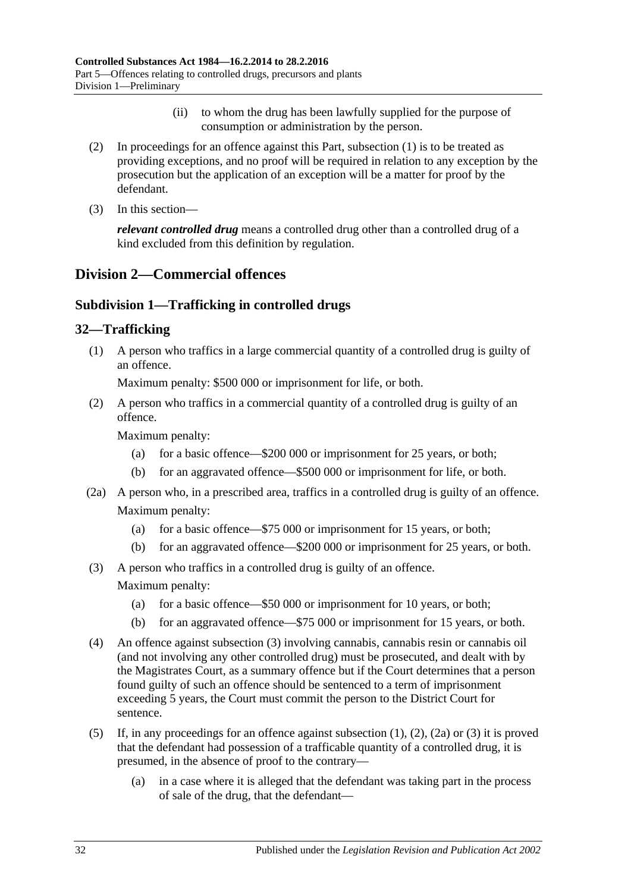- (ii) to whom the drug has been lawfully supplied for the purpose of consumption or administration by the person.
- (2) In proceedings for an offence against this Part, [subsection](#page-29-3) (1) is to be treated as providing exceptions, and no proof will be required in relation to any exception by the prosecution but the application of an exception will be a matter for proof by the defendant.
- (3) In this section—

*relevant controlled drug* means a controlled drug other than a controlled drug of a kind excluded from this definition by regulation.

## <span id="page-31-1"></span><span id="page-31-0"></span>**Division 2—Commercial offences**

## **Subdivision 1—Trafficking in controlled drugs**

## <span id="page-31-4"></span><span id="page-31-2"></span>**32—Trafficking**

(1) A person who traffics in a large commercial quantity of a controlled drug is guilty of an offence.

Maximum penalty: \$500 000 or imprisonment for life, or both.

<span id="page-31-5"></span>(2) A person who traffics in a commercial quantity of a controlled drug is guilty of an offence.

Maximum penalty:

- (a) for a basic offence—\$200 000 or imprisonment for 25 years, or both;
- (b) for an aggravated offence—\$500 000 or imprisonment for life, or both.
- <span id="page-31-6"></span>(2a) A person who, in a prescribed area, traffics in a controlled drug is guilty of an offence. Maximum penalty:
	- (a) for a basic offence—\$75 000 or imprisonment for 15 years, or both;
	- (b) for an aggravated offence—\$200 000 or imprisonment for 25 years, or both.
- <span id="page-31-3"></span>(3) A person who traffics in a controlled drug is guilty of an offence. Maximum penalty:
	- (a) for a basic offence—\$50 000 or imprisonment for 10 years, or both;
	- (b) for an aggravated offence—\$75 000 or imprisonment for 15 years, or both.
- (4) An offence against [subsection](#page-31-3) (3) involving cannabis, cannabis resin or cannabis oil (and not involving any other controlled drug) must be prosecuted, and dealt with by the Magistrates Court, as a summary offence but if the Court determines that a person found guilty of such an offence should be sentenced to a term of imprisonment exceeding 5 years, the Court must commit the person to the District Court for sentence.
- (5) If, in any proceedings for an offence against [subsection](#page-31-4) (1), [\(2\),](#page-31-5) [\(2a\)](#page-31-6) or [\(3\)](#page-31-3) it is proved that the defendant had possession of a trafficable quantity of a controlled drug, it is presumed, in the absence of proof to the contrary—
	- (a) in a case where it is alleged that the defendant was taking part in the process of sale of the drug, that the defendant—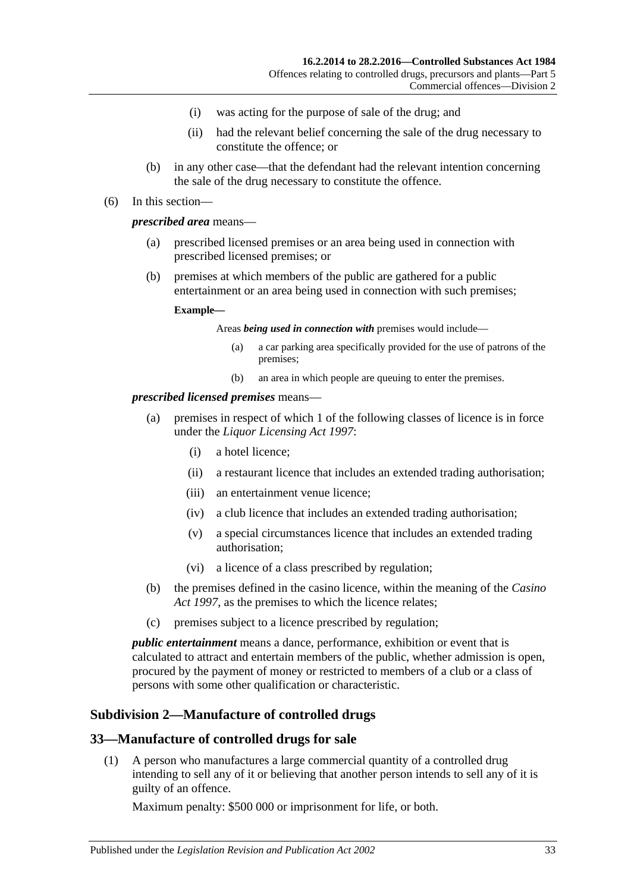- (i) was acting for the purpose of sale of the drug; and
- (ii) had the relevant belief concerning the sale of the drug necessary to constitute the offence; or
- (b) in any other case—that the defendant had the relevant intention concerning the sale of the drug necessary to constitute the offence.

#### (6) In this section—

#### *prescribed area* means—

- (a) prescribed licensed premises or an area being used in connection with prescribed licensed premises; or
- (b) premises at which members of the public are gathered for a public entertainment or an area being used in connection with such premises;

#### **Example—**

#### Areas *being used in connection with* premises would include—

- (a) a car parking area specifically provided for the use of patrons of the premises;
- (b) an area in which people are queuing to enter the premises.

#### *prescribed licensed premises* means—

- (a) premises in respect of which 1 of the following classes of licence is in force under the *[Liquor Licensing Act](http://www.legislation.sa.gov.au/index.aspx?action=legref&type=act&legtitle=Liquor%20Licensing%20Act%201997) 1997*:
	- (i) a hotel licence;
	- (ii) a restaurant licence that includes an extended trading authorisation;
	- (iii) an entertainment venue licence;
	- (iv) a club licence that includes an extended trading authorisation;
	- (v) a special circumstances licence that includes an extended trading authorisation;
	- (vi) a licence of a class prescribed by regulation;
- (b) the premises defined in the casino licence, within the meaning of the *[Casino](http://www.legislation.sa.gov.au/index.aspx?action=legref&type=act&legtitle=Casino%20Act%201997)  Act [1997](http://www.legislation.sa.gov.au/index.aspx?action=legref&type=act&legtitle=Casino%20Act%201997)*, as the premises to which the licence relates;
- (c) premises subject to a licence prescribed by regulation;

*public entertainment* means a dance, performance, exhibition or event that is calculated to attract and entertain members of the public, whether admission is open, procured by the payment of money or restricted to members of a club or a class of persons with some other qualification or characteristic.

## <span id="page-32-0"></span>**Subdivision 2—Manufacture of controlled drugs**

#### <span id="page-32-2"></span><span id="page-32-1"></span>**33—Manufacture of controlled drugs for sale**

(1) A person who manufactures a large commercial quantity of a controlled drug intending to sell any of it or believing that another person intends to sell any of it is guilty of an offence.

Maximum penalty: \$500 000 or imprisonment for life, or both.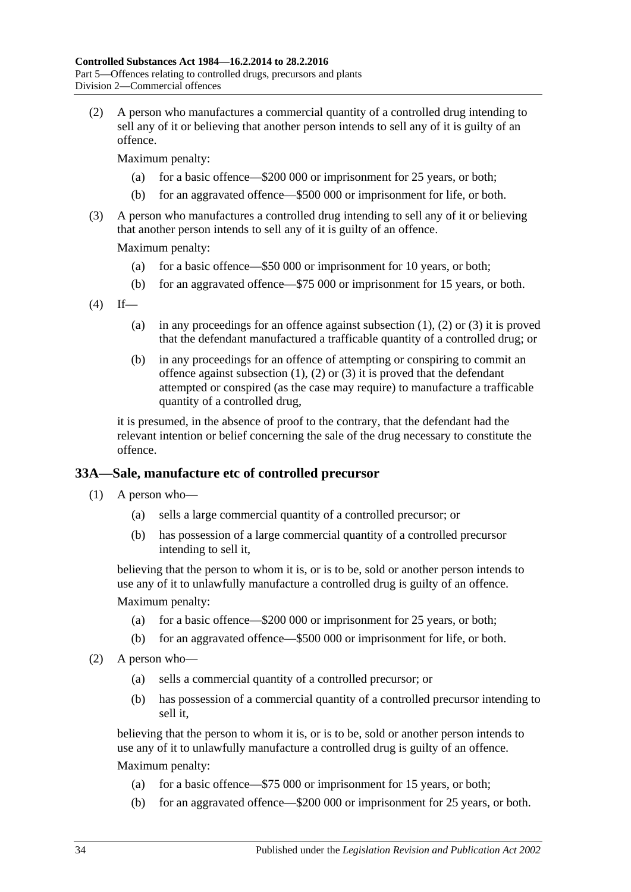<span id="page-33-1"></span>(2) A person who manufactures a commercial quantity of a controlled drug intending to sell any of it or believing that another person intends to sell any of it is guilty of an offence.

Maximum penalty:

- (a) for a basic offence—\$200 000 or imprisonment for 25 years, or both;
- (b) for an aggravated offence—\$500 000 or imprisonment for life, or both.
- <span id="page-33-2"></span>(3) A person who manufactures a controlled drug intending to sell any of it or believing that another person intends to sell any of it is guilty of an offence.

Maximum penalty:

- (a) for a basic offence—\$50 000 or imprisonment for 10 years, or both;
- (b) for an aggravated offence—\$75 000 or imprisonment for 15 years, or both.
- $(4)$  If
	- (a) in any proceedings for an offence against [subsection](#page-32-2)  $(1)$ ,  $(2)$  or  $(3)$  it is proved that the defendant manufactured a trafficable quantity of a controlled drug; or
	- (b) in any proceedings for an offence of attempting or conspiring to commit an offence against [subsection](#page-32-2)  $(1)$ ,  $(2)$  or  $(3)$  it is proved that the defendant attempted or conspired (as the case may require) to manufacture a trafficable quantity of a controlled drug,

it is presumed, in the absence of proof to the contrary, that the defendant had the relevant intention or belief concerning the sale of the drug necessary to constitute the offence.

### <span id="page-33-0"></span>**33A—Sale, manufacture etc of controlled precursor**

- (1) A person who—
	- (a) sells a large commercial quantity of a controlled precursor; or
	- (b) has possession of a large commercial quantity of a controlled precursor intending to sell it,

believing that the person to whom it is, or is to be, sold or another person intends to use any of it to unlawfully manufacture a controlled drug is guilty of an offence.

Maximum penalty:

- (a) for a basic offence—\$200 000 or imprisonment for 25 years, or both;
- (b) for an aggravated offence—\$500 000 or imprisonment for life, or both.
- (2) A person who—
	- (a) sells a commercial quantity of a controlled precursor; or
	- (b) has possession of a commercial quantity of a controlled precursor intending to sell it,

believing that the person to whom it is, or is to be, sold or another person intends to use any of it to unlawfully manufacture a controlled drug is guilty of an offence. Maximum penalty:

- (a) for a basic offence—\$75 000 or imprisonment for 15 years, or both;
- (b) for an aggravated offence—\$200 000 or imprisonment for 25 years, or both.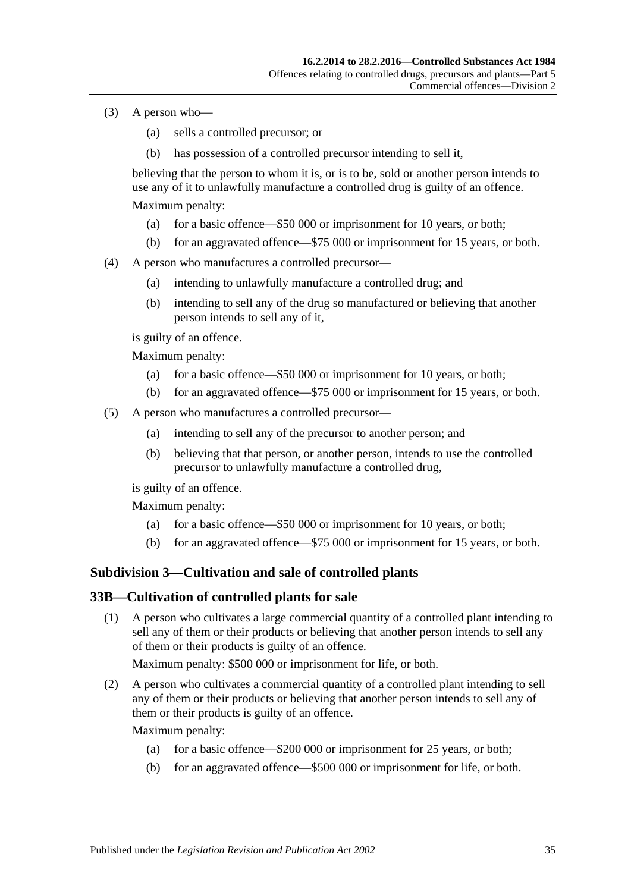- (3) A person who—
	- (a) sells a controlled precursor; or
	- (b) has possession of a controlled precursor intending to sell it,

believing that the person to whom it is, or is to be, sold or another person intends to use any of it to unlawfully manufacture a controlled drug is guilty of an offence. Maximum penalty:

- (a) for a basic offence—\$50 000 or imprisonment for 10 years, or both;
- (b) for an aggravated offence—\$75 000 or imprisonment for 15 years, or both.
- (4) A person who manufactures a controlled precursor—
	- (a) intending to unlawfully manufacture a controlled drug; and
	- (b) intending to sell any of the drug so manufactured or believing that another person intends to sell any of it,

is guilty of an offence.

Maximum penalty:

- (a) for a basic offence—\$50 000 or imprisonment for 10 years, or both;
- (b) for an aggravated offence—\$75 000 or imprisonment for 15 years, or both.
- (5) A person who manufactures a controlled precursor—
	- (a) intending to sell any of the precursor to another person; and
	- (b) believing that that person, or another person, intends to use the controlled precursor to unlawfully manufacture a controlled drug,

is guilty of an offence.

Maximum penalty:

- (a) for a basic offence—\$50 000 or imprisonment for 10 years, or both;
- (b) for an aggravated offence—\$75 000 or imprisonment for 15 years, or both.

#### <span id="page-34-0"></span>**Subdivision 3—Cultivation and sale of controlled plants**

#### <span id="page-34-2"></span><span id="page-34-1"></span>**33B—Cultivation of controlled plants for sale**

(1) A person who cultivates a large commercial quantity of a controlled plant intending to sell any of them or their products or believing that another person intends to sell any of them or their products is guilty of an offence.

Maximum penalty: \$500 000 or imprisonment for life, or both.

<span id="page-34-3"></span>(2) A person who cultivates a commercial quantity of a controlled plant intending to sell any of them or their products or believing that another person intends to sell any of them or their products is guilty of an offence.

Maximum penalty:

- (a) for a basic offence—\$200 000 or imprisonment for 25 years, or both;
- (b) for an aggravated offence—\$500 000 or imprisonment for life, or both.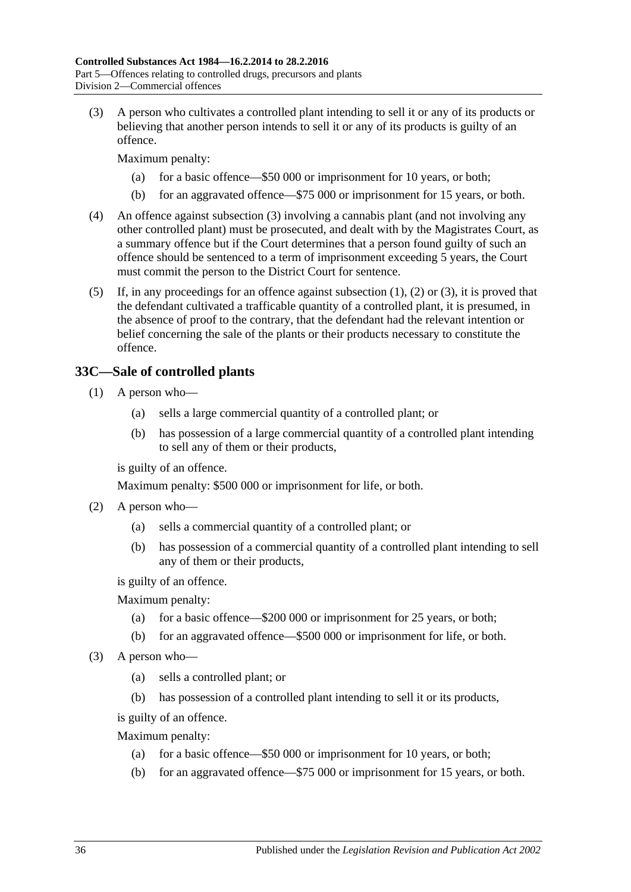<span id="page-35-1"></span>(3) A person who cultivates a controlled plant intending to sell it or any of its products or believing that another person intends to sell it or any of its products is guilty of an offence.

Maximum penalty:

- (a) for a basic offence—\$50 000 or imprisonment for 10 years, or both;
- (b) for an aggravated offence—\$75 000 or imprisonment for 15 years, or both.
- (4) An offence against [subsection](#page-35-1) (3) involving a cannabis plant (and not involving any other controlled plant) must be prosecuted, and dealt with by the Magistrates Court, as a summary offence but if the Court determines that a person found guilty of such an offence should be sentenced to a term of imprisonment exceeding 5 years, the Court must commit the person to the District Court for sentence.
- (5) If, in any proceedings for an offence against [subsection](#page-34-2) (1), [\(2\)](#page-34-3) or [\(3\),](#page-35-1) it is proved that the defendant cultivated a trafficable quantity of a controlled plant, it is presumed, in the absence of proof to the contrary, that the defendant had the relevant intention or belief concerning the sale of the plants or their products necessary to constitute the offence.

## <span id="page-35-0"></span>**33C—Sale of controlled plants**

- (1) A person who—
	- (a) sells a large commercial quantity of a controlled plant; or
	- (b) has possession of a large commercial quantity of a controlled plant intending to sell any of them or their products,

is guilty of an offence.

Maximum penalty: \$500 000 or imprisonment for life, or both.

- (2) A person who—
	- (a) sells a commercial quantity of a controlled plant; or
	- (b) has possession of a commercial quantity of a controlled plant intending to sell any of them or their products,

is guilty of an offence.

Maximum penalty:

- (a) for a basic offence—\$200 000 or imprisonment for 25 years, or both;
- (b) for an aggravated offence—\$500 000 or imprisonment for life, or both.
- (3) A person who—
	- (a) sells a controlled plant; or
	- (b) has possession of a controlled plant intending to sell it or its products,

is guilty of an offence.

Maximum penalty:

- (a) for a basic offence—\$50 000 or imprisonment for 10 years, or both;
- (b) for an aggravated offence—\$75 000 or imprisonment for 15 years, or both.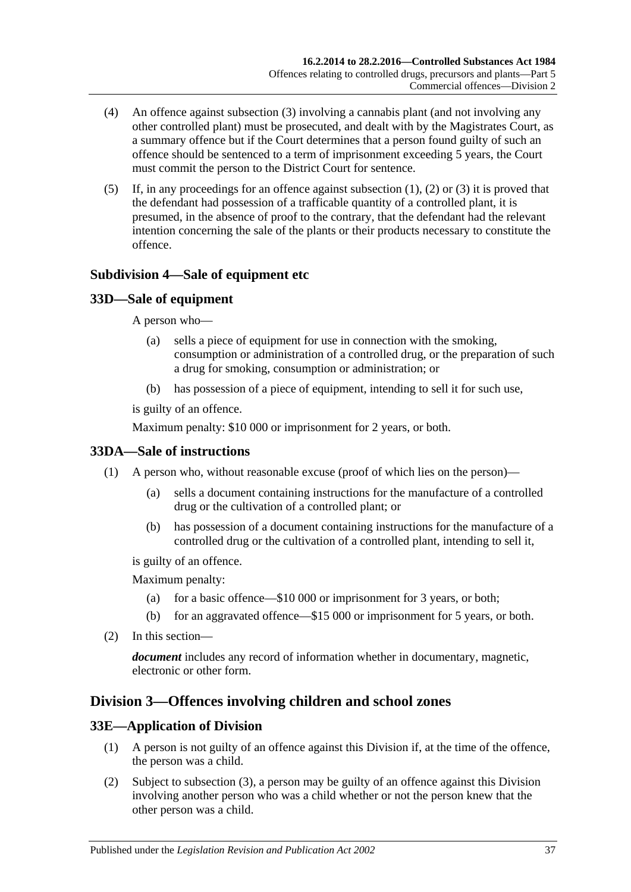- (4) An offence against [subsection](#page-35-0) (3) involving a cannabis plant (and not involving any other controlled plant) must be prosecuted, and dealt with by the Magistrates Court, as a summary offence but if the Court determines that a person found guilty of such an offence should be sentenced to a term of imprisonment exceeding 5 years, the Court must commit the person to the District Court for sentence.
- (5) If, in any proceedings for an offence against [subsection](#page-35-1) (1), [\(2\)](#page-35-2) or [\(3\)](#page-35-0) it is proved that the defendant had possession of a trafficable quantity of a controlled plant, it is presumed, in the absence of proof to the contrary, that the defendant had the relevant intention concerning the sale of the plants or their products necessary to constitute the offence.

## **Subdivision 4—Sale of equipment etc**

## **33D—Sale of equipment**

A person who—

- (a) sells a piece of equipment for use in connection with the smoking, consumption or administration of a controlled drug, or the preparation of such a drug for smoking, consumption or administration; or
- (b) has possession of a piece of equipment, intending to sell it for such use,

is guilty of an offence.

Maximum penalty: \$10 000 or imprisonment for 2 years, or both.

## **33DA—Sale of instructions**

- (1) A person who, without reasonable excuse (proof of which lies on the person)—
	- (a) sells a document containing instructions for the manufacture of a controlled drug or the cultivation of a controlled plant; or
	- (b) has possession of a document containing instructions for the manufacture of a controlled drug or the cultivation of a controlled plant, intending to sell it,

is guilty of an offence.

Maximum penalty:

- (a) for a basic offence—\$10 000 or imprisonment for 3 years, or both;
- (b) for an aggravated offence—\$15 000 or imprisonment for 5 years, or both.
- (2) In this section—

*document* includes any record of information whether in documentary, magnetic, electronic or other form.

## <span id="page-36-0"></span>**Division 3—Offences involving children and school zones**

## **33E—Application of Division**

- (1) A person is not guilty of an offence against this Division if, at the time of the offence, the person was a child.
- (2) Subject to [subsection](#page-37-0) (3), a person may be guilty of an offence against this Division involving another person who was a child whether or not the person knew that the other person was a child.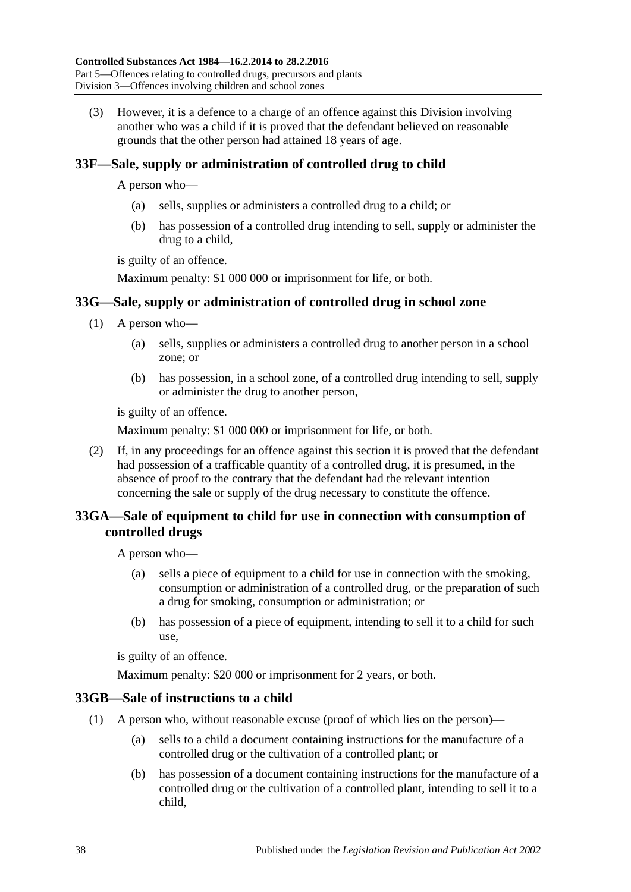<span id="page-37-0"></span>(3) However, it is a defence to a charge of an offence against this Division involving another who was a child if it is proved that the defendant believed on reasonable grounds that the other person had attained 18 years of age.

# <span id="page-37-1"></span>**33F—Sale, supply or administration of controlled drug to child**

A person who—

- (a) sells, supplies or administers a controlled drug to a child; or
- (b) has possession of a controlled drug intending to sell, supply or administer the drug to a child,

is guilty of an offence.

Maximum penalty: \$1 000 000 or imprisonment for life, or both.

## **33G—Sale, supply or administration of controlled drug in school zone**

- (1) A person who—
	- (a) sells, supplies or administers a controlled drug to another person in a school zone; or
	- (b) has possession, in a school zone, of a controlled drug intending to sell, supply or administer the drug to another person,

is guilty of an offence.

Maximum penalty: \$1 000 000 or imprisonment for life, or both.

(2) If, in any proceedings for an offence against this section it is proved that the defendant had possession of a trafficable quantity of a controlled drug, it is presumed, in the absence of proof to the contrary that the defendant had the relevant intention concerning the sale or supply of the drug necessary to constitute the offence.

## **33GA—Sale of equipment to child for use in connection with consumption of controlled drugs**

A person who—

- (a) sells a piece of equipment to a child for use in connection with the smoking, consumption or administration of a controlled drug, or the preparation of such a drug for smoking, consumption or administration; or
- (b) has possession of a piece of equipment, intending to sell it to a child for such use,

is guilty of an offence.

Maximum penalty: \$20 000 or imprisonment for 2 years, or both.

## **33GB—Sale of instructions to a child**

- (1) A person who, without reasonable excuse (proof of which lies on the person)—
	- (a) sells to a child a document containing instructions for the manufacture of a controlled drug or the cultivation of a controlled plant; or
	- (b) has possession of a document containing instructions for the manufacture of a controlled drug or the cultivation of a controlled plant, intending to sell it to a child,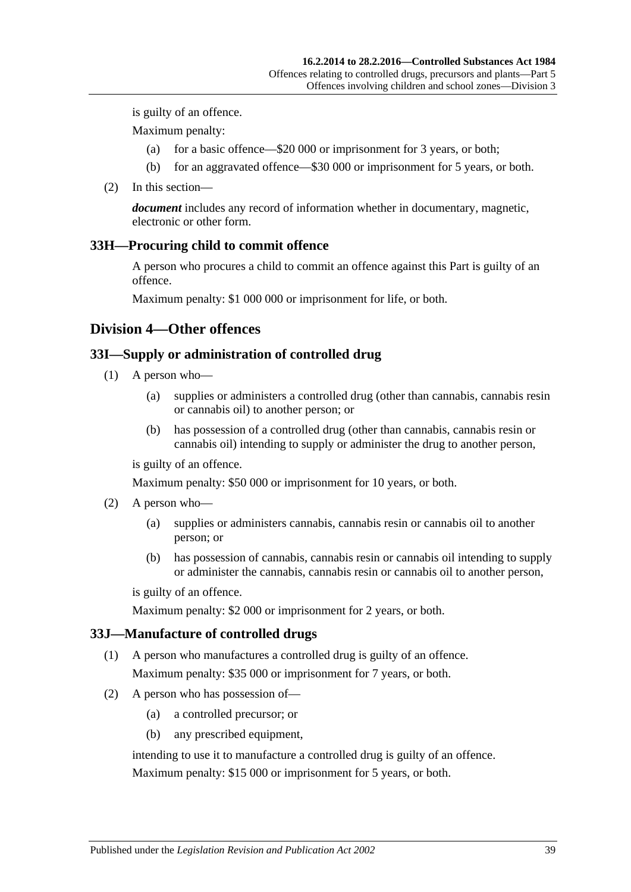is guilty of an offence.

Maximum penalty:

- (a) for a basic offence—\$20 000 or imprisonment for 3 years, or both;
- (b) for an aggravated offence—\$30 000 or imprisonment for 5 years, or both.
- (2) In this section—

*document* includes any record of information whether in documentary, magnetic, electronic or other form.

#### <span id="page-38-0"></span>**33H—Procuring child to commit offence**

A person who procures a child to commit an offence against this Part is guilty of an offence.

Maximum penalty: \$1 000 000 or imprisonment for life, or both.

#### **Division 4—Other offences**

#### <span id="page-38-1"></span>**33I—Supply or administration of controlled drug**

- (1) A person who—
	- (a) supplies or administers a controlled drug (other than cannabis, cannabis resin or cannabis oil) to another person; or
	- (b) has possession of a controlled drug (other than cannabis, cannabis resin or cannabis oil) intending to supply or administer the drug to another person,

is guilty of an offence.

Maximum penalty: \$50 000 or imprisonment for 10 years, or both.

- (2) A person who—
	- (a) supplies or administers cannabis, cannabis resin or cannabis oil to another person; or
	- (b) has possession of cannabis, cannabis resin or cannabis oil intending to supply or administer the cannabis, cannabis resin or cannabis oil to another person,

is guilty of an offence.

Maximum penalty: \$2 000 or imprisonment for 2 years, or both.

#### **33J—Manufacture of controlled drugs**

- (1) A person who manufactures a controlled drug is guilty of an offence. Maximum penalty: \$35 000 or imprisonment for 7 years, or both.
- (2) A person who has possession of—
	- (a) a controlled precursor; or
	- (b) any prescribed equipment,

intending to use it to manufacture a controlled drug is guilty of an offence.

Maximum penalty: \$15 000 or imprisonment for 5 years, or both.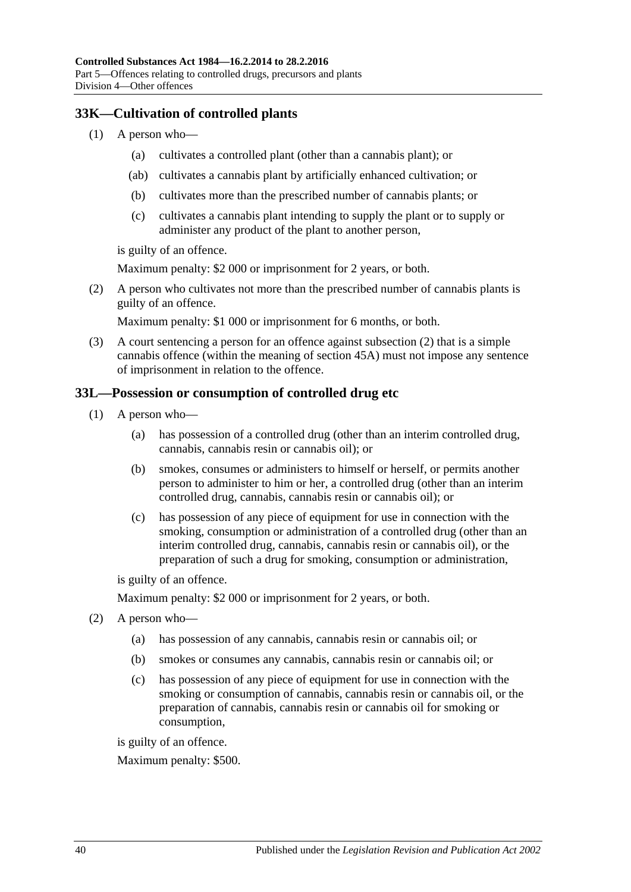## **33K—Cultivation of controlled plants**

- (1) A person who—
	- (a) cultivates a controlled plant (other than a cannabis plant); or
	- (ab) cultivates a cannabis plant by artificially enhanced cultivation; or
	- (b) cultivates more than the prescribed number of cannabis plants; or
	- (c) cultivates a cannabis plant intending to supply the plant or to supply or administer any product of the plant to another person,

is guilty of an offence.

Maximum penalty: \$2 000 or imprisonment for 2 years, or both.

<span id="page-39-0"></span>(2) A person who cultivates not more than the prescribed number of cannabis plants is guilty of an offence.

Maximum penalty: \$1 000 or imprisonment for 6 months, or both.

(3) A court sentencing a person for an offence against [subsection](#page-39-0) (2) that is a simple cannabis offence (within the meaning of [section](#page-52-0) 45A) must not impose any sentence of imprisonment in relation to the offence.

## **33L—Possession or consumption of controlled drug etc**

- (1) A person who—
	- (a) has possession of a controlled drug (other than an interim controlled drug, cannabis, cannabis resin or cannabis oil); or
	- (b) smokes, consumes or administers to himself or herself, or permits another person to administer to him or her, a controlled drug (other than an interim controlled drug, cannabis, cannabis resin or cannabis oil); or
	- (c) has possession of any piece of equipment for use in connection with the smoking, consumption or administration of a controlled drug (other than an interim controlled drug, cannabis, cannabis resin or cannabis oil), or the preparation of such a drug for smoking, consumption or administration,

is guilty of an offence.

Maximum penalty: \$2 000 or imprisonment for 2 years, or both.

- <span id="page-39-3"></span><span id="page-39-2"></span><span id="page-39-1"></span>(2) A person who—
	- (a) has possession of any cannabis, cannabis resin or cannabis oil; or
	- (b) smokes or consumes any cannabis, cannabis resin or cannabis oil; or
	- (c) has possession of any piece of equipment for use in connection with the smoking or consumption of cannabis, cannabis resin or cannabis oil, or the preparation of cannabis, cannabis resin or cannabis oil for smoking or consumption,

is guilty of an offence.

Maximum penalty: \$500.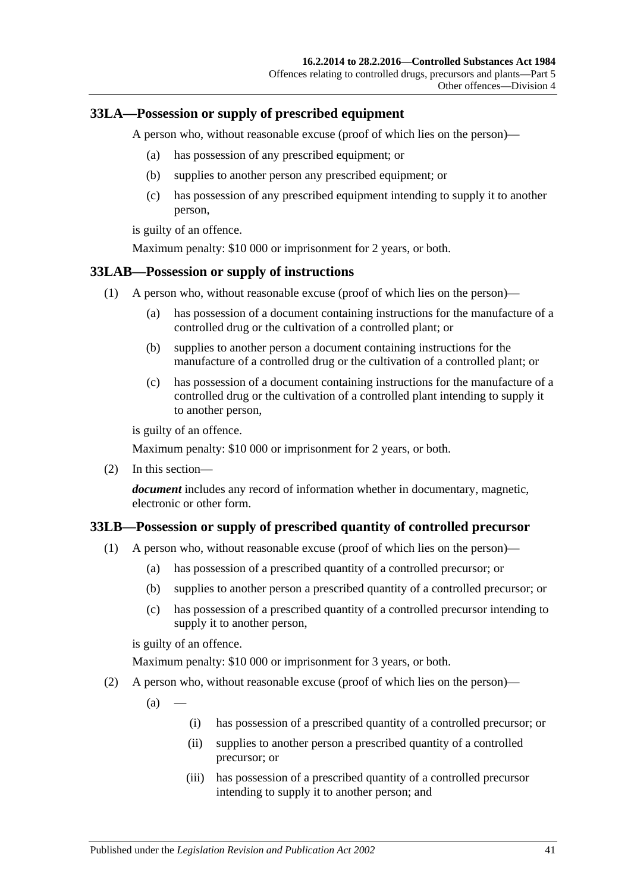### <span id="page-40-1"></span>**33LA—Possession or supply of prescribed equipment**

A person who, without reasonable excuse (proof of which lies on the person)—

- (a) has possession of any prescribed equipment; or
- (b) supplies to another person any prescribed equipment; or
- (c) has possession of any prescribed equipment intending to supply it to another person,

is guilty of an offence.

Maximum penalty: \$10 000 or imprisonment for 2 years, or both.

#### **33LAB—Possession or supply of instructions**

- (1) A person who, without reasonable excuse (proof of which lies on the person)—
	- (a) has possession of a document containing instructions for the manufacture of a controlled drug or the cultivation of a controlled plant; or
	- (b) supplies to another person a document containing instructions for the manufacture of a controlled drug or the cultivation of a controlled plant; or
	- (c) has possession of a document containing instructions for the manufacture of a controlled drug or the cultivation of a controlled plant intending to supply it to another person,

is guilty of an offence.

Maximum penalty: \$10 000 or imprisonment for 2 years, or both.

(2) In this section—

*document* includes any record of information whether in documentary, magnetic, electronic or other form.

#### <span id="page-40-0"></span>**33LB—Possession or supply of prescribed quantity of controlled precursor**

- (1) A person who, without reasonable excuse (proof of which lies on the person)—
	- (a) has possession of a prescribed quantity of a controlled precursor; or
	- (b) supplies to another person a prescribed quantity of a controlled precursor; or
	- (c) has possession of a prescribed quantity of a controlled precursor intending to supply it to another person,

is guilty of an offence.

Maximum penalty: \$10 000 or imprisonment for 3 years, or both.

(2) A person who, without reasonable excuse (proof of which lies on the person)—

 $(a)$ 

- (i) has possession of a prescribed quantity of a controlled precursor; or
- (ii) supplies to another person a prescribed quantity of a controlled precursor; or
- (iii) has possession of a prescribed quantity of a controlled precursor intending to supply it to another person; and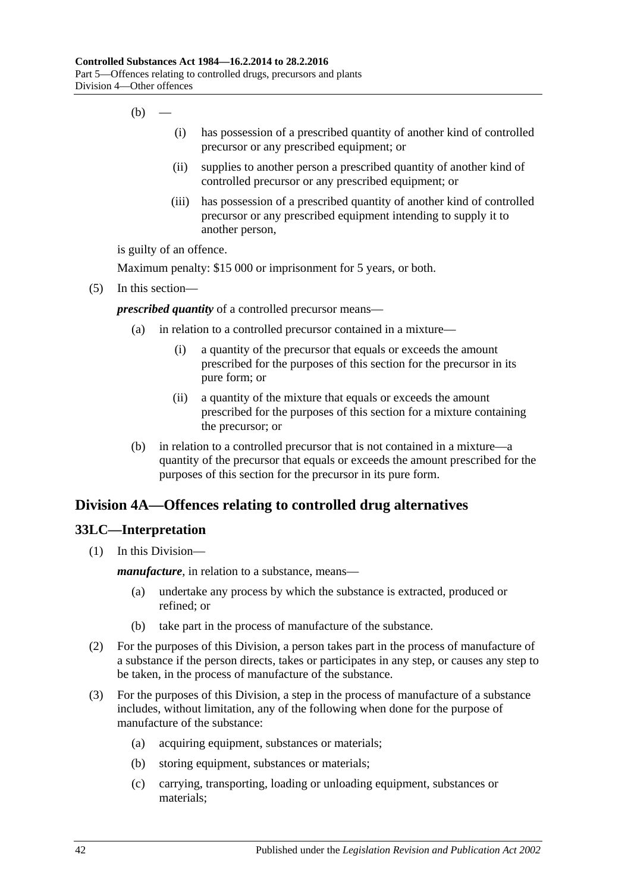- $(b)$ 
	- (i) has possession of a prescribed quantity of another kind of controlled precursor or any prescribed equipment; or
	- (ii) supplies to another person a prescribed quantity of another kind of controlled precursor or any prescribed equipment; or
	- (iii) has possession of a prescribed quantity of another kind of controlled precursor or any prescribed equipment intending to supply it to another person,

is guilty of an offence.

Maximum penalty: \$15 000 or imprisonment for 5 years, or both.

(5) In this section—

*prescribed quantity* of a controlled precursor means—

- (a) in relation to a controlled precursor contained in a mixture—
	- (i) a quantity of the precursor that equals or exceeds the amount prescribed for the purposes of this section for the precursor in its pure form; or
	- (ii) a quantity of the mixture that equals or exceeds the amount prescribed for the purposes of this section for a mixture containing the precursor; or
- (b) in relation to a controlled precursor that is not contained in a mixture—a quantity of the precursor that equals or exceeds the amount prescribed for the purposes of this section for the precursor in its pure form.

## **Division 4A—Offences relating to controlled drug alternatives**

## **33LC—Interpretation**

(1) In this Division—

*manufacture*, in relation to a substance, means—

- (a) undertake any process by which the substance is extracted, produced or refined; or
- (b) take part in the process of manufacture of the substance.
- (2) For the purposes of this Division, a person takes part in the process of manufacture of a substance if the person directs, takes or participates in any step, or causes any step to be taken, in the process of manufacture of the substance.
- (3) For the purposes of this Division, a step in the process of manufacture of a substance includes, without limitation, any of the following when done for the purpose of manufacture of the substance:
	- (a) acquiring equipment, substances or materials;
	- (b) storing equipment, substances or materials;
	- (c) carrying, transporting, loading or unloading equipment, substances or materials;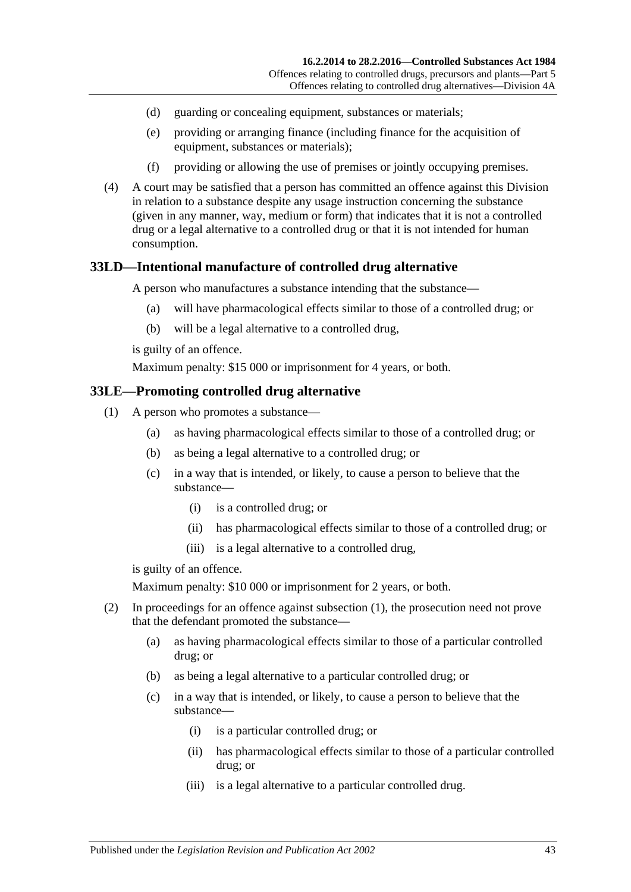- (d) guarding or concealing equipment, substances or materials;
- (e) providing or arranging finance (including finance for the acquisition of equipment, substances or materials);
- (f) providing or allowing the use of premises or jointly occupying premises.
- (4) A court may be satisfied that a person has committed an offence against this Division in relation to a substance despite any usage instruction concerning the substance (given in any manner, way, medium or form) that indicates that it is not a controlled drug or a legal alternative to a controlled drug or that it is not intended for human consumption.

#### <span id="page-42-2"></span>**33LD—Intentional manufacture of controlled drug alternative**

A person who manufactures a substance intending that the substance—

- (a) will have pharmacological effects similar to those of a controlled drug; or
- (b) will be a legal alternative to a controlled drug,

is guilty of an offence.

Maximum penalty: \$15 000 or imprisonment for 4 years, or both.

#### <span id="page-42-1"></span><span id="page-42-0"></span>**33LE—Promoting controlled drug alternative**

- (1) A person who promotes a substance—
	- (a) as having pharmacological effects similar to those of a controlled drug; or
	- (b) as being a legal alternative to a controlled drug; or
	- (c) in a way that is intended, or likely, to cause a person to believe that the substance—
		- (i) is a controlled drug; or
		- (ii) has pharmacological effects similar to those of a controlled drug; or
		- (iii) is a legal alternative to a controlled drug,

is guilty of an offence.

Maximum penalty: \$10 000 or imprisonment for 2 years, or both.

- (2) In proceedings for an offence against [subsection](#page-42-0) (1), the prosecution need not prove that the defendant promoted the substance—
	- (a) as having pharmacological effects similar to those of a particular controlled drug; or
	- (b) as being a legal alternative to a particular controlled drug; or
	- (c) in a way that is intended, or likely, to cause a person to believe that the substance—
		- (i) is a particular controlled drug; or
		- (ii) has pharmacological effects similar to those of a particular controlled drug; or
		- (iii) is a legal alternative to a particular controlled drug.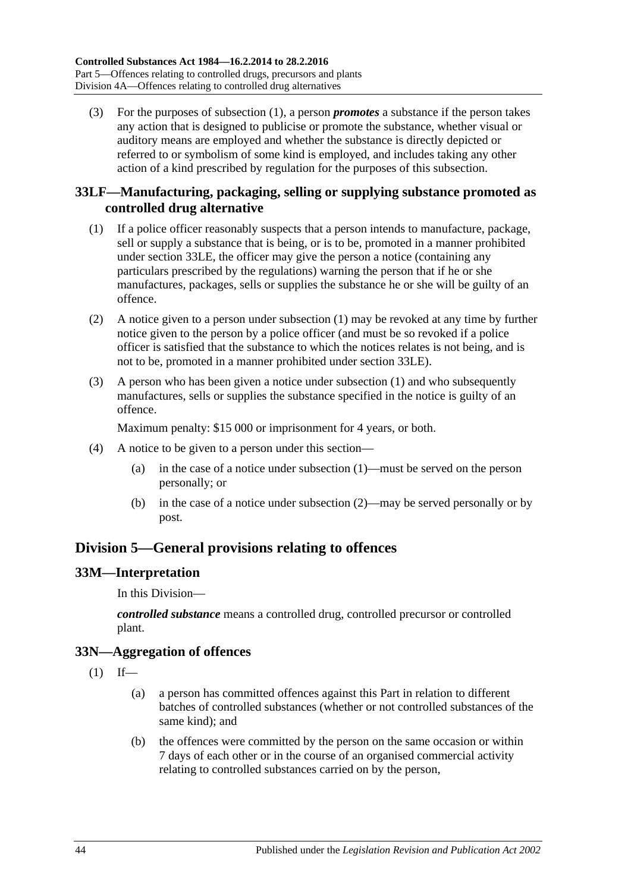(3) For the purposes of [subsection](#page-42-0) (1), a person *promotes* a substance if the person takes any action that is designed to publicise or promote the substance, whether visual or auditory means are employed and whether the substance is directly depicted or referred to or symbolism of some kind is employed, and includes taking any other action of a kind prescribed by regulation for the purposes of this subsection.

## **33LF—Manufacturing, packaging, selling or supplying substance promoted as controlled drug alternative**

- <span id="page-43-0"></span>(1) If a police officer reasonably suspects that a person intends to manufacture, package, sell or supply a substance that is being, or is to be, promoted in a manner prohibited under [section](#page-42-1) 33LE, the officer may give the person a notice (containing any particulars prescribed by the regulations) warning the person that if he or she manufactures, packages, sells or supplies the substance he or she will be guilty of an offence.
- <span id="page-43-1"></span>(2) A notice given to a person under [subsection](#page-43-0) (1) may be revoked at any time by further notice given to the person by a police officer (and must be so revoked if a police officer is satisfied that the substance to which the notices relates is not being, and is not to be, promoted in a manner prohibited under [section](#page-42-1) 33LE).
- (3) A person who has been given a notice under [subsection](#page-43-0) (1) and who subsequently manufactures, sells or supplies the substance specified in the notice is guilty of an offence.

Maximum penalty: \$15 000 or imprisonment for 4 years, or both.

- (4) A notice to be given to a person under this section—
	- (a) in the case of a notice under [subsection](#page-43-0) (1)—must be served on the person personally; or
	- (b) in the case of a notice under [subsection](#page-43-1) (2)—may be served personally or by post.

## **Division 5—General provisions relating to offences**

## **33M—Interpretation**

In this Division—

*controlled substance* means a controlled drug, controlled precursor or controlled plant.

## **33N—Aggregation of offences**

 $(1)$  If—

- (a) a person has committed offences against this Part in relation to different batches of controlled substances (whether or not controlled substances of the same kind); and
- (b) the offences were committed by the person on the same occasion or within 7 days of each other or in the course of an organised commercial activity relating to controlled substances carried on by the person,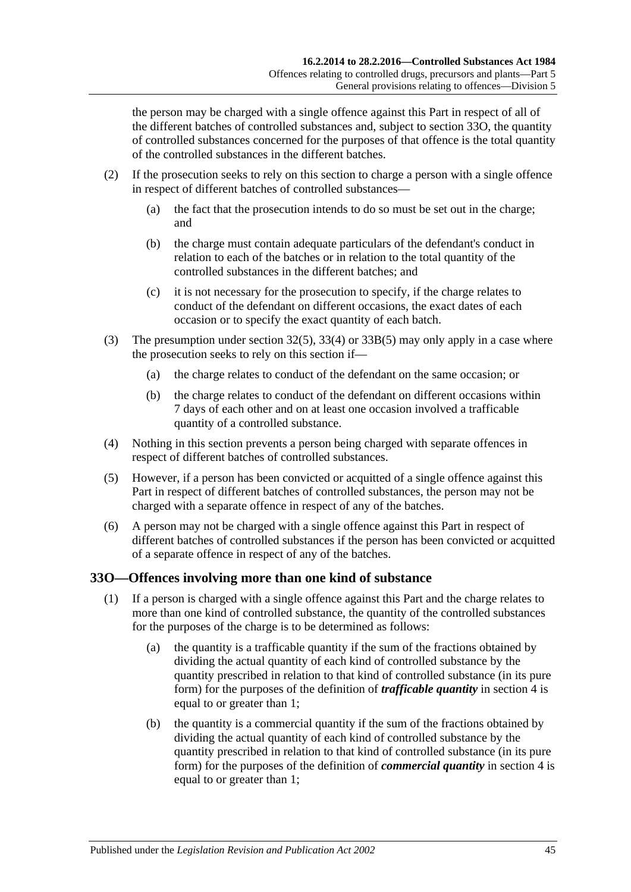the person may be charged with a single offence against this Part in respect of all of the different batches of controlled substances and, subject to [section](#page-44-0) 33O, the quantity of controlled substances concerned for the purposes of that offence is the total quantity of the controlled substances in the different batches.

- (2) If the prosecution seeks to rely on this section to charge a person with a single offence in respect of different batches of controlled substances—
	- (a) the fact that the prosecution intends to do so must be set out in the charge; and
	- (b) the charge must contain adequate particulars of the defendant's conduct in relation to each of the batches or in relation to the total quantity of the controlled substances in the different batches; and
	- (c) it is not necessary for the prosecution to specify, if the charge relates to conduct of the defendant on different occasions, the exact dates of each occasion or to specify the exact quantity of each batch.
- (3) The presumption under [section](#page-31-0) 32(5), [33\(4\)](#page-33-0) or [33B\(5\)](#page-35-3) may only apply in a case where the prosecution seeks to rely on this section if—
	- (a) the charge relates to conduct of the defendant on the same occasion; or
	- (b) the charge relates to conduct of the defendant on different occasions within 7 days of each other and on at least one occasion involved a trafficable quantity of a controlled substance.
- (4) Nothing in this section prevents a person being charged with separate offences in respect of different batches of controlled substances.
- (5) However, if a person has been convicted or acquitted of a single offence against this Part in respect of different batches of controlled substances, the person may not be charged with a separate offence in respect of any of the batches.
- (6) A person may not be charged with a single offence against this Part in respect of different batches of controlled substances if the person has been convicted or acquitted of a separate offence in respect of any of the batches.

## <span id="page-44-0"></span>**33O—Offences involving more than one kind of substance**

- (1) If a person is charged with a single offence against this Part and the charge relates to more than one kind of controlled substance, the quantity of the controlled substances for the purposes of the charge is to be determined as follows:
	- (a) the quantity is a trafficable quantity if the sum of the fractions obtained by dividing the actual quantity of each kind of controlled substance by the quantity prescribed in relation to that kind of controlled substance (in its pure form) for the purposes of the definition of *trafficable quantity* in [section](#page-3-0) 4 is equal to or greater than 1;
	- (b) the quantity is a commercial quantity if the sum of the fractions obtained by dividing the actual quantity of each kind of controlled substance by the quantity prescribed in relation to that kind of controlled substance (in its pure form) for the purposes of the definition of *commercial quantity* in [section](#page-3-0) 4 is equal to or greater than 1;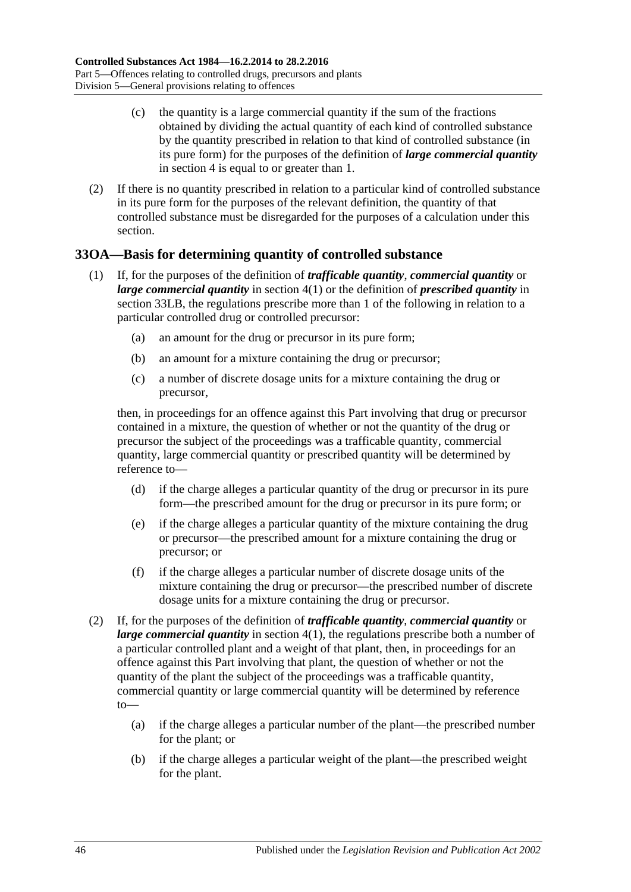- (c) the quantity is a large commercial quantity if the sum of the fractions obtained by dividing the actual quantity of each kind of controlled substance by the quantity prescribed in relation to that kind of controlled substance (in its pure form) for the purposes of the definition of *large commercial quantity* in [section](#page-3-0) 4 is equal to or greater than 1.
- (2) If there is no quantity prescribed in relation to a particular kind of controlled substance in its pure form for the purposes of the relevant definition, the quantity of that controlled substance must be disregarded for the purposes of a calculation under this section.

## **33OA—Basis for determining quantity of controlled substance**

- (1) If, for the purposes of the definition of *trafficable quantity*, *commercial quantity* or *large commercial quantity* in [section](#page-3-1) 4(1) or the definition of *prescribed quantity* in [section](#page-40-0) 33LB, the regulations prescribe more than 1 of the following in relation to a particular controlled drug or controlled precursor:
	- (a) an amount for the drug or precursor in its pure form;
	- (b) an amount for a mixture containing the drug or precursor;
	- (c) a number of discrete dosage units for a mixture containing the drug or precursor,

then, in proceedings for an offence against this Part involving that drug or precursor contained in a mixture, the question of whether or not the quantity of the drug or precursor the subject of the proceedings was a trafficable quantity, commercial quantity, large commercial quantity or prescribed quantity will be determined by reference to—

- (d) if the charge alleges a particular quantity of the drug or precursor in its pure form—the prescribed amount for the drug or precursor in its pure form; or
- (e) if the charge alleges a particular quantity of the mixture containing the drug or precursor—the prescribed amount for a mixture containing the drug or precursor; or
- (f) if the charge alleges a particular number of discrete dosage units of the mixture containing the drug or precursor—the prescribed number of discrete dosage units for a mixture containing the drug or precursor.
- (2) If, for the purposes of the definition of *trafficable quantity*, *commercial quantity* or *large commercial quantity* in [section](#page-3-1) 4(1), the regulations prescribe both a number of a particular controlled plant and a weight of that plant, then, in proceedings for an offence against this Part involving that plant, the question of whether or not the quantity of the plant the subject of the proceedings was a trafficable quantity, commercial quantity or large commercial quantity will be determined by reference to—
	- (a) if the charge alleges a particular number of the plant—the prescribed number for the plant; or
	- (b) if the charge alleges a particular weight of the plant—the prescribed weight for the plant.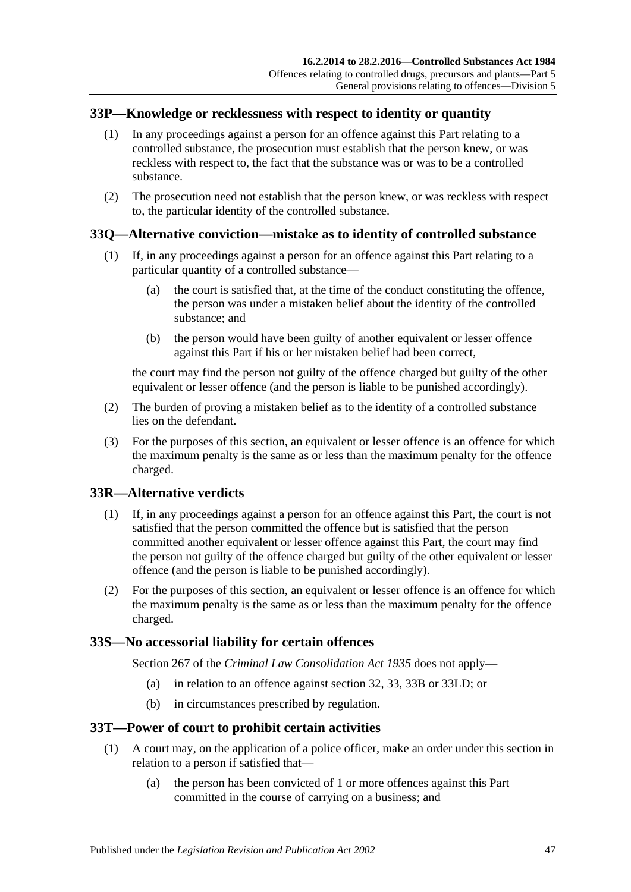### **33P—Knowledge or recklessness with respect to identity or quantity**

- (1) In any proceedings against a person for an offence against this Part relating to a controlled substance, the prosecution must establish that the person knew, or was reckless with respect to, the fact that the substance was or was to be a controlled substance.
- (2) The prosecution need not establish that the person knew, or was reckless with respect to, the particular identity of the controlled substance.

## **33Q—Alternative conviction—mistake as to identity of controlled substance**

- (1) If, in any proceedings against a person for an offence against this Part relating to a particular quantity of a controlled substance—
	- (a) the court is satisfied that, at the time of the conduct constituting the offence, the person was under a mistaken belief about the identity of the controlled substance; and
	- (b) the person would have been guilty of another equivalent or lesser offence against this Part if his or her mistaken belief had been correct,

the court may find the person not guilty of the offence charged but guilty of the other equivalent or lesser offence (and the person is liable to be punished accordingly).

- (2) The burden of proving a mistaken belief as to the identity of a controlled substance lies on the defendant.
- (3) For the purposes of this section, an equivalent or lesser offence is an offence for which the maximum penalty is the same as or less than the maximum penalty for the offence charged.

## **33R—Alternative verdicts**

- (1) If, in any proceedings against a person for an offence against this Part, the court is not satisfied that the person committed the offence but is satisfied that the person committed another equivalent or lesser offence against this Part, the court may find the person not guilty of the offence charged but guilty of the other equivalent or lesser offence (and the person is liable to be punished accordingly).
- (2) For the purposes of this section, an equivalent or lesser offence is an offence for which the maximum penalty is the same as or less than the maximum penalty for the offence charged.

## **33S—No accessorial liability for certain offences**

Section 267 of the *[Criminal Law Consolidation Act](http://www.legislation.sa.gov.au/index.aspx?action=legref&type=act&legtitle=Criminal%20Law%20Consolidation%20Act%201935) 1935* does not apply—

- (a) in relation to an offence against [section](#page-31-1) 32, [33,](#page-32-0) [33B](#page-34-0) or [33LD;](#page-42-2) or
- (b) in circumstances prescribed by regulation.

#### **33T—Power of court to prohibit certain activities**

- (1) A court may, on the application of a police officer, make an order under this section in relation to a person if satisfied that—
	- (a) the person has been convicted of 1 or more offences against this Part committed in the course of carrying on a business; and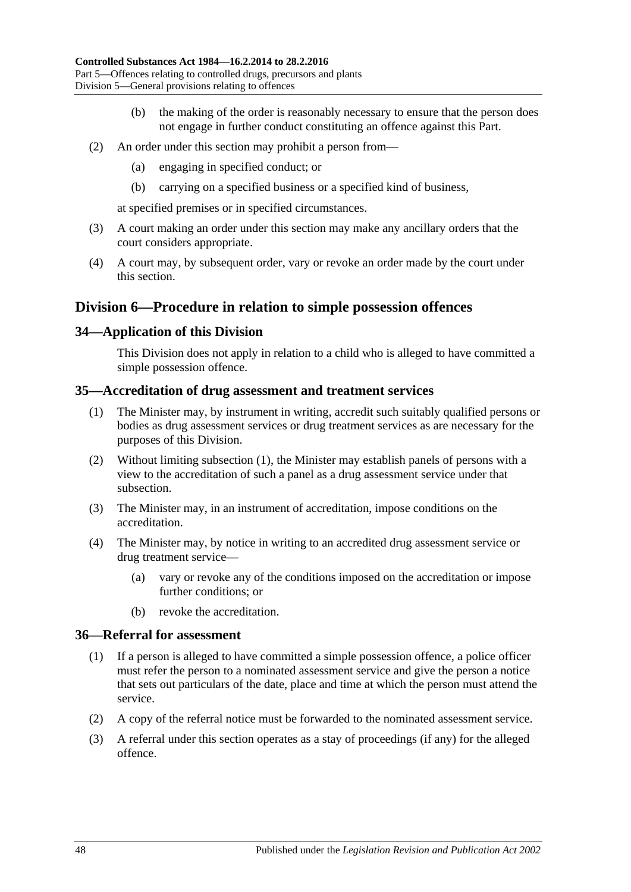- (b) the making of the order is reasonably necessary to ensure that the person does not engage in further conduct constituting an offence against this Part.
- (2) An order under this section may prohibit a person from—
	- (a) engaging in specified conduct; or
	- (b) carrying on a specified business or a specified kind of business,

at specified premises or in specified circumstances.

- (3) A court making an order under this section may make any ancillary orders that the court considers appropriate.
- (4) A court may, by subsequent order, vary or revoke an order made by the court under this section.

# **Division 6—Procedure in relation to simple possession offences**

## **34—Application of this Division**

This Division does not apply in relation to a child who is alleged to have committed a simple possession offence.

#### <span id="page-47-0"></span>**35—Accreditation of drug assessment and treatment services**

- (1) The Minister may, by instrument in writing, accredit such suitably qualified persons or bodies as drug assessment services or drug treatment services as are necessary for the purposes of this Division.
- (2) Without limiting [subsection](#page-47-0) (1), the Minister may establish panels of persons with a view to the accreditation of such a panel as a drug assessment service under that subsection.
- (3) The Minister may, in an instrument of accreditation, impose conditions on the accreditation.
- (4) The Minister may, by notice in writing to an accredited drug assessment service or drug treatment service—
	- (a) vary or revoke any of the conditions imposed on the accreditation or impose further conditions; or
	- (b) revoke the accreditation.

#### **36—Referral for assessment**

- (1) If a person is alleged to have committed a simple possession offence, a police officer must refer the person to a nominated assessment service and give the person a notice that sets out particulars of the date, place and time at which the person must attend the service.
- (2) A copy of the referral notice must be forwarded to the nominated assessment service.
- (3) A referral under this section operates as a stay of proceedings (if any) for the alleged offence.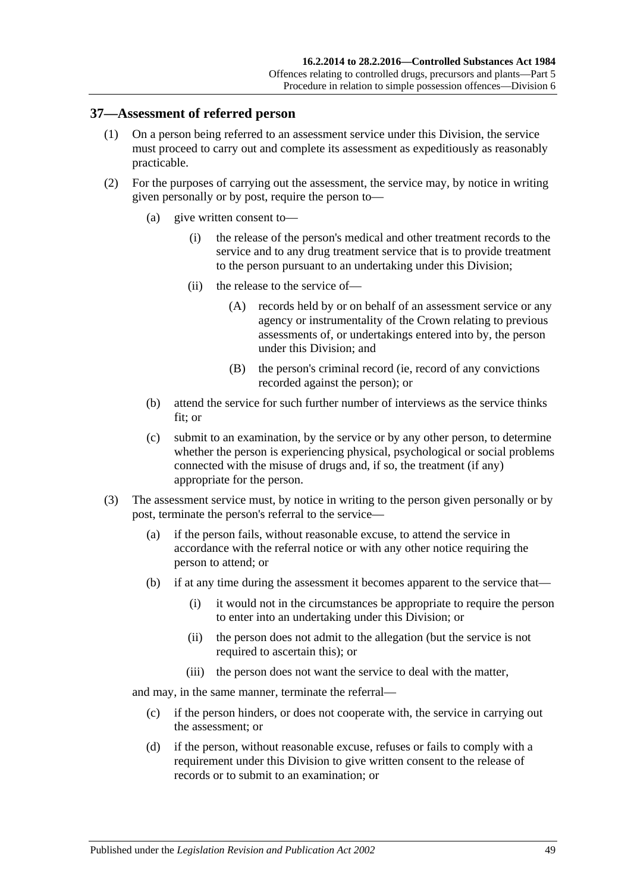#### **37—Assessment of referred person**

- (1) On a person being referred to an assessment service under this Division, the service must proceed to carry out and complete its assessment as expeditiously as reasonably practicable.
- (2) For the purposes of carrying out the assessment, the service may, by notice in writing given personally or by post, require the person to—
	- (a) give written consent to—
		- (i) the release of the person's medical and other treatment records to the service and to any drug treatment service that is to provide treatment to the person pursuant to an undertaking under this Division;
		- (ii) the release to the service of—
			- (A) records held by or on behalf of an assessment service or any agency or instrumentality of the Crown relating to previous assessments of, or undertakings entered into by, the person under this Division; and
			- (B) the person's criminal record (ie, record of any convictions recorded against the person); or
	- (b) attend the service for such further number of interviews as the service thinks fit; or
	- (c) submit to an examination, by the service or by any other person, to determine whether the person is experiencing physical, psychological or social problems connected with the misuse of drugs and, if so, the treatment (if any) appropriate for the person.
- <span id="page-48-0"></span>(3) The assessment service must, by notice in writing to the person given personally or by post, terminate the person's referral to the service—
	- (a) if the person fails, without reasonable excuse, to attend the service in accordance with the referral notice or with any other notice requiring the person to attend; or
	- (b) if at any time during the assessment it becomes apparent to the service that—
		- (i) it would not in the circumstances be appropriate to require the person to enter into an undertaking under this Division; or
		- (ii) the person does not admit to the allegation (but the service is not required to ascertain this); or
		- (iii) the person does not want the service to deal with the matter,

and may, in the same manner, terminate the referral—

- (c) if the person hinders, or does not cooperate with, the service in carrying out the assessment; or
- (d) if the person, without reasonable excuse, refuses or fails to comply with a requirement under this Division to give written consent to the release of records or to submit to an examination; or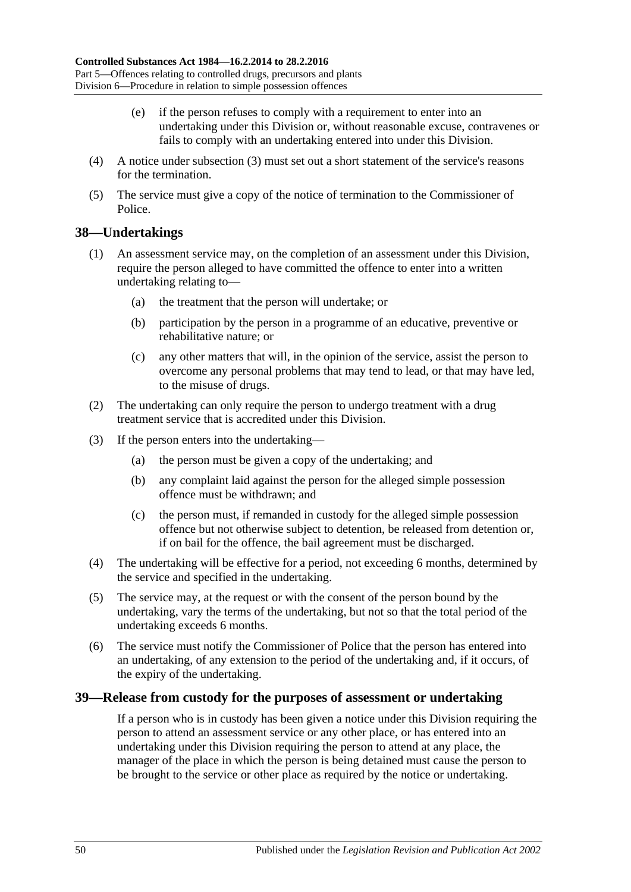- (e) if the person refuses to comply with a requirement to enter into an undertaking under this Division or, without reasonable excuse, contravenes or fails to comply with an undertaking entered into under this Division.
- (4) A notice under [subsection](#page-48-0) (3) must set out a short statement of the service's reasons for the termination.
- (5) The service must give a copy of the notice of termination to the Commissioner of Police.

#### **38—Undertakings**

- (1) An assessment service may, on the completion of an assessment under this Division, require the person alleged to have committed the offence to enter into a written undertaking relating to—
	- (a) the treatment that the person will undertake; or
	- (b) participation by the person in a programme of an educative, preventive or rehabilitative nature; or
	- (c) any other matters that will, in the opinion of the service, assist the person to overcome any personal problems that may tend to lead, or that may have led, to the misuse of drugs.
- (2) The undertaking can only require the person to undergo treatment with a drug treatment service that is accredited under this Division.
- (3) If the person enters into the undertaking—
	- (a) the person must be given a copy of the undertaking; and
	- (b) any complaint laid against the person for the alleged simple possession offence must be withdrawn; and
	- (c) the person must, if remanded in custody for the alleged simple possession offence but not otherwise subject to detention, be released from detention or, if on bail for the offence, the bail agreement must be discharged.
- (4) The undertaking will be effective for a period, not exceeding 6 months, determined by the service and specified in the undertaking.
- (5) The service may, at the request or with the consent of the person bound by the undertaking, vary the terms of the undertaking, but not so that the total period of the undertaking exceeds 6 months.
- (6) The service must notify the Commissioner of Police that the person has entered into an undertaking, of any extension to the period of the undertaking and, if it occurs, of the expiry of the undertaking.

#### **39—Release from custody for the purposes of assessment or undertaking**

If a person who is in custody has been given a notice under this Division requiring the person to attend an assessment service or any other place, or has entered into an undertaking under this Division requiring the person to attend at any place, the manager of the place in which the person is being detained must cause the person to be brought to the service or other place as required by the notice or undertaking.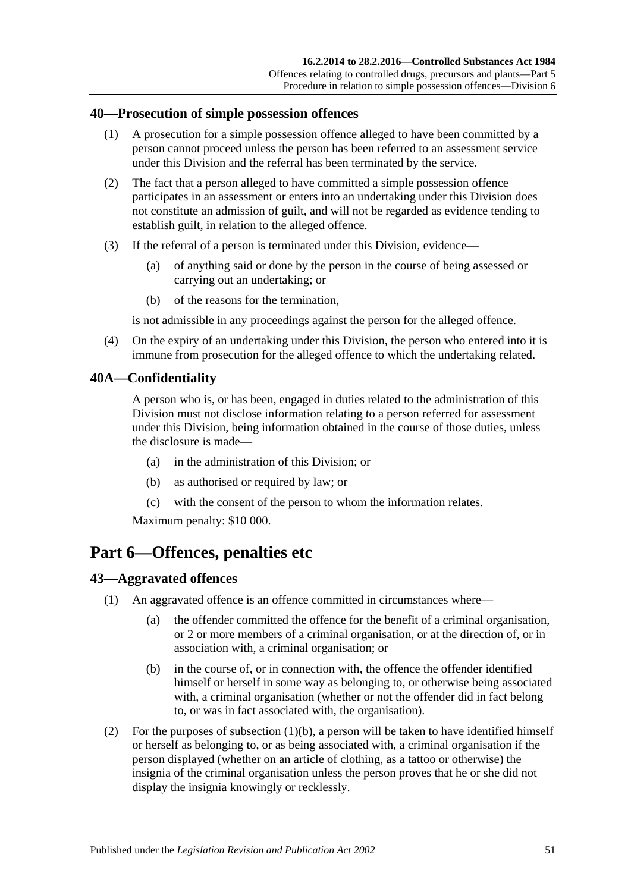#### **40—Prosecution of simple possession offences**

- (1) A prosecution for a simple possession offence alleged to have been committed by a person cannot proceed unless the person has been referred to an assessment service under this Division and the referral has been terminated by the service.
- (2) The fact that a person alleged to have committed a simple possession offence participates in an assessment or enters into an undertaking under this Division does not constitute an admission of guilt, and will not be regarded as evidence tending to establish guilt, in relation to the alleged offence.
- (3) If the referral of a person is terminated under this Division, evidence—
	- (a) of anything said or done by the person in the course of being assessed or carrying out an undertaking; or
	- (b) of the reasons for the termination,

is not admissible in any proceedings against the person for the alleged offence.

(4) On the expiry of an undertaking under this Division, the person who entered into it is immune from prosecution for the alleged offence to which the undertaking related.

## **40A—Confidentiality**

A person who is, or has been, engaged in duties related to the administration of this Division must not disclose information relating to a person referred for assessment under this Division, being information obtained in the course of those duties, unless the disclosure is made—

- (a) in the administration of this Division; or
- (b) as authorised or required by law; or
- (c) with the consent of the person to whom the information relates.

Maximum penalty: \$10 000.

# **Part 6—Offences, penalties etc**

## **43—Aggravated offences**

- <span id="page-50-0"></span>(1) An aggravated offence is an offence committed in circumstances where—
	- (a) the offender committed the offence for the benefit of a criminal organisation, or 2 or more members of a criminal organisation, or at the direction of, or in association with, a criminal organisation; or
	- (b) in the course of, or in connection with, the offence the offender identified himself or herself in some way as belonging to, or otherwise being associated with, a criminal organisation (whether or not the offender did in fact belong to, or was in fact associated with, the organisation).
- <span id="page-50-1"></span>(2) For the purposes of [subsection](#page-50-0)  $(1)(b)$ , a person will be taken to have identified himself or herself as belonging to, or as being associated with, a criminal organisation if the person displayed (whether on an article of clothing, as a tattoo or otherwise) the insignia of the criminal organisation unless the person proves that he or she did not display the insignia knowingly or recklessly.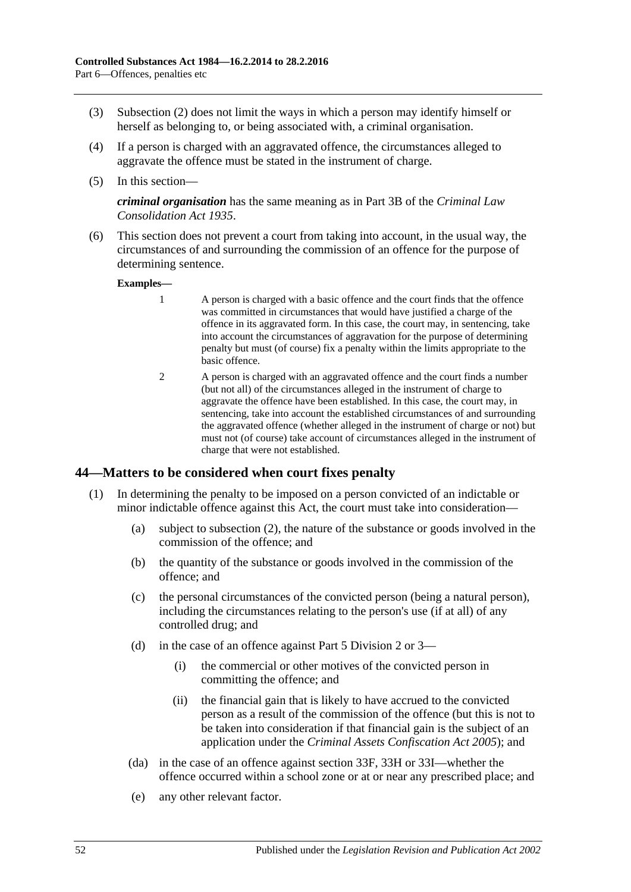- (3) [Subsection](#page-50-1) (2) does not limit the ways in which a person may identify himself or herself as belonging to, or being associated with, a criminal organisation.
- (4) If a person is charged with an aggravated offence, the circumstances alleged to aggravate the offence must be stated in the instrument of charge.
- (5) In this section—

*criminal organisation* has the same meaning as in Part 3B of the *[Criminal Law](http://www.legislation.sa.gov.au/index.aspx?action=legref&type=act&legtitle=Criminal%20Law%20Consolidation%20Act%201935)  [Consolidation Act](http://www.legislation.sa.gov.au/index.aspx?action=legref&type=act&legtitle=Criminal%20Law%20Consolidation%20Act%201935) 1935*.

(6) This section does not prevent a court from taking into account, in the usual way, the circumstances of and surrounding the commission of an offence for the purpose of determining sentence.

**Examples—**

- 1 A person is charged with a basic offence and the court finds that the offence was committed in circumstances that would have justified a charge of the offence in its aggravated form. In this case, the court may, in sentencing, take into account the circumstances of aggravation for the purpose of determining penalty but must (of course) fix a penalty within the limits appropriate to the basic offence.
- 2 A person is charged with an aggravated offence and the court finds a number (but not all) of the circumstances alleged in the instrument of charge to aggravate the offence have been established. In this case, the court may, in sentencing, take into account the established circumstances of and surrounding the aggravated offence (whether alleged in the instrument of charge or not) but must not (of course) take account of circumstances alleged in the instrument of charge that were not established.

## **44—Matters to be considered when court fixes penalty**

- (1) In determining the penalty to be imposed on a person convicted of an indictable or minor indictable offence against this Act, the court must take into consideration—
	- (a) subject to [subsection](#page-52-1) (2), the nature of the substance or goods involved in the commission of the offence; and
	- (b) the quantity of the substance or goods involved in the commission of the offence; and
	- (c) the personal circumstances of the convicted person (being a natural person), including the circumstances relating to the person's use (if at all) of any controlled drug; and
	- (d) in the case of an offence against [Part 5 Division 2](#page-31-2) or [3—](#page-36-0)
		- (i) the commercial or other motives of the convicted person in committing the offence; and
		- (ii) the financial gain that is likely to have accrued to the convicted person as a result of the commission of the offence (but this is not to be taken into consideration if that financial gain is the subject of an application under the *[Criminal Assets Confiscation Act](http://www.legislation.sa.gov.au/index.aspx?action=legref&type=act&legtitle=Criminal%20Assets%20Confiscation%20Act%202005) 2005*); and
	- (da) in the case of an offence against [section](#page-37-1) 33F, [33H](#page-38-0) or [33I—](#page-38-1)whether the offence occurred within a school zone or at or near any prescribed place; and
	- (e) any other relevant factor.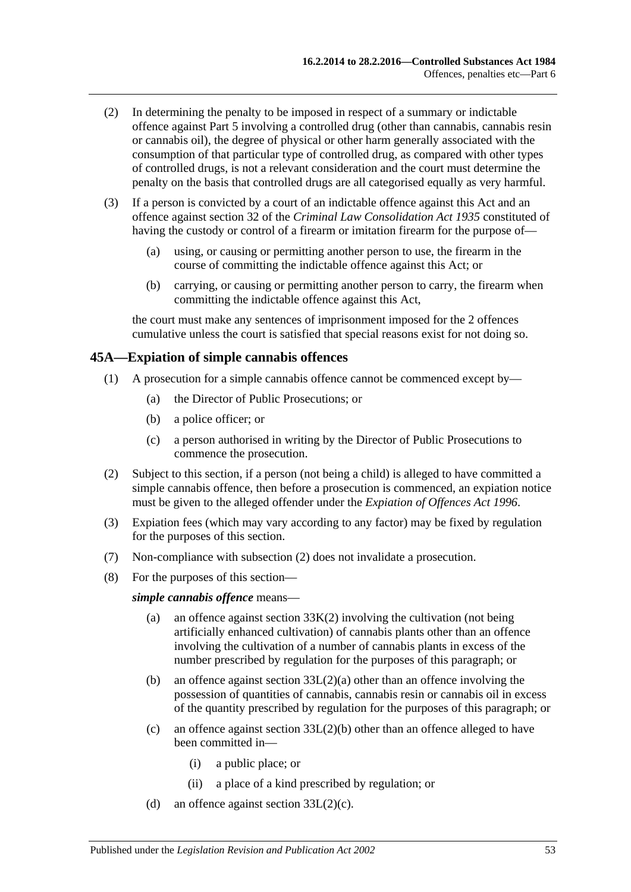- <span id="page-52-1"></span>(2) In determining the penalty to be imposed in respect of a summary or indictable offence against [Part 5](#page-29-0) involving a controlled drug (other than cannabis, cannabis resin or cannabis oil), the degree of physical or other harm generally associated with the consumption of that particular type of controlled drug, as compared with other types of controlled drugs, is not a relevant consideration and the court must determine the penalty on the basis that controlled drugs are all categorised equally as very harmful.
- (3) If a person is convicted by a court of an indictable offence against this Act and an offence against section 32 of the *[Criminal Law Consolidation Act](http://www.legislation.sa.gov.au/index.aspx?action=legref&type=act&legtitle=Criminal%20Law%20Consolidation%20Act%201935) 1935* constituted of having the custody or control of a firearm or imitation firearm for the purpose of—
	- (a) using, or causing or permitting another person to use, the firearm in the course of committing the indictable offence against this Act; or
	- (b) carrying, or causing or permitting another person to carry, the firearm when committing the indictable offence against this Act,

the court must make any sentences of imprisonment imposed for the 2 offences cumulative unless the court is satisfied that special reasons exist for not doing so.

#### <span id="page-52-0"></span>**45A—Expiation of simple cannabis offences**

- (1) A prosecution for a simple cannabis offence cannot be commenced except by—
	- (a) the Director of Public Prosecutions; or
	- (b) a police officer; or
	- (c) a person authorised in writing by the Director of Public Prosecutions to commence the prosecution.
- <span id="page-52-2"></span>(2) Subject to this section, if a person (not being a child) is alleged to have committed a simple cannabis offence, then before a prosecution is commenced, an expiation notice must be given to the alleged offender under the *[Expiation of Offences Act](http://www.legislation.sa.gov.au/index.aspx?action=legref&type=act&legtitle=Expiation%20of%20Offences%20Act%201996) 1996*.
- (3) Expiation fees (which may vary according to any factor) may be fixed by regulation for the purposes of this section.
- (7) Non-compliance with [subsection](#page-52-2) (2) does not invalidate a prosecution.
- (8) For the purposes of this section—

*simple cannabis offence* means—

- (a) an offence against [section](#page-39-0)  $33K(2)$  involving the cultivation (not being artificially enhanced cultivation) of cannabis plants other than an offence involving the cultivation of a number of cannabis plants in excess of the number prescribed by regulation for the purposes of this paragraph; or
- (b) an offence against section [33L\(2\)\(a\)](#page-39-1) other than an offence involving the possession of quantities of cannabis, cannabis resin or cannabis oil in excess of the quantity prescribed by regulation for the purposes of this paragraph; or
- (c) an offence against section [33L\(2\)\(b\)](#page-39-2) other than an offence alleged to have been committed in—
	- (i) a public place; or
	- (ii) a place of a kind prescribed by regulation; or
- (d) an offence against section  $33L(2)(c)$ .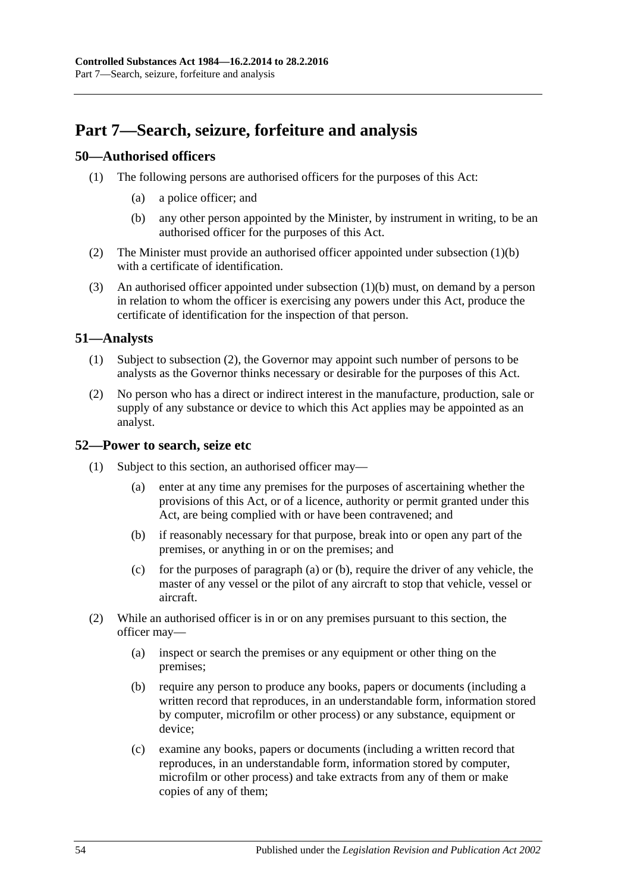# **Part 7—Search, seizure, forfeiture and analysis**

## **50—Authorised officers**

- <span id="page-53-0"></span>(1) The following persons are authorised officers for the purposes of this Act:
	- (a) a police officer; and
	- (b) any other person appointed by the Minister, by instrument in writing, to be an authorised officer for the purposes of this Act.
- (2) The Minister must provide an authorised officer appointed under [subsection](#page-53-0) (1)(b) with a certificate of identification.
- (3) An authorised officer appointed under [subsection](#page-53-0) (1)(b) must, on demand by a person in relation to whom the officer is exercising any powers under this Act, produce the certificate of identification for the inspection of that person.

#### **51—Analysts**

- (1) Subject to [subsection](#page-53-1) (2), the Governor may appoint such number of persons to be analysts as the Governor thinks necessary or desirable for the purposes of this Act.
- <span id="page-53-1"></span>(2) No person who has a direct or indirect interest in the manufacture, production, sale or supply of any substance or device to which this Act applies may be appointed as an analyst.

#### <span id="page-53-4"></span>**52—Power to search, seize etc**

- <span id="page-53-3"></span><span id="page-53-2"></span>(1) Subject to this section, an authorised officer may
	- enter at any time any premises for the purposes of ascertaining whether the provisions of this Act, or of a licence, authority or permit granted under this Act, are being complied with or have been contravened; and
	- (b) if reasonably necessary for that purpose, break into or open any part of the premises, or anything in or on the premises; and
	- (c) for the purposes of [paragraph](#page-53-2) (a) or [\(b\),](#page-53-3) require the driver of any vehicle, the master of any vessel or the pilot of any aircraft to stop that vehicle, vessel or aircraft.
- (2) While an authorised officer is in or on any premises pursuant to this section, the officer may—
	- (a) inspect or search the premises or any equipment or other thing on the premises;
	- (b) require any person to produce any books, papers or documents (including a written record that reproduces, in an understandable form, information stored by computer, microfilm or other process) or any substance, equipment or device;
	- (c) examine any books, papers or documents (including a written record that reproduces, in an understandable form, information stored by computer, microfilm or other process) and take extracts from any of them or make copies of any of them;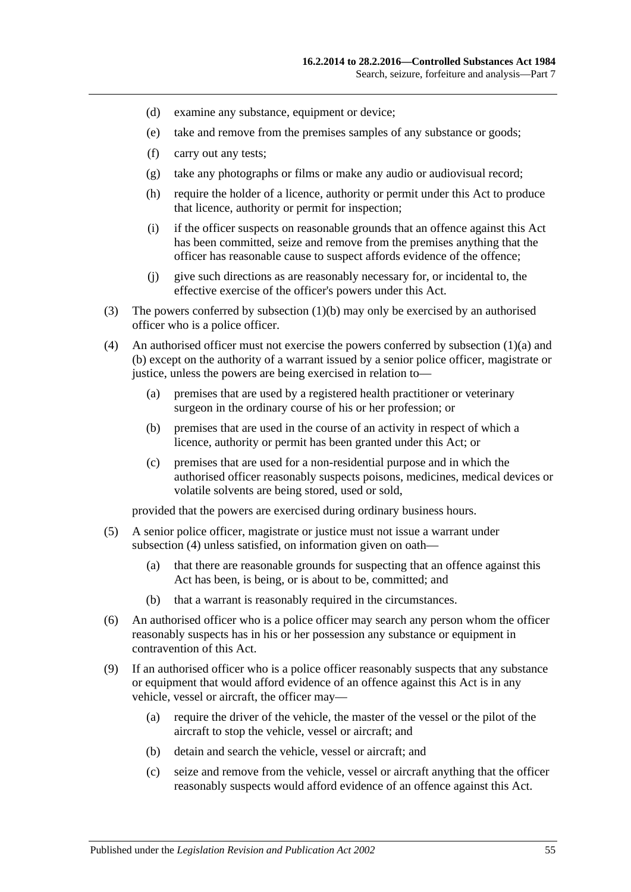- (d) examine any substance, equipment or device;
- (e) take and remove from the premises samples of any substance or goods;
- (f) carry out any tests;
- (g) take any photographs or films or make any audio or audiovisual record;
- (h) require the holder of a licence, authority or permit under this Act to produce that licence, authority or permit for inspection;
- (i) if the officer suspects on reasonable grounds that an offence against this Act has been committed, seize and remove from the premises anything that the officer has reasonable cause to suspect affords evidence of the offence;
- (j) give such directions as are reasonably necessary for, or incidental to, the effective exercise of the officer's powers under this Act.
- (3) The powers conferred by [subsection](#page-53-3) (1)(b) may only be exercised by an authorised officer who is a police officer.
- <span id="page-54-0"></span>(4) An authorised officer must not exercise the powers conferred by [subsection](#page-53-2) (1)(a) and [\(b\)](#page-53-3) except on the authority of a warrant issued by a senior police officer, magistrate or justice, unless the powers are being exercised in relation to—
	- (a) premises that are used by a registered health practitioner or veterinary surgeon in the ordinary course of his or her profession; or
	- (b) premises that are used in the course of an activity in respect of which a licence, authority or permit has been granted under this Act; or
	- (c) premises that are used for a non-residential purpose and in which the authorised officer reasonably suspects poisons, medicines, medical devices or volatile solvents are being stored, used or sold,

provided that the powers are exercised during ordinary business hours.

- (5) A senior police officer, magistrate or justice must not issue a warrant under [subsection](#page-54-0) (4) unless satisfied, on information given on oath-
	- (a) that there are reasonable grounds for suspecting that an offence against this Act has been, is being, or is about to be, committed; and
	- (b) that a warrant is reasonably required in the circumstances.
- (6) An authorised officer who is a police officer may search any person whom the officer reasonably suspects has in his or her possession any substance or equipment in contravention of this Act.
- (9) If an authorised officer who is a police officer reasonably suspects that any substance or equipment that would afford evidence of an offence against this Act is in any vehicle, vessel or aircraft, the officer may—
	- (a) require the driver of the vehicle, the master of the vessel or the pilot of the aircraft to stop the vehicle, vessel or aircraft; and
	- (b) detain and search the vehicle, vessel or aircraft; and
	- (c) seize and remove from the vehicle, vessel or aircraft anything that the officer reasonably suspects would afford evidence of an offence against this Act.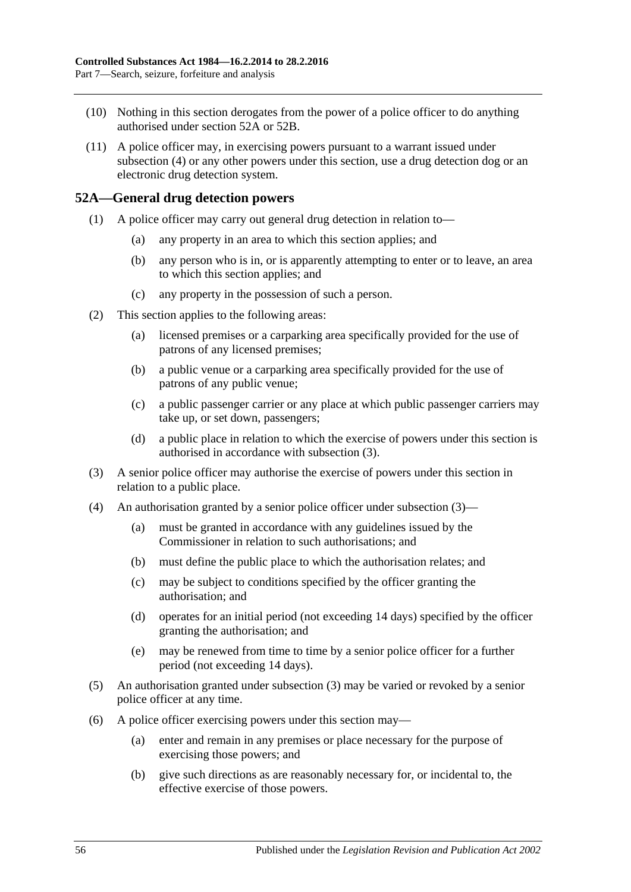- (10) Nothing in this section derogates from the power of a police officer to do anything authorised under [section](#page-55-0) 52A or [52B.](#page-56-0)
- (11) A police officer may, in exercising powers pursuant to a warrant issued under [subsection](#page-54-0) (4) or any other powers under this section, use a drug detection dog or an electronic drug detection system.

### <span id="page-55-0"></span>**52A—General drug detection powers**

- (1) A police officer may carry out general drug detection in relation to—
	- (a) any property in an area to which this section applies; and
	- (b) any person who is in, or is apparently attempting to enter or to leave, an area to which this section applies; and
	- (c) any property in the possession of such a person.
- (2) This section applies to the following areas:
	- (a) licensed premises or a carparking area specifically provided for the use of patrons of any licensed premises;
	- (b) a public venue or a carparking area specifically provided for the use of patrons of any public venue;
	- (c) a public passenger carrier or any place at which public passenger carriers may take up, or set down, passengers;
	- (d) a public place in relation to which the exercise of powers under this section is authorised in accordance with [subsection](#page-55-1) (3).
- <span id="page-55-1"></span>(3) A senior police officer may authorise the exercise of powers under this section in relation to a public place.
- (4) An authorisation granted by a senior police officer under [subsection](#page-55-1) (3)—
	- (a) must be granted in accordance with any guidelines issued by the Commissioner in relation to such authorisations; and
	- (b) must define the public place to which the authorisation relates; and
	- (c) may be subject to conditions specified by the officer granting the authorisation; and
	- (d) operates for an initial period (not exceeding 14 days) specified by the officer granting the authorisation; and
	- (e) may be renewed from time to time by a senior police officer for a further period (not exceeding 14 days).
- (5) An authorisation granted under [subsection](#page-55-1) (3) may be varied or revoked by a senior police officer at any time.
- (6) A police officer exercising powers under this section may—
	- (a) enter and remain in any premises or place necessary for the purpose of exercising those powers; and
	- (b) give such directions as are reasonably necessary for, or incidental to, the effective exercise of those powers.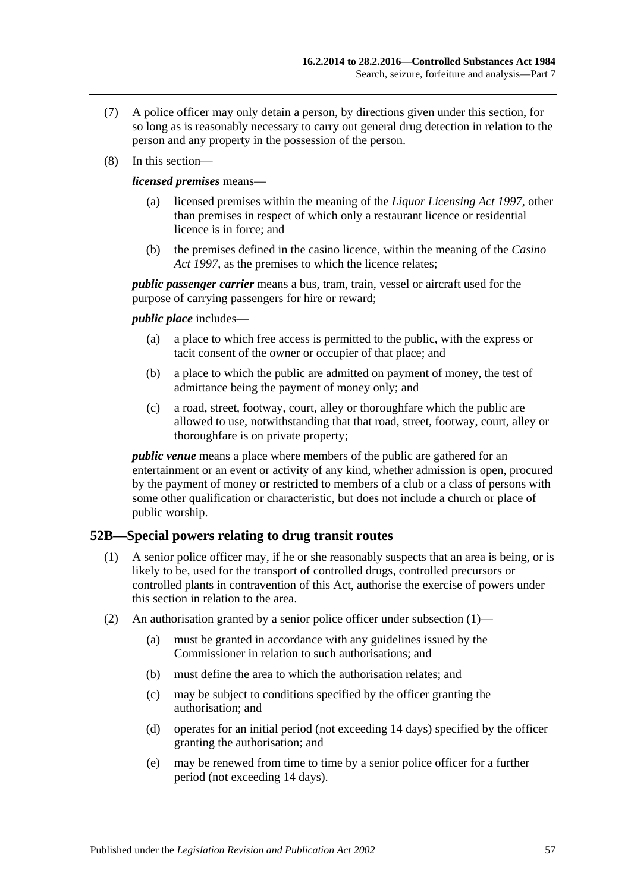- (7) A police officer may only detain a person, by directions given under this section, for so long as is reasonably necessary to carry out general drug detection in relation to the person and any property in the possession of the person.
- (8) In this section—

*licensed premises* means—

- licensed premises within the meaning of the *[Liquor Licensing Act](http://www.legislation.sa.gov.au/index.aspx?action=legref&type=act&legtitle=Liquor%20Licensing%20Act%201997) 1997*, other than premises in respect of which only a restaurant licence or residential licence is in force; and
- (b) the premises defined in the casino licence, within the meaning of the *[Casino](http://www.legislation.sa.gov.au/index.aspx?action=legref&type=act&legtitle=Casino%20Act%201997)  Act [1997](http://www.legislation.sa.gov.au/index.aspx?action=legref&type=act&legtitle=Casino%20Act%201997)*, as the premises to which the licence relates;

*public passenger carrier* means a bus, tram, train, vessel or aircraft used for the purpose of carrying passengers for hire or reward;

*public place* includes—

- (a) a place to which free access is permitted to the public, with the express or tacit consent of the owner or occupier of that place; and
- (b) a place to which the public are admitted on payment of money, the test of admittance being the payment of money only; and
- (c) a road, street, footway, court, alley or thoroughfare which the public are allowed to use, notwithstanding that that road, street, footway, court, alley or thoroughfare is on private property;

*public venue* means a place where members of the public are gathered for an entertainment or an event or activity of any kind, whether admission is open, procured by the payment of money or restricted to members of a club or a class of persons with some other qualification or characteristic, but does not include a church or place of public worship.

## <span id="page-56-1"></span><span id="page-56-0"></span>**52B—Special powers relating to drug transit routes**

- (1) A senior police officer may, if he or she reasonably suspects that an area is being, or is likely to be, used for the transport of controlled drugs, controlled precursors or controlled plants in contravention of this Act, authorise the exercise of powers under this section in relation to the area.
- (2) An authorisation granted by a senior police officer under [subsection](#page-56-1) (1)—
	- (a) must be granted in accordance with any guidelines issued by the Commissioner in relation to such authorisations; and
	- (b) must define the area to which the authorisation relates; and
	- (c) may be subject to conditions specified by the officer granting the authorisation; and
	- (d) operates for an initial period (not exceeding 14 days) specified by the officer granting the authorisation; and
	- (e) may be renewed from time to time by a senior police officer for a further period (not exceeding 14 days).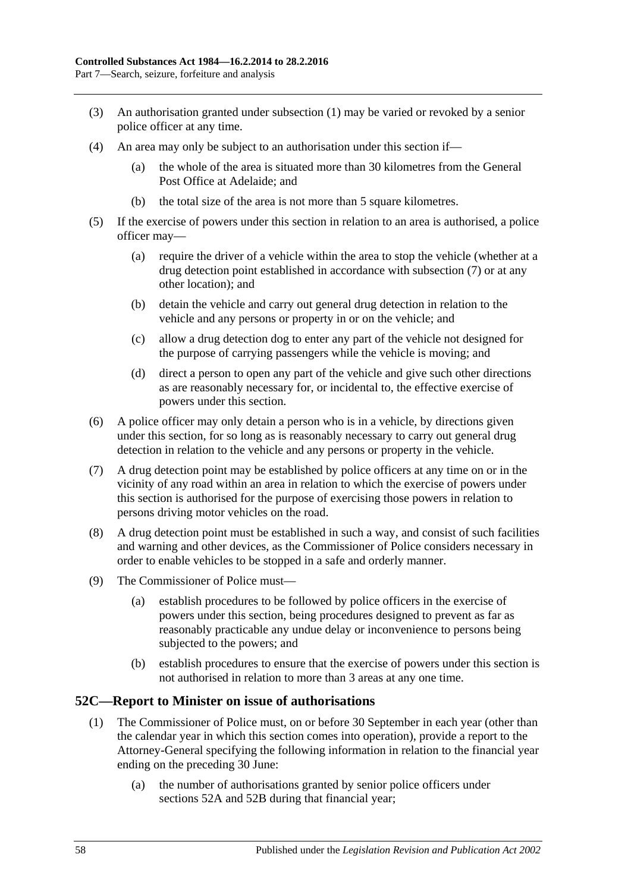- (3) An authorisation granted under [subsection](#page-56-1) (1) may be varied or revoked by a senior police officer at any time.
- (4) An area may only be subject to an authorisation under this section if—
	- (a) the whole of the area is situated more than 30 kilometres from the General Post Office at Adelaide; and
	- (b) the total size of the area is not more than 5 square kilometres.
- (5) If the exercise of powers under this section in relation to an area is authorised, a police officer may—
	- (a) require the driver of a vehicle within the area to stop the vehicle (whether at a drug detection point established in accordance with [subsection](#page-57-0) (7) or at any other location); and
	- (b) detain the vehicle and carry out general drug detection in relation to the vehicle and any persons or property in or on the vehicle; and
	- (c) allow a drug detection dog to enter any part of the vehicle not designed for the purpose of carrying passengers while the vehicle is moving; and
	- (d) direct a person to open any part of the vehicle and give such other directions as are reasonably necessary for, or incidental to, the effective exercise of powers under this section.
- (6) A police officer may only detain a person who is in a vehicle, by directions given under this section, for so long as is reasonably necessary to carry out general drug detection in relation to the vehicle and any persons or property in the vehicle.
- <span id="page-57-0"></span>(7) A drug detection point may be established by police officers at any time on or in the vicinity of any road within an area in relation to which the exercise of powers under this section is authorised for the purpose of exercising those powers in relation to persons driving motor vehicles on the road.
- (8) A drug detection point must be established in such a way, and consist of such facilities and warning and other devices, as the Commissioner of Police considers necessary in order to enable vehicles to be stopped in a safe and orderly manner.
- (9) The Commissioner of Police must—
	- (a) establish procedures to be followed by police officers in the exercise of powers under this section, being procedures designed to prevent as far as reasonably practicable any undue delay or inconvenience to persons being subjected to the powers; and
	- (b) establish procedures to ensure that the exercise of powers under this section is not authorised in relation to more than 3 areas at any one time.

## **52C—Report to Minister on issue of authorisations**

- (1) The Commissioner of Police must, on or before 30 September in each year (other than the calendar year in which this section comes into operation), provide a report to the Attorney-General specifying the following information in relation to the financial year ending on the preceding 30 June:
	- (a) the number of authorisations granted by senior police officers under [sections](#page-55-0) 52A and [52B](#page-56-0) during that financial year;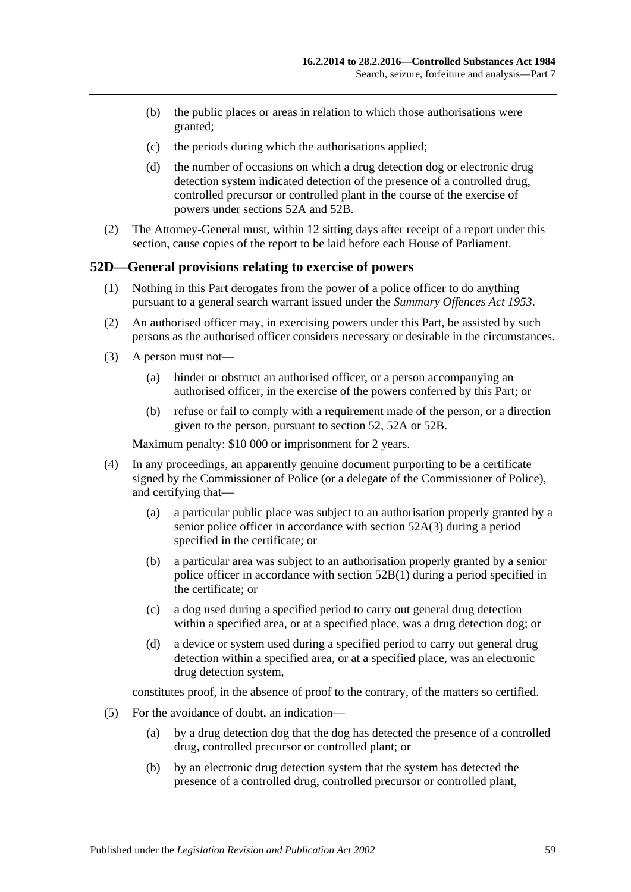- (b) the public places or areas in relation to which those authorisations were granted;
- (c) the periods during which the authorisations applied;
- (d) the number of occasions on which a drug detection dog or electronic drug detection system indicated detection of the presence of a controlled drug, controlled precursor or controlled plant in the course of the exercise of powers under [sections](#page-55-0) 52A and [52B.](#page-56-0)
- (2) The Attorney-General must, within 12 sitting days after receipt of a report under this section, cause copies of the report to be laid before each House of Parliament.

#### **52D—General provisions relating to exercise of powers**

- (1) Nothing in this Part derogates from the power of a police officer to do anything pursuant to a general search warrant issued under the *[Summary Offences Act](http://www.legislation.sa.gov.au/index.aspx?action=legref&type=act&legtitle=Summary%20Offences%20Act%201953) 1953*.
- (2) An authorised officer may, in exercising powers under this Part, be assisted by such persons as the authorised officer considers necessary or desirable in the circumstances.
- (3) A person must not—
	- (a) hinder or obstruct an authorised officer, or a person accompanying an authorised officer, in the exercise of the powers conferred by this Part; or
	- (b) refuse or fail to comply with a requirement made of the person, or a direction given to the person, pursuant to [section](#page-53-4) 52, [52A](#page-55-0) or [52B.](#page-56-0)

Maximum penalty: \$10 000 or imprisonment for 2 years.

- (4) In any proceedings, an apparently genuine document purporting to be a certificate signed by the Commissioner of Police (or a delegate of the Commissioner of Police), and certifying that—
	- (a) a particular public place was subject to an authorisation properly granted by a senior police officer in accordance with [section](#page-55-1) 52A(3) during a period specified in the certificate; or
	- (b) a particular area was subject to an authorisation properly granted by a senior police officer in accordance with [section](#page-56-1) 52B(1) during a period specified in the certificate; or
	- (c) a dog used during a specified period to carry out general drug detection within a specified area, or at a specified place, was a drug detection dog; or
	- (d) a device or system used during a specified period to carry out general drug detection within a specified area, or at a specified place, was an electronic drug detection system,

constitutes proof, in the absence of proof to the contrary, of the matters so certified.

- (5) For the avoidance of doubt, an indication—
	- (a) by a drug detection dog that the dog has detected the presence of a controlled drug, controlled precursor or controlled plant; or
	- (b) by an electronic drug detection system that the system has detected the presence of a controlled drug, controlled precursor or controlled plant,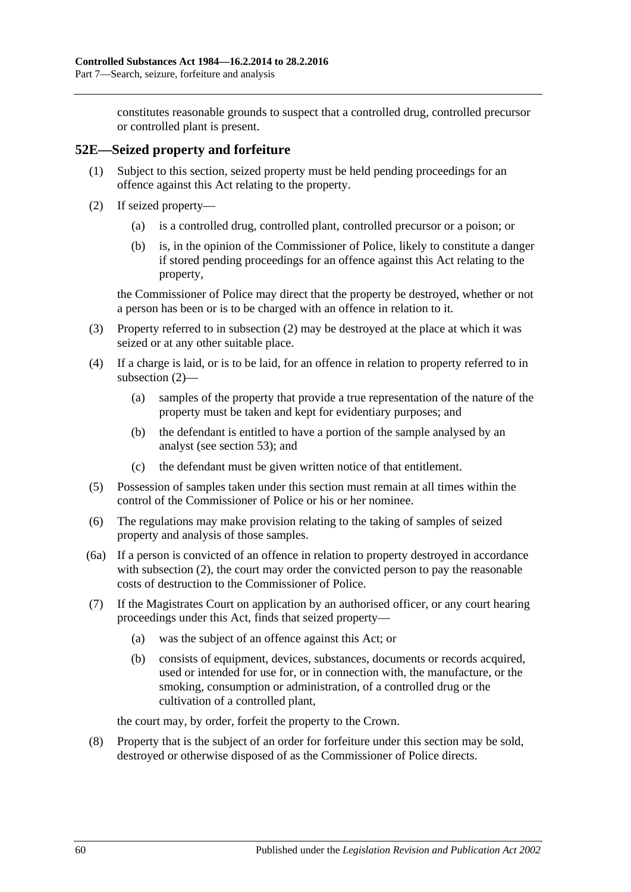constitutes reasonable grounds to suspect that a controlled drug, controlled precursor or controlled plant is present.

## **52E—Seized property and forfeiture**

- (1) Subject to this section, seized property must be held pending proceedings for an offence against this Act relating to the property.
- <span id="page-59-0"></span>(2) If seized property—
	- (a) is a controlled drug, controlled plant, controlled precursor or a poison; or
	- (b) is, in the opinion of the Commissioner of Police, likely to constitute a danger if stored pending proceedings for an offence against this Act relating to the property,

the Commissioner of Police may direct that the property be destroyed, whether or not a person has been or is to be charged with an offence in relation to it.

- (3) Property referred to in [subsection](#page-59-0) (2) may be destroyed at the place at which it was seized or at any other suitable place.
- (4) If a charge is laid, or is to be laid, for an offence in relation to property referred to in [subsection](#page-59-0) (2)—
	- (a) samples of the property that provide a true representation of the nature of the property must be taken and kept for evidentiary purposes; and
	- (b) the defendant is entitled to have a portion of the sample analysed by an analyst (see [section](#page-60-0) 53); and
	- (c) the defendant must be given written notice of that entitlement.
- (5) Possession of samples taken under this section must remain at all times within the control of the Commissioner of Police or his or her nominee.
- (6) The regulations may make provision relating to the taking of samples of seized property and analysis of those samples.
- (6a) If a person is convicted of an offence in relation to property destroyed in accordance with [subsection](#page-59-0) (2), the court may order the convicted person to pay the reasonable costs of destruction to the Commissioner of Police.
- <span id="page-59-1"></span>(7) If the Magistrates Court on application by an authorised officer, or any court hearing proceedings under this Act, finds that seized property—
	- (a) was the subject of an offence against this Act; or
	- (b) consists of equipment, devices, substances, documents or records acquired, used or intended for use for, or in connection with, the manufacture, or the smoking, consumption or administration, of a controlled drug or the cultivation of a controlled plant,

the court may, by order, forfeit the property to the Crown.

(8) Property that is the subject of an order for forfeiture under this section may be sold, destroyed or otherwise disposed of as the Commissioner of Police directs.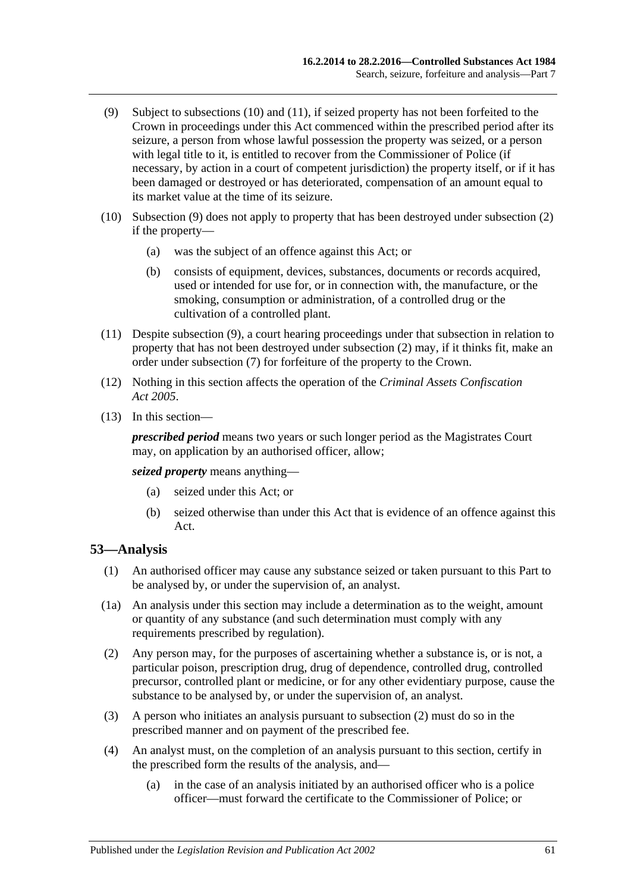- <span id="page-60-3"></span>(9) Subject to [subsections](#page-60-1) (10) and [\(11\),](#page-60-2) if seized property has not been forfeited to the Crown in proceedings under this Act commenced within the prescribed period after its seizure, a person from whose lawful possession the property was seized, or a person with legal title to it, is entitled to recover from the Commissioner of Police (if necessary, by action in a court of competent jurisdiction) the property itself, or if it has been damaged or destroyed or has deteriorated, compensation of an amount equal to its market value at the time of its seizure.
- <span id="page-60-1"></span>(10) [Subsection](#page-60-3) (9) does not apply to property that has been destroyed under [subsection](#page-59-0) (2) if the property—
	- (a) was the subject of an offence against this Act; or
	- (b) consists of equipment, devices, substances, documents or records acquired, used or intended for use for, or in connection with, the manufacture, or the smoking, consumption or administration, of a controlled drug or the cultivation of a controlled plant.
- <span id="page-60-2"></span>(11) Despite [subsection](#page-60-3) (9), a court hearing proceedings under that subsection in relation to property that has not been destroyed under [subsection](#page-59-0) (2) may, if it thinks fit, make an order under [subsection](#page-59-1) (7) for forfeiture of the property to the Crown.
- (12) Nothing in this section affects the operation of the *[Criminal Assets Confiscation](http://www.legislation.sa.gov.au/index.aspx?action=legref&type=act&legtitle=Criminal%20Assets%20Confiscation%20Act%202005)  Act [2005](http://www.legislation.sa.gov.au/index.aspx?action=legref&type=act&legtitle=Criminal%20Assets%20Confiscation%20Act%202005)*.
- (13) In this section—

*prescribed period* means two years or such longer period as the Magistrates Court may, on application by an authorised officer, allow;

*seized property* means anything—

- (a) seized under this Act; or
- (b) seized otherwise than under this Act that is evidence of an offence against this Act.

## <span id="page-60-0"></span>**53—Analysis**

- (1) An authorised officer may cause any substance seized or taken pursuant to this Part to be analysed by, or under the supervision of, an analyst.
- (1a) An analysis under this section may include a determination as to the weight, amount or quantity of any substance (and such determination must comply with any requirements prescribed by regulation).
- <span id="page-60-4"></span>(2) Any person may, for the purposes of ascertaining whether a substance is, or is not, a particular poison, prescription drug, drug of dependence, controlled drug, controlled precursor, controlled plant or medicine, or for any other evidentiary purpose, cause the substance to be analysed by, or under the supervision of, an analyst.
- (3) A person who initiates an analysis pursuant to [subsection](#page-60-4) (2) must do so in the prescribed manner and on payment of the prescribed fee.
- (4) An analyst must, on the completion of an analysis pursuant to this section, certify in the prescribed form the results of the analysis, and—
	- (a) in the case of an analysis initiated by an authorised officer who is a police officer—must forward the certificate to the Commissioner of Police; or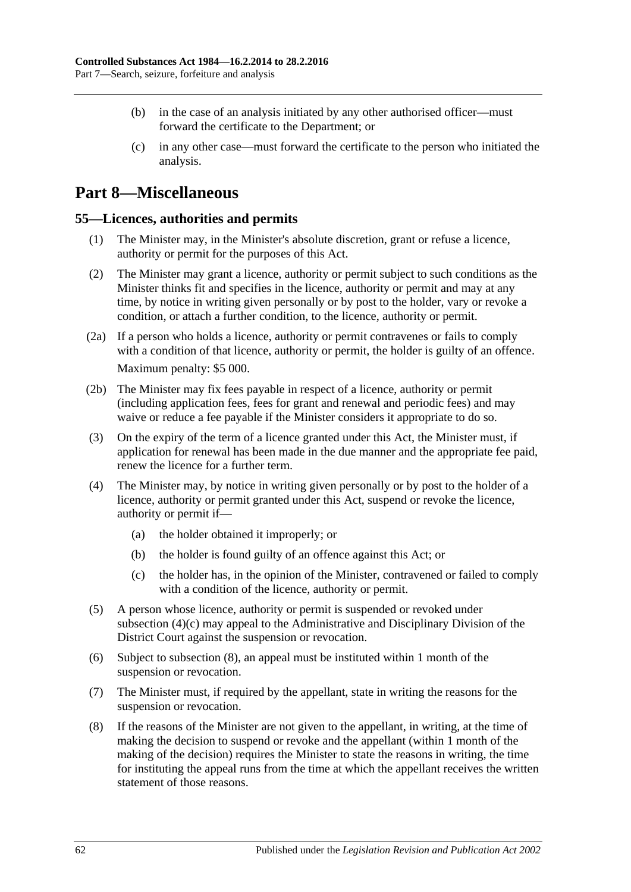- (b) in the case of an analysis initiated by any other authorised officer—must forward the certificate to the Department; or
- (c) in any other case—must forward the certificate to the person who initiated the analysis.

# **Part 8—Miscellaneous**

#### **55—Licences, authorities and permits**

- (1) The Minister may, in the Minister's absolute discretion, grant or refuse a licence, authority or permit for the purposes of this Act.
- (2) The Minister may grant a licence, authority or permit subject to such conditions as the Minister thinks fit and specifies in the licence, authority or permit and may at any time, by notice in writing given personally or by post to the holder, vary or revoke a condition, or attach a further condition, to the licence, authority or permit.
- (2a) If a person who holds a licence, authority or permit contravenes or fails to comply with a condition of that licence, authority or permit, the holder is guilty of an offence. Maximum penalty: \$5 000.
- (2b) The Minister may fix fees payable in respect of a licence, authority or permit (including application fees, fees for grant and renewal and periodic fees) and may waive or reduce a fee payable if the Minister considers it appropriate to do so.
- (3) On the expiry of the term of a licence granted under this Act, the Minister must, if application for renewal has been made in the due manner and the appropriate fee paid, renew the licence for a further term.
- (4) The Minister may, by notice in writing given personally or by post to the holder of a licence, authority or permit granted under this Act, suspend or revoke the licence, authority or permit if—
	- (a) the holder obtained it improperly; or
	- (b) the holder is found guilty of an offence against this Act; or
	- (c) the holder has, in the opinion of the Minister, contravened or failed to comply with a condition of the licence, authority or permit.
- <span id="page-61-0"></span>(5) A person whose licence, authority or permit is suspended or revoked under [subsection](#page-61-0) (4)(c) may appeal to the Administrative and Disciplinary Division of the District Court against the suspension or revocation.
- (6) Subject to [subsection](#page-61-1) (8), an appeal must be instituted within 1 month of the suspension or revocation.
- (7) The Minister must, if required by the appellant, state in writing the reasons for the suspension or revocation.
- <span id="page-61-1"></span>(8) If the reasons of the Minister are not given to the appellant, in writing, at the time of making the decision to suspend or revoke and the appellant (within 1 month of the making of the decision) requires the Minister to state the reasons in writing, the time for instituting the appeal runs from the time at which the appellant receives the written statement of those reasons.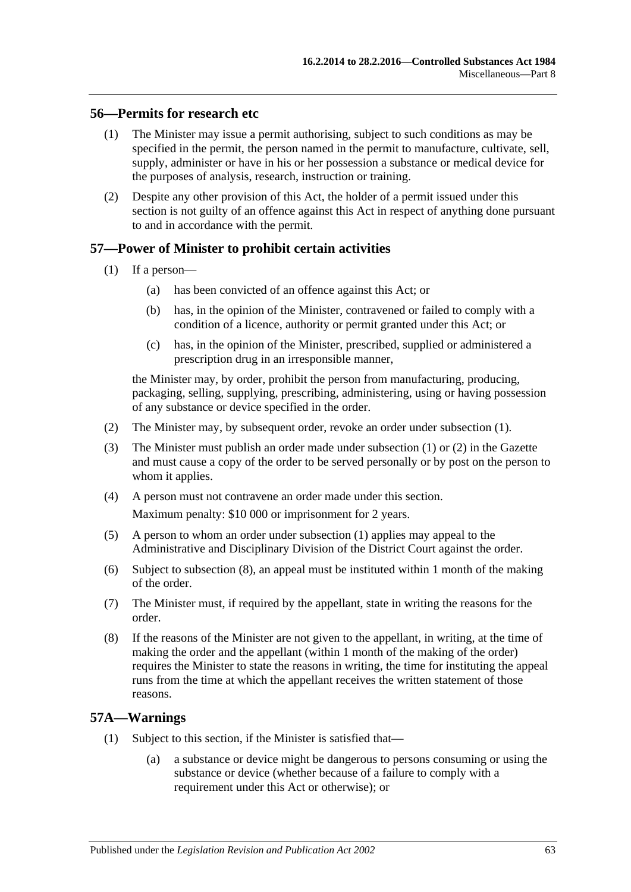#### **56—Permits for research etc**

- (1) The Minister may issue a permit authorising, subject to such conditions as may be specified in the permit, the person named in the permit to manufacture, cultivate, sell, supply, administer or have in his or her possession a substance or medical device for the purposes of analysis, research, instruction or training.
- (2) Despite any other provision of this Act, the holder of a permit issued under this section is not guilty of an offence against this Act in respect of anything done pursuant to and in accordance with the permit.

#### <span id="page-62-0"></span>**57—Power of Minister to prohibit certain activities**

- (1) If a person—
	- (a) has been convicted of an offence against this Act; or
	- (b) has, in the opinion of the Minister, contravened or failed to comply with a condition of a licence, authority or permit granted under this Act; or
	- (c) has, in the opinion of the Minister, prescribed, supplied or administered a prescription drug in an irresponsible manner,

the Minister may, by order, prohibit the person from manufacturing, producing, packaging, selling, supplying, prescribing, administering, using or having possession of any substance or device specified in the order.

- <span id="page-62-1"></span>(2) The Minister may, by subsequent order, revoke an order under [subsection](#page-62-0) (1).
- (3) The Minister must publish an order made under [subsection](#page-62-0) (1) or [\(2\)](#page-62-1) in the Gazette and must cause a copy of the order to be served personally or by post on the person to whom it applies.
- (4) A person must not contravene an order made under this section.

Maximum penalty: \$10 000 or imprisonment for 2 years.

- (5) A person to whom an order under [subsection](#page-62-0) (1) applies may appeal to the Administrative and Disciplinary Division of the District Court against the order.
- (6) Subject to [subsection](#page-62-2) (8), an appeal must be instituted within 1 month of the making of the order.
- (7) The Minister must, if required by the appellant, state in writing the reasons for the order.
- <span id="page-62-2"></span>(8) If the reasons of the Minister are not given to the appellant, in writing, at the time of making the order and the appellant (within 1 month of the making of the order) requires the Minister to state the reasons in writing, the time for instituting the appeal runs from the time at which the appellant receives the written statement of those reasons.

## <span id="page-62-3"></span>**57A—Warnings**

- (1) Subject to this section, if the Minister is satisfied that—
	- (a) a substance or device might be dangerous to persons consuming or using the substance or device (whether because of a failure to comply with a requirement under this Act or otherwise); or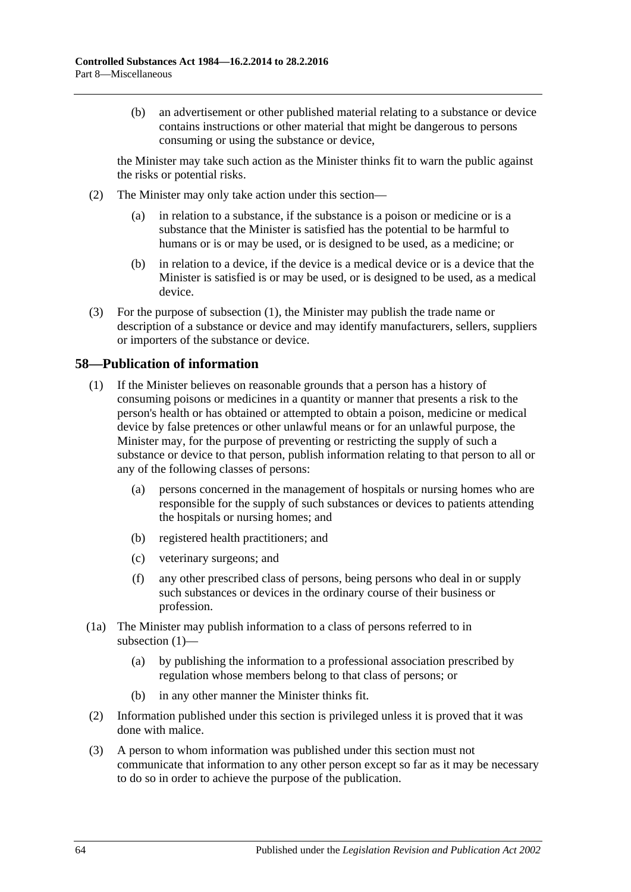(b) an advertisement or other published material relating to a substance or device contains instructions or other material that might be dangerous to persons consuming or using the substance or device,

the Minister may take such action as the Minister thinks fit to warn the public against the risks or potential risks.

- (2) The Minister may only take action under this section—
	- (a) in relation to a substance, if the substance is a poison or medicine or is a substance that the Minister is satisfied has the potential to be harmful to humans or is or may be used, or is designed to be used, as a medicine; or
	- (b) in relation to a device, if the device is a medical device or is a device that the Minister is satisfied is or may be used, or is designed to be used, as a medical device.
- (3) For the purpose of [subsection](#page-62-3) (1), the Minister may publish the trade name or description of a substance or device and may identify manufacturers, sellers, suppliers or importers of the substance or device.

## <span id="page-63-0"></span>**58—Publication of information**

- (1) If the Minister believes on reasonable grounds that a person has a history of consuming poisons or medicines in a quantity or manner that presents a risk to the person's health or has obtained or attempted to obtain a poison, medicine or medical device by false pretences or other unlawful means or for an unlawful purpose, the Minister may, for the purpose of preventing or restricting the supply of such a substance or device to that person, publish information relating to that person to all or any of the following classes of persons:
	- (a) persons concerned in the management of hospitals or nursing homes who are responsible for the supply of such substances or devices to patients attending the hospitals or nursing homes; and
	- (b) registered health practitioners; and
	- (c) veterinary surgeons; and
	- (f) any other prescribed class of persons, being persons who deal in or supply such substances or devices in the ordinary course of their business or profession.
- (1a) The Minister may publish information to a class of persons referred to in [subsection](#page-63-0) (1)—
	- (a) by publishing the information to a professional association prescribed by regulation whose members belong to that class of persons; or
	- (b) in any other manner the Minister thinks fit.
- (2) Information published under this section is privileged unless it is proved that it was done with malice.
- (3) A person to whom information was published under this section must not communicate that information to any other person except so far as it may be necessary to do so in order to achieve the purpose of the publication.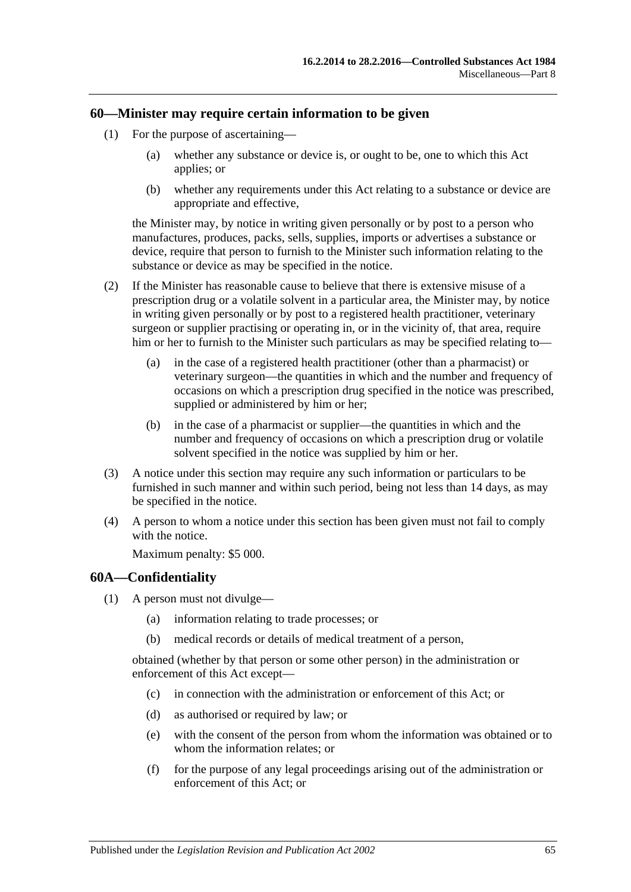### **60—Minister may require certain information to be given**

- (1) For the purpose of ascertaining—
	- (a) whether any substance or device is, or ought to be, one to which this Act applies; or
	- (b) whether any requirements under this Act relating to a substance or device are appropriate and effective,

the Minister may, by notice in writing given personally or by post to a person who manufactures, produces, packs, sells, supplies, imports or advertises a substance or device, require that person to furnish to the Minister such information relating to the substance or device as may be specified in the notice.

- (2) If the Minister has reasonable cause to believe that there is extensive misuse of a prescription drug or a volatile solvent in a particular area, the Minister may, by notice in writing given personally or by post to a registered health practitioner, veterinary surgeon or supplier practising or operating in, or in the vicinity of, that area, require him or her to furnish to the Minister such particulars as may be specified relating to—
	- (a) in the case of a registered health practitioner (other than a pharmacist) or veterinary surgeon—the quantities in which and the number and frequency of occasions on which a prescription drug specified in the notice was prescribed, supplied or administered by him or her;
	- (b) in the case of a pharmacist or supplier—the quantities in which and the number and frequency of occasions on which a prescription drug or volatile solvent specified in the notice was supplied by him or her.
- (3) A notice under this section may require any such information or particulars to be furnished in such manner and within such period, being not less than 14 days, as may be specified in the notice.
- (4) A person to whom a notice under this section has been given must not fail to comply with the notice.

Maximum penalty: \$5 000.

#### **60A—Confidentiality**

- <span id="page-64-0"></span>(1) A person must not divulge—
	- (a) information relating to trade processes; or
	- (b) medical records or details of medical treatment of a person,

obtained (whether by that person or some other person) in the administration or enforcement of this Act except—

- (c) in connection with the administration or enforcement of this Act; or
- (d) as authorised or required by law; or
- (e) with the consent of the person from whom the information was obtained or to whom the information relates; or
- (f) for the purpose of any legal proceedings arising out of the administration or enforcement of this Act; or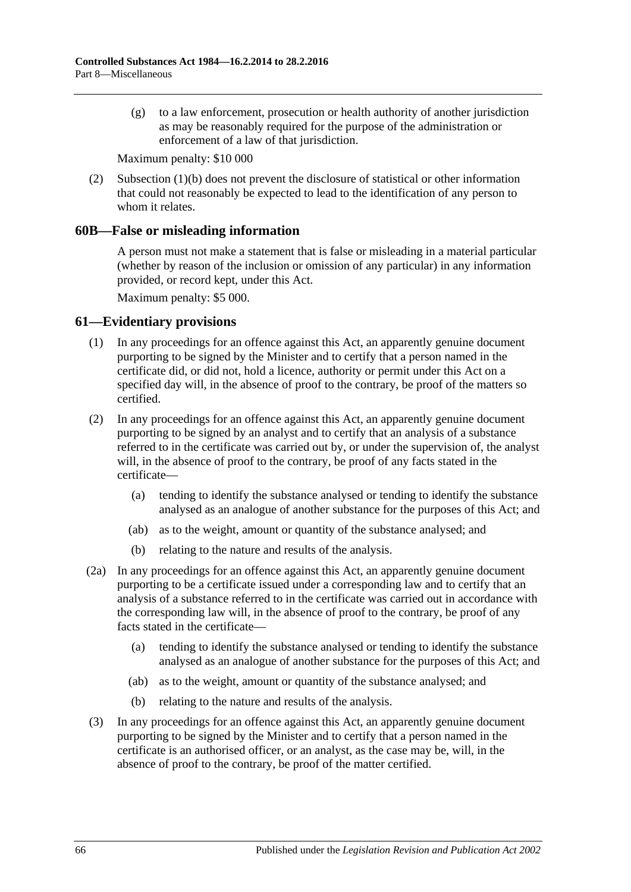(g) to a law enforcement, prosecution or health authority of another jurisdiction as may be reasonably required for the purpose of the administration or enforcement of a law of that jurisdiction.

Maximum penalty: \$10 000

(2) [Subsection](#page-64-0) (1)(b) does not prevent the disclosure of statistical or other information that could not reasonably be expected to lead to the identification of any person to whom it relates.

#### **60B—False or misleading information**

A person must not make a statement that is false or misleading in a material particular (whether by reason of the inclusion or omission of any particular) in any information provided, or record kept, under this Act.

Maximum penalty: \$5 000.

## **61—Evidentiary provisions**

- (1) In any proceedings for an offence against this Act, an apparently genuine document purporting to be signed by the Minister and to certify that a person named in the certificate did, or did not, hold a licence, authority or permit under this Act on a specified day will, in the absence of proof to the contrary, be proof of the matters so certified.
- (2) In any proceedings for an offence against this Act, an apparently genuine document purporting to be signed by an analyst and to certify that an analysis of a substance referred to in the certificate was carried out by, or under the supervision of, the analyst will, in the absence of proof to the contrary, be proof of any facts stated in the certificate—
	- (a) tending to identify the substance analysed or tending to identify the substance analysed as an analogue of another substance for the purposes of this Act; and
	- (ab) as to the weight, amount or quantity of the substance analysed; and
	- (b) relating to the nature and results of the analysis.
- (2a) In any proceedings for an offence against this Act, an apparently genuine document purporting to be a certificate issued under a corresponding law and to certify that an analysis of a substance referred to in the certificate was carried out in accordance with the corresponding law will, in the absence of proof to the contrary, be proof of any facts stated in the certificate—
	- (a) tending to identify the substance analysed or tending to identify the substance analysed as an analogue of another substance for the purposes of this Act; and
	- (ab) as to the weight, amount or quantity of the substance analysed; and
	- (b) relating to the nature and results of the analysis.
- (3) In any proceedings for an offence against this Act, an apparently genuine document purporting to be signed by the Minister and to certify that a person named in the certificate is an authorised officer, or an analyst, as the case may be, will, in the absence of proof to the contrary, be proof of the matter certified.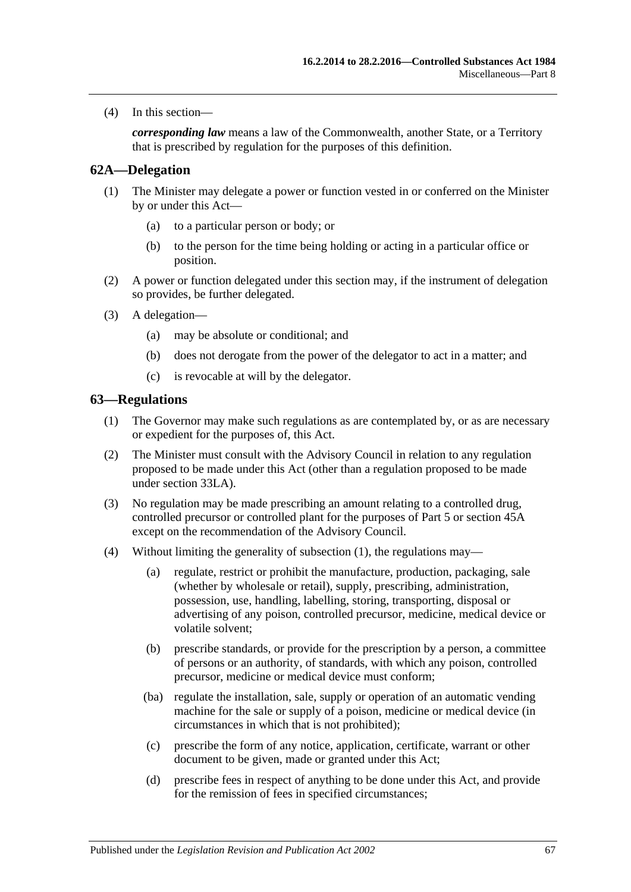(4) In this section—

*corresponding law* means a law of the Commonwealth, another State, or a Territory that is prescribed by regulation for the purposes of this definition.

### **62A—Delegation**

- (1) The Minister may delegate a power or function vested in or conferred on the Minister by or under this Act—
	- (a) to a particular person or body; or
	- (b) to the person for the time being holding or acting in a particular office or position.
- (2) A power or function delegated under this section may, if the instrument of delegation so provides, be further delegated.
- (3) A delegation—
	- (a) may be absolute or conditional; and
	- (b) does not derogate from the power of the delegator to act in a matter; and
	- (c) is revocable at will by the delegator.

#### <span id="page-66-0"></span>**63—Regulations**

- (1) The Governor may make such regulations as are contemplated by, or as are necessary or expedient for the purposes of, this Act.
- (2) The Minister must consult with the Advisory Council in relation to any regulation proposed to be made under this Act (other than a regulation proposed to be made under [section](#page-40-1) 33LA).
- (3) No regulation may be made prescribing an amount relating to a controlled drug, controlled precursor or controlled plant for the purposes of [Part 5](#page-29-0) or [section](#page-52-0) 45A except on the recommendation of the Advisory Council.
- (4) Without limiting the generality of [subsection](#page-66-0) (1), the regulations may—
	- (a) regulate, restrict or prohibit the manufacture, production, packaging, sale (whether by wholesale or retail), supply, prescribing, administration, possession, use, handling, labelling, storing, transporting, disposal or advertising of any poison, controlled precursor, medicine, medical device or volatile solvent;
	- (b) prescribe standards, or provide for the prescription by a person, a committee of persons or an authority, of standards, with which any poison, controlled precursor, medicine or medical device must conform;
	- (ba) regulate the installation, sale, supply or operation of an automatic vending machine for the sale or supply of a poison, medicine or medical device (in circumstances in which that is not prohibited);
	- (c) prescribe the form of any notice, application, certificate, warrant or other document to be given, made or granted under this Act;
	- (d) prescribe fees in respect of anything to be done under this Act, and provide for the remission of fees in specified circumstances;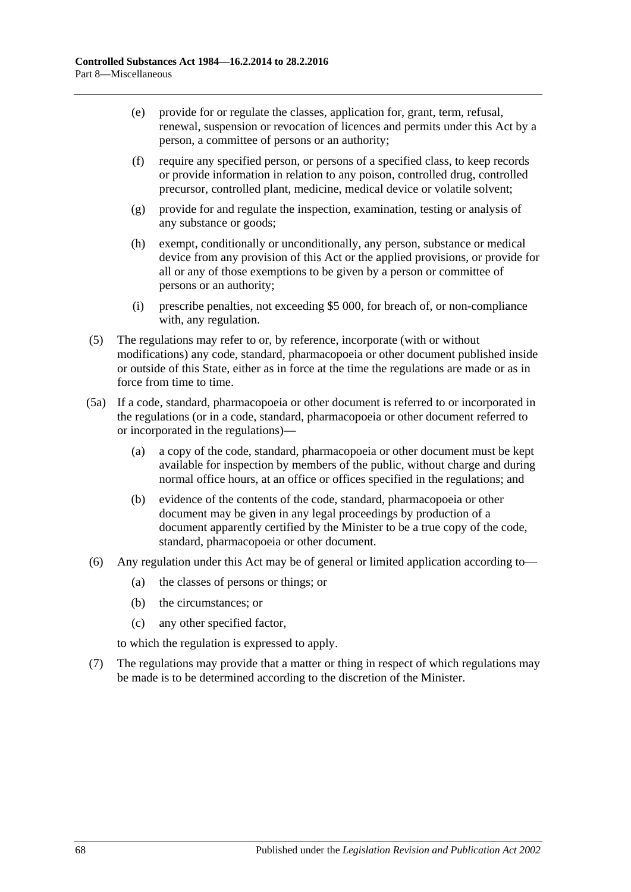- (e) provide for or regulate the classes, application for, grant, term, refusal, renewal, suspension or revocation of licences and permits under this Act by a person, a committee of persons or an authority;
- (f) require any specified person, or persons of a specified class, to keep records or provide information in relation to any poison, controlled drug, controlled precursor, controlled plant, medicine, medical device or volatile solvent;
- (g) provide for and regulate the inspection, examination, testing or analysis of any substance or goods;
- (h) exempt, conditionally or unconditionally, any person, substance or medical device from any provision of this Act or the applied provisions, or provide for all or any of those exemptions to be given by a person or committee of persons or an authority;
- (i) prescribe penalties, not exceeding \$5 000, for breach of, or non-compliance with, any regulation.
- (5) The regulations may refer to or, by reference, incorporate (with or without modifications) any code, standard, pharmacopoeia or other document published inside or outside of this State, either as in force at the time the regulations are made or as in force from time to time.
- (5a) If a code, standard, pharmacopoeia or other document is referred to or incorporated in the regulations (or in a code, standard, pharmacopoeia or other document referred to or incorporated in the regulations)—
	- (a) a copy of the code, standard, pharmacopoeia or other document must be kept available for inspection by members of the public, without charge and during normal office hours, at an office or offices specified in the regulations; and
	- (b) evidence of the contents of the code, standard, pharmacopoeia or other document may be given in any legal proceedings by production of a document apparently certified by the Minister to be a true copy of the code, standard, pharmacopoeia or other document.
- (6) Any regulation under this Act may be of general or limited application according to—
	- (a) the classes of persons or things; or
	- (b) the circumstances; or
	- (c) any other specified factor,

to which the regulation is expressed to apply.

(7) The regulations may provide that a matter or thing in respect of which regulations may be made is to be determined according to the discretion of the Minister.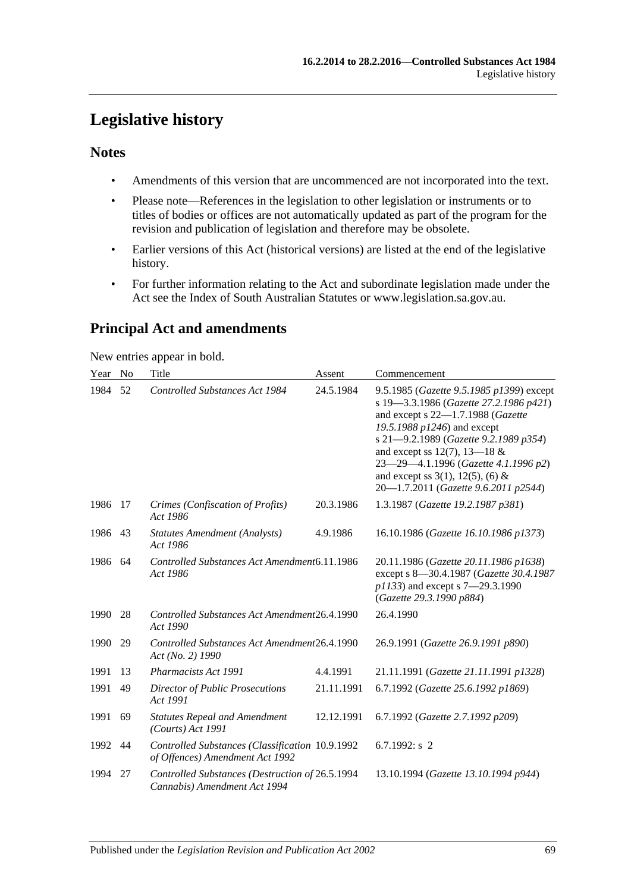# **Legislative history**

## **Notes**

- Amendments of this version that are uncommenced are not incorporated into the text.
- Please note—References in the legislation to other legislation or instruments or to titles of bodies or offices are not automatically updated as part of the program for the revision and publication of legislation and therefore may be obsolete.
- Earlier versions of this Act (historical versions) are listed at the end of the legislative history.
- For further information relating to the Act and subordinate legislation made under the Act see the Index of South Australian Statutes or www.legislation.sa.gov.au.

# **Principal Act and amendments**

New entries appear in bold.

| Year    | N <sub>0</sub> | Title                                                                              | Assent     | Commencement                                                                                                                                                                                                                                                                                                                                                |
|---------|----------------|------------------------------------------------------------------------------------|------------|-------------------------------------------------------------------------------------------------------------------------------------------------------------------------------------------------------------------------------------------------------------------------------------------------------------------------------------------------------------|
| 1984    | 52             | <b>Controlled Substances Act 1984</b>                                              | 24.5.1984  | 9.5.1985 (Gazette 9.5.1985 p1399) except<br>s 19-3.3.1986 (Gazette 27.2.1986 p421)<br>and except s 22-1.7.1988 (Gazette<br>19.5.1988 p1246) and except<br>s 21-9.2.1989 (Gazette 9.2.1989 p354)<br>and except ss 12(7), 13-18 $&$<br>23-29-4.1.1996 (Gazette 4.1.1996 p2)<br>and except ss $3(1)$ , $12(5)$ , (6) &<br>20-1.7.2011 (Gazette 9.6.2011 p2544) |
| 1986    | 17             | Crimes (Confiscation of Profits)<br>Act 1986                                       | 20.3.1986  | 1.3.1987 (Gazette 19.2.1987 p381)                                                                                                                                                                                                                                                                                                                           |
| 1986 43 |                | <b>Statutes Amendment (Analysts)</b><br>Act 1986                                   | 4.9.1986   | 16.10.1986 (Gazette 16.10.1986 p1373)                                                                                                                                                                                                                                                                                                                       |
| 1986    | 64             | Controlled Substances Act Amendment6.11.1986<br>Act 1986                           |            | 20.11.1986 (Gazette 20.11.1986 p1638)<br>except s 8-30.4.1987 (Gazette 30.4.1987<br>p1133) and except s 7-29.3.1990<br>(Gazette 29.3.1990 p884)                                                                                                                                                                                                             |
| 1990    | 28             | Controlled Substances Act Amendment26.4.1990<br>Act 1990                           |            | 26.4.1990                                                                                                                                                                                                                                                                                                                                                   |
| 1990    | 29             | Controlled Substances Act Amendment26.4.1990<br>Act (No. 2) 1990                   |            | 26.9.1991 (Gazette 26.9.1991 p890)                                                                                                                                                                                                                                                                                                                          |
| 1991    | 13             | Pharmacists Act 1991                                                               | 4.4.1991   | 21.11.1991 (Gazette 21.11.1991 p1328)                                                                                                                                                                                                                                                                                                                       |
| 1991    | 49             | <b>Director of Public Prosecutions</b><br>Act 1991                                 | 21.11.1991 | 6.7.1992 (Gazette 25.6.1992 p1869)                                                                                                                                                                                                                                                                                                                          |
| 1991    | 69             | <b>Statutes Repeal and Amendment</b><br>$(Courts)$ Act 1991                        | 12.12.1991 | 6.7.1992 (Gazette 2.7.1992 p209)                                                                                                                                                                                                                                                                                                                            |
| 1992    | 44             | Controlled Substances (Classification 10.9.1992<br>of Offences) Amendment Act 1992 |            | 6.7.1992: $s$ 2                                                                                                                                                                                                                                                                                                                                             |
| 1994    | 27             | Controlled Substances (Destruction of 26.5.1994<br>Cannabis) Amendment Act 1994    |            | 13.10.1994 (Gazette 13.10.1994 p944)                                                                                                                                                                                                                                                                                                                        |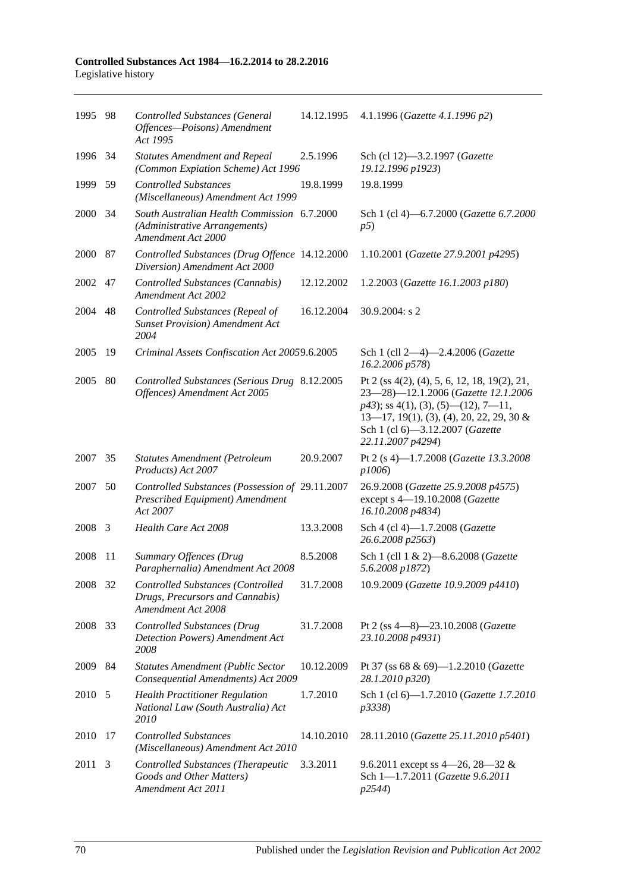#### **Controlled Substances Act 1984—16.2.2014 to 28.2.2016** Legislative history

| 1995 98 |     | <b>Controlled Substances (General</b><br>Offences-Poisons) Amendment<br>Act 1995                   | 14.12.1995 | 4.1.1996 (Gazette 4.1.1996 p2)                                                                                                                                                                                                         |
|---------|-----|----------------------------------------------------------------------------------------------------|------------|----------------------------------------------------------------------------------------------------------------------------------------------------------------------------------------------------------------------------------------|
| 1996 34 |     | <b>Statutes Amendment and Repeal</b><br>(Common Expiation Scheme) Act 1996                         | 2.5.1996   | Sch (cl 12)-3.2.1997 (Gazette<br>19.12.1996 p1923)                                                                                                                                                                                     |
| 1999    | 59  | <b>Controlled Substances</b><br>(Miscellaneous) Amendment Act 1999                                 | 19.8.1999  | 19.8.1999                                                                                                                                                                                                                              |
| 2000    | -34 | South Australian Health Commission 6.7.2000<br>(Administrative Arrangements)<br>Amendment Act 2000 |            | Sch 1 (cl 4)-6.7.2000 (Gazette 6.7.2000<br>p5)                                                                                                                                                                                         |
| 2000 87 |     | Controlled Substances (Drug Offence 14.12.2000<br>Diversion) Amendment Act 2000                    |            | 1.10.2001 (Gazette 27.9.2001 p4295)                                                                                                                                                                                                    |
| 2002 47 |     | Controlled Substances (Cannabis)<br><b>Amendment Act 2002</b>                                      | 12.12.2002 | 1.2.2003 (Gazette 16.1.2003 p180)                                                                                                                                                                                                      |
| 2004    | 48  | Controlled Substances (Repeal of<br><b>Sunset Provision</b> ) Amendment Act<br>2004                | 16.12.2004 | 30.9.2004: s 2                                                                                                                                                                                                                         |
| 2005    | 19  | Criminal Assets Confiscation Act 20059.6.2005                                                      |            | Sch 1 (cll 2-4)-2.4.2006 (Gazette<br>16.2.2006 p578)                                                                                                                                                                                   |
| 2005    | 80  | Controlled Substances (Serious Drug 8.12.2005<br>Offences) Amendment Act 2005                      |            | Pt 2 (ss $4(2)$ , (4), 5, 6, 12, 18, 19(2), 21,<br>23-28)-12.1.2006 (Gazette 12.1.2006<br>$p43$ ; ss 4(1), (3), (5)—(12), 7—11,<br>$13-17$ , 19(1), (3), (4), 20, 22, 29, 30 &<br>Sch 1 (cl 6)-3.12.2007 (Gazette<br>22.11.2007 p4294) |
| 2007 35 |     | <b>Statutes Amendment (Petroleum</b><br>Products) Act 2007                                         | 20.9.2007  | Pt 2 (s 4)-1.7.2008 (Gazette 13.3.2008<br>p1006)                                                                                                                                                                                       |
| 2007    | 50  | Controlled Substances (Possession of 29.11.2007<br>Prescribed Equipment) Amendment<br>Act 2007     |            | 26.9.2008 (Gazette 25.9.2008 p4575)<br>except s 4-19.10.2008 (Gazette<br>16.10.2008 p4834)                                                                                                                                             |
| 2008    | 3   | Health Care Act 2008                                                                               | 13.3.2008  | Sch 4 (cl 4)-1.7.2008 (Gazette<br>26.6.2008 p2563)                                                                                                                                                                                     |
| 2008    | 11  | Summary Offences (Drug<br>Paraphernalia) Amendment Act 2008                                        | 8.5.2008   | Sch 1 (cll 1 & 2)-8.6.2008 (Gazette<br>5.6.2008 p1872)                                                                                                                                                                                 |
| 2008 32 |     | Controlled Substances (Controlled<br>Drugs, Precursors and Cannabis)<br>Amendment Act 2008         | 31.7.2008  | 10.9.2009 (Gazette 10.9.2009 p4410)                                                                                                                                                                                                    |
| 2008    | 33  | <b>Controlled Substances (Drug</b><br>Detection Powers) Amendment Act<br>2008                      | 31.7.2008  | Pt 2 (ss $4-8$ )-23.10.2008 ( <i>Gazette</i><br>23.10.2008 p4931)                                                                                                                                                                      |
| 2009 84 |     | <b>Statutes Amendment (Public Sector</b><br>Consequential Amendments) Act 2009                     | 10.12.2009 | Pt 37 (ss 68 & 69)-1.2.2010 (Gazette<br>28.1.2010 p320)                                                                                                                                                                                |
| 2010 5  |     | <b>Health Practitioner Regulation</b><br>National Law (South Australia) Act<br>2010                | 1.7.2010   | Sch 1 (cl 6)-1.7.2010 (Gazette 1.7.2010<br>p3338)                                                                                                                                                                                      |
| 2010    | 17  | <b>Controlled Substances</b><br>(Miscellaneous) Amendment Act 2010                                 | 14.10.2010 | 28.11.2010 (Gazette 25.11.2010 p5401)                                                                                                                                                                                                  |
| 2011    | 3   | Controlled Substances (Therapeutic<br>Goods and Other Matters)<br>Amendment Act 2011               | 3.3.2011   | 9.6.2011 except ss 4–26, 28–32 &<br>Sch 1-1.7.2011 (Gazette 9.6.2011<br>p2544)                                                                                                                                                         |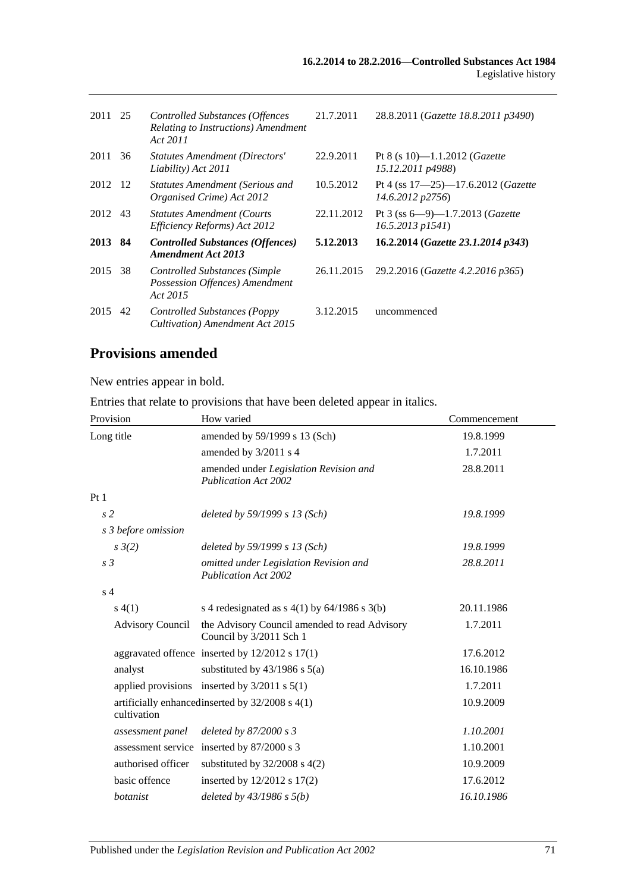| 2011 25 |     | <b>Controlled Substances (Offences</b><br>Relating to Instructions) Amendment<br>Act 2011 | 21.7.2011  | 28.8.2011 (Gazette 18.8.2011 p3490)                            |
|---------|-----|-------------------------------------------------------------------------------------------|------------|----------------------------------------------------------------|
| 2011    | 36  | <b>Statutes Amendment (Directors'</b><br>Liability) Act 2011                              | 22.9.2011  | Pt 8 (s 10)—1.1.2012 ( <i>Gazette</i><br>15.12.2011 p4988)     |
| 2012    | -12 | <b>Statutes Amendment (Serious and</b><br>Organised Crime) Act 2012                       | 10.5.2012  | Pt 4 (ss 17-25)-17.6.2012 (Gazette<br>14.6.2012 p2756)         |
| 2012    | 43  | <b>Statutes Amendment (Courts)</b><br>Efficiency Reforms) Act 2012                        | 22.11.2012 | Pt 3 (ss $6-9$ )-1.7.2013 ( <i>Gazette</i><br>16.5.2013 p1541) |
| 2013    | -84 | <b>Controlled Substances (Offences)</b><br><b>Amendment Act 2013</b>                      | 5.12.2013  | 16.2.2014 (Gazette 23.1.2014 p343)                             |
| 2015    | 38  | Controlled Substances (Simple)<br>Possession Offences) Amendment<br>Act 2015              | 26.11.2015 | 29.2.2016 (Gazette 4.2.2016 p365)                              |
| 2015    | 42  | Controlled Substances (Poppy)<br>Cultivation) Amendment Act 2015                          | 3.12.2015  | uncommenced                                                    |

# **Provisions amended**

New entries appear in bold.

Entries that relate to provisions that have been deleted appear in italics.

| Provision               | How varied                                                               | Commencement |
|-------------------------|--------------------------------------------------------------------------|--------------|
| Long title              | amended by 59/1999 s 13 (Sch)                                            | 19.8.1999    |
|                         | amended by 3/2011 s 4                                                    | 1.7.2011     |
|                         | amended under Legislation Revision and<br><b>Publication Act 2002</b>    | 28.8.2011    |
| Pt <sub>1</sub>         |                                                                          |              |
| s <sub>2</sub>          | deleted by 59/1999 s 13 (Sch)                                            | 19.8.1999    |
| s 3 before omission     |                                                                          |              |
| $s \frac{3}{2}$         | deleted by $59/1999 s 13$ (Sch)                                          | 19.8.1999    |
| s <sub>3</sub>          | omitted under Legislation Revision and<br><b>Publication Act 2002</b>    | 28.8.2011    |
| s <sub>4</sub>          |                                                                          |              |
| s(4(1))                 | s 4 redesignated as $s$ 4(1) by 64/1986 s 3(b)                           | 20.11.1986   |
| <b>Advisory Council</b> | the Advisory Council amended to read Advisory<br>Council by 3/2011 Sch 1 | 1.7.2011     |
|                         | aggravated offence inserted by $12/2012$ s $17(1)$                       | 17.6.2012    |
| analyst                 | substituted by $43/1986$ s $5(a)$                                        | 16.10.1986   |
|                         | applied provisions inserted by $3/2011$ s $5(1)$                         | 1.7.2011     |
| cultivation             | artificially enhanced inserted by $32/2008$ s $4(1)$                     | 10.9.2009    |
| assessment panel        | deleted by $87/2000 s3$                                                  | 1.10.2001    |
|                         | assessment service inserted by 87/2000 s 3                               | 1.10.2001    |
| authorised officer      | substituted by $32/2008$ s 4(2)                                          | 10.9.2009    |
| basic offence           | inserted by $12/2012$ s $17(2)$                                          | 17.6.2012    |
| botanist                | deleted by $43/1986 s 5(b)$                                              | 16.10.1986   |
|                         |                                                                          |              |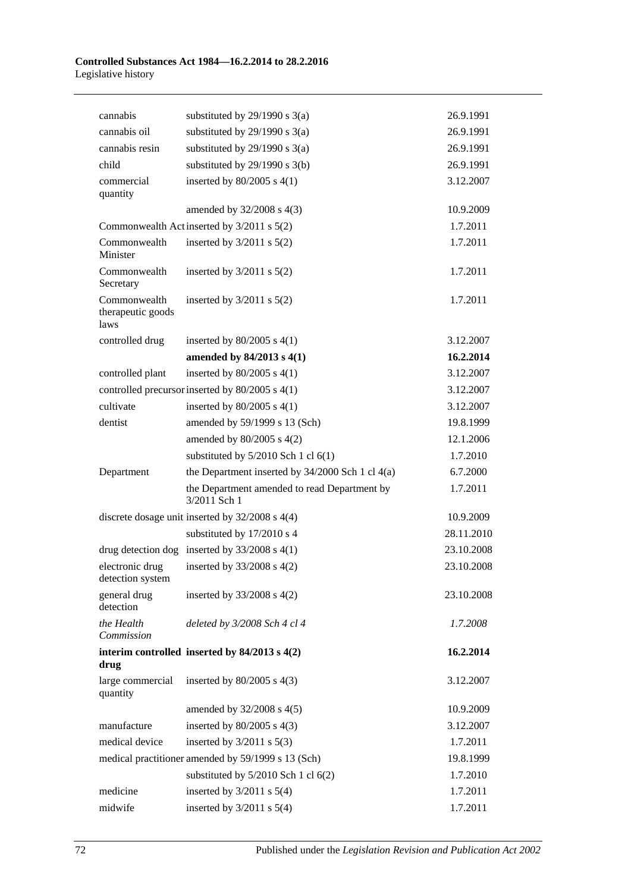| cannabis                                  | substituted by $29/1990$ s $3(a)$                            | 26.9.1991  |
|-------------------------------------------|--------------------------------------------------------------|------------|
| cannabis oil                              | substituted by $29/1990$ s $3(a)$                            | 26.9.1991  |
| cannabis resin                            | substituted by $29/1990$ s $3(a)$                            | 26.9.1991  |
| child                                     | substituted by $29/1990$ s $3(b)$                            | 26.9.1991  |
| commercial<br>quantity                    | inserted by $80/2005$ s $4(1)$                               | 3.12.2007  |
|                                           | amended by $32/2008$ s 4(3)                                  | 10.9.2009  |
|                                           | Commonwealth Act inserted by 3/2011 s 5(2)                   | 1.7.2011   |
| Commonwealth<br>Minister                  | inserted by $3/2011$ s $5(2)$                                | 1.7.2011   |
| Commonwealth<br>Secretary                 | inserted by $3/2011$ s $5(2)$                                | 1.7.2011   |
| Commonwealth<br>therapeutic goods<br>laws | inserted by $3/2011$ s $5(2)$                                | 1.7.2011   |
| controlled drug                           | inserted by $80/2005$ s $4(1)$                               | 3.12.2007  |
|                                           | amended by $84/2013$ s $4(1)$                                | 16.2.2014  |
| controlled plant                          | inserted by $80/2005$ s $4(1)$                               | 3.12.2007  |
|                                           | controlled precursor inserted by 80/2005 s 4(1)              | 3.12.2007  |
| cultivate                                 | inserted by $80/2005$ s $4(1)$                               | 3.12.2007  |
| dentist                                   | amended by 59/1999 s 13 (Sch)                                | 19.8.1999  |
|                                           | amended by 80/2005 s 4(2)                                    | 12.1.2006  |
|                                           | substituted by $5/2010$ Sch 1 cl $6(1)$                      | 1.7.2010   |
| Department                                | the Department inserted by $34/2000$ Sch 1 cl $4(a)$         | 6.7.2000   |
|                                           | the Department amended to read Department by<br>3/2011 Sch 1 | 1.7.2011   |
|                                           | discrete dosage unit inserted by $32/2008$ s $4(4)$          | 10.9.2009  |
|                                           | substituted by 17/2010 s 4                                   | 28.11.2010 |
|                                           | drug detection dog inserted by $33/2008$ s 4(1)              | 23.10.2008 |
| electronic drug<br>detection system       | inserted by $33/2008$ s $4(2)$                               | 23.10.2008 |
| general drug<br>detection                 | inserted by $33/2008$ s $4(2)$                               | 23.10.2008 |
| the Health<br>Commission                  | deleted by 3/2008 Sch 4 cl 4                                 | 1.7.2008   |
| drug                                      | interim controlled inserted by $84/2013$ s $4(2)$            | 16.2.2014  |
| large commercial<br>quantity              | inserted by $80/2005$ s $4(3)$                               | 3.12.2007  |
|                                           | amended by $32/2008$ s $4(5)$                                | 10.9.2009  |
| manufacture                               | inserted by $80/2005$ s $4(3)$                               | 3.12.2007  |
| medical device                            | inserted by $3/2011$ s $5(3)$                                | 1.7.2011   |
|                                           | medical practitioner amended by 59/1999 s 13 (Sch)           | 19.8.1999  |
|                                           | substituted by $5/2010$ Sch 1 cl $6(2)$                      | 1.7.2010   |
| medicine                                  | inserted by $3/2011$ s $5(4)$                                | 1.7.2011   |
| midwife                                   | inserted by $3/2011$ s $5(4)$                                | 1.7.2011   |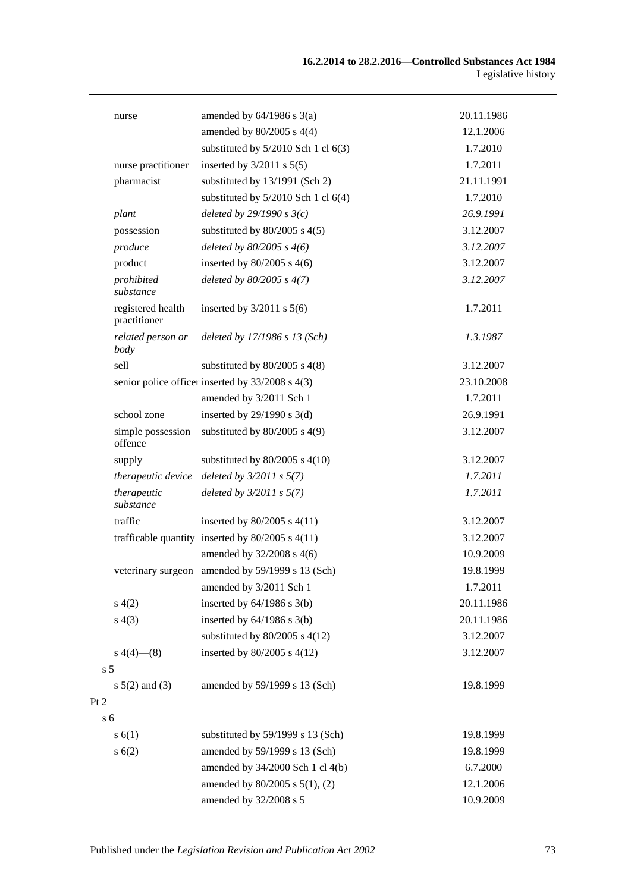|                | nurse                             | amended by $64/1986$ s $3(a)$                        | 20.11.1986 |
|----------------|-----------------------------------|------------------------------------------------------|------------|
|                |                                   | amended by $80/2005$ s $4(4)$                        | 12.1.2006  |
|                |                                   | substituted by $5/2010$ Sch 1 cl $6(3)$              | 1.7.2010   |
|                | nurse practitioner                | inserted by $3/2011$ s $5(5)$                        | 1.7.2011   |
|                | pharmacist                        | substituted by 13/1991 (Sch 2)                       | 21.11.1991 |
|                |                                   | substituted by $5/2010$ Sch 1 cl $6(4)$              | 1.7.2010   |
|                | plant                             | deleted by $29/1990 s3(c)$                           | 26.9.1991  |
|                | possession                        | substituted by $80/2005$ s $4(5)$                    | 3.12.2007  |
|                | produce                           | deleted by $80/2005$ s $4(6)$                        | 3.12.2007  |
|                | product                           | inserted by $80/2005$ s $4(6)$                       | 3.12.2007  |
|                | prohibited<br>substance           | deleted by $80/2005$ s $4(7)$                        | 3.12.2007  |
|                | registered health<br>practitioner | inserted by $3/2011$ s $5(6)$                        | 1.7.2011   |
|                | related person or<br>body         | deleted by 17/1986 s 13 (Sch)                        | 1.3.1987   |
|                | sell                              | substituted by $80/2005$ s $4(8)$                    | 3.12.2007  |
|                |                                   | senior police officer inserted by 33/2008 s 4(3)     | 23.10.2008 |
|                |                                   | amended by 3/2011 Sch 1                              | 1.7.2011   |
|                | school zone                       | inserted by $29/1990$ s 3(d)                         | 26.9.1991  |
|                | simple possession<br>offence      | substituted by $80/2005$ s $4(9)$                    | 3.12.2007  |
|                | supply                            | substituted by $80/2005$ s $4(10)$                   | 3.12.2007  |
|                | therapeutic device                | deleted by $3/2011 s 5(7)$                           | 1.7.2011   |
|                | therapeutic<br>substance          | deleted by $3/2011 s 5(7)$                           | 1.7.2011   |
|                | traffic                           | inserted by $80/2005$ s $4(11)$                      | 3.12.2007  |
|                |                                   | trafficable quantity inserted by $80/2005$ s $4(11)$ | 3.12.2007  |
|                |                                   | amended by 32/2008 s 4(6)                            | 10.9.2009  |
|                |                                   | veterinary surgeon amended by 59/1999 s 13 (Sch)     | 19.8.1999  |
|                |                                   | amended by 3/2011 Sch 1                              | 1.7.2011   |
|                | s(4(2)                            | inserted by $64/1986$ s $3(b)$                       | 20.11.1986 |
|                | s(4(3)                            | inserted by $64/1986$ s $3(b)$                       | 20.11.1986 |
|                |                                   | substituted by $80/2005$ s $4(12)$                   | 3.12.2007  |
|                | $s\ 4(4)$ (8)                     | inserted by 80/2005 s 4(12)                          | 3.12.2007  |
| s <sub>5</sub> |                                   |                                                      |            |
|                | $s 5(2)$ and (3)                  | amended by 59/1999 s 13 (Sch)                        | 19.8.1999  |
| $\overline{c}$ |                                   |                                                      |            |
| s 6            |                                   |                                                      |            |
|                | s(6(1))                           | substituted by 59/1999 s 13 (Sch)                    | 19.8.1999  |
|                | s(6(2))                           | amended by 59/1999 s 13 (Sch)                        | 19.8.1999  |
|                |                                   | amended by 34/2000 Sch 1 cl 4(b)                     | 6.7.2000   |
|                |                                   | amended by 80/2005 s 5(1), (2)                       | 12.1.2006  |
|                |                                   | amended by 32/2008 s 5                               | 10.9.2009  |

 $Pt$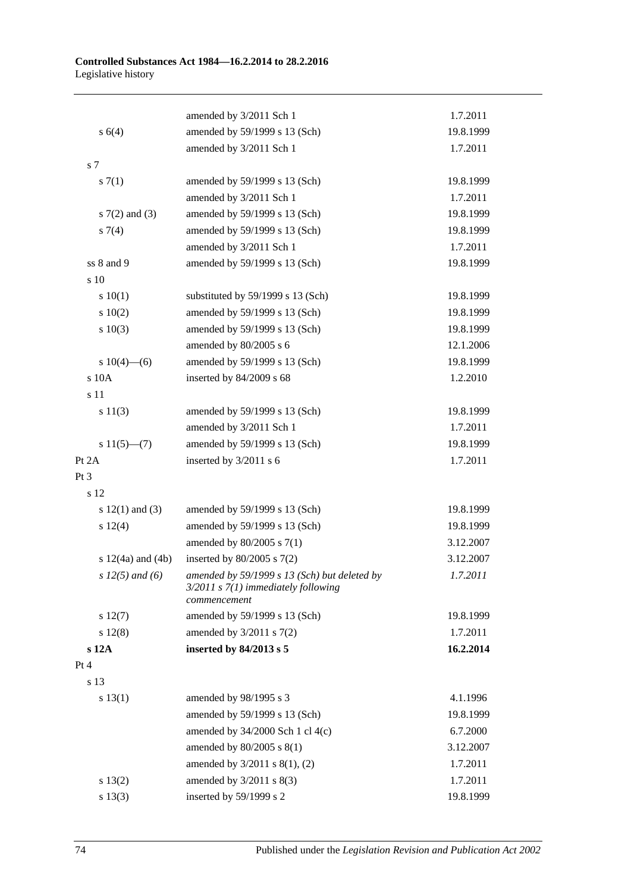|                       | amended by 3/2011 Sch 1                                                                                 | 1.7.2011  |
|-----------------------|---------------------------------------------------------------------------------------------------------|-----------|
| s 6(4)                | amended by 59/1999 s 13 (Sch)                                                                           | 19.8.1999 |
|                       | amended by 3/2011 Sch 1                                                                                 | 1.7.2011  |
| s 7                   |                                                                                                         |           |
| s(7(1)                | amended by 59/1999 s 13 (Sch)                                                                           | 19.8.1999 |
|                       | amended by 3/2011 Sch 1                                                                                 | 1.7.2011  |
| $s \, 7(2)$ and (3)   | amended by 59/1999 s 13 (Sch)                                                                           | 19.8.1999 |
| $s \, 7(4)$           | amended by 59/1999 s 13 (Sch)                                                                           | 19.8.1999 |
|                       | amended by 3/2011 Sch 1                                                                                 | 1.7.2011  |
| ss 8 and 9            | amended by 59/1999 s 13 (Sch)                                                                           | 19.8.1999 |
| s 10                  |                                                                                                         |           |
| 10(1)                 | substituted by 59/1999 s 13 (Sch)                                                                       | 19.8.1999 |
| 10(2)                 | amended by 59/1999 s 13 (Sch)                                                                           | 19.8.1999 |
| 10(3)                 | amended by 59/1999 s 13 (Sch)                                                                           | 19.8.1999 |
|                       | amended by 80/2005 s 6                                                                                  | 12.1.2006 |
| s $10(4)$ —(6)        | amended by 59/1999 s 13 (Sch)                                                                           | 19.8.1999 |
| s 10A                 | inserted by 84/2009 s 68                                                                                | 1.2.2010  |
| s 11                  |                                                                                                         |           |
| s 11(3)               | amended by 59/1999 s 13 (Sch)                                                                           | 19.8.1999 |
|                       | amended by 3/2011 Sch 1                                                                                 | 1.7.2011  |
| $s 11(5)$ —(7)        | amended by 59/1999 s 13 (Sch)                                                                           | 19.8.1999 |
| Pt 2A                 | inserted by 3/2011 s 6                                                                                  | 1.7.2011  |
| Pt 3                  |                                                                                                         |           |
| s 12                  |                                                                                                         |           |
| s $12(1)$ and $(3)$   | amended by 59/1999 s 13 (Sch)                                                                           | 19.8.1999 |
| s 12(4)               | amended by 59/1999 s 13 (Sch)                                                                           | 19.8.1999 |
|                       | amended by $80/2005$ s $7(1)$                                                                           | 3.12.2007 |
| s $12(4a)$ and $(4b)$ | inserted by $80/2005$ s $7(2)$                                                                          | 3.12.2007 |
| $s 12(5)$ and (6)     | amended by 59/1999 s 13 (Sch) but deleted by<br>$3/2011$ s $7(1)$ immediately following<br>commencement | 1.7.2011  |
| s 12(7)               | amended by 59/1999 s 13 (Sch)                                                                           | 19.8.1999 |
| s 12(8)               | amended by $3/2011$ s $7(2)$                                                                            | 1.7.2011  |
| $s$ 12A               | inserted by 84/2013 s 5                                                                                 | 16.2.2014 |
| Pt 4                  |                                                                                                         |           |
| s 13                  |                                                                                                         |           |
| s 13(1)               | amended by 98/1995 s 3                                                                                  | 4.1.1996  |
|                       | amended by 59/1999 s 13 (Sch)                                                                           | 19.8.1999 |
|                       | amended by 34/2000 Sch 1 cl 4(c)                                                                        | 6.7.2000  |
|                       | amended by 80/2005 s 8(1)                                                                               | 3.12.2007 |
|                       | amended by 3/2011 s 8(1), (2)                                                                           | 1.7.2011  |
| s 13(2)               | amended by 3/2011 s 8(3)                                                                                | 1.7.2011  |
| s 13(3)               | inserted by 59/1999 s 2                                                                                 | 19.8.1999 |
|                       |                                                                                                         |           |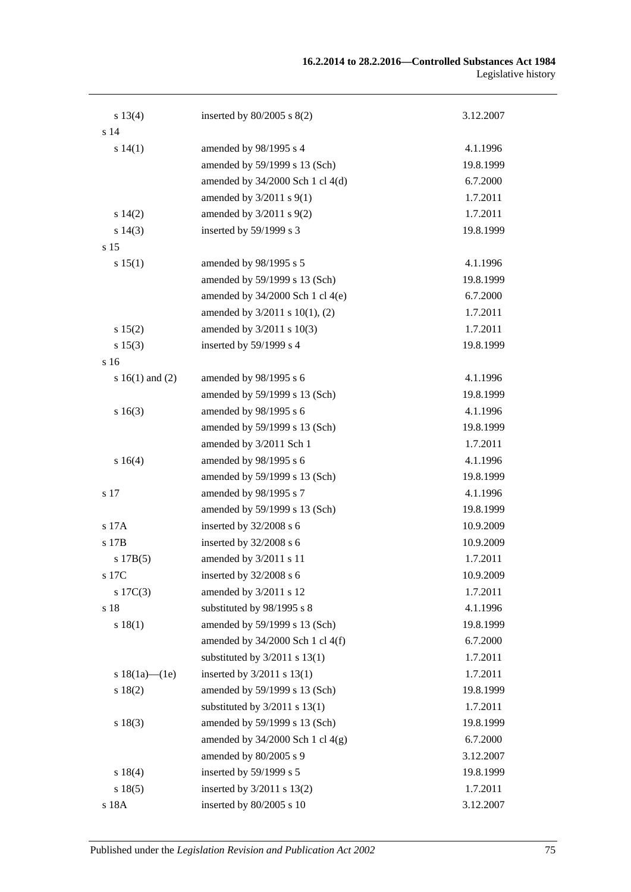| s 13(4)             | inserted by $80/2005$ s $8(2)$    | 3.12.2007 |
|---------------------|-----------------------------------|-----------|
| s <sub>14</sub>     |                                   |           |
| s 14(1)             | amended by 98/1995 s 4            | 4.1.1996  |
|                     | amended by 59/1999 s 13 (Sch)     | 19.8.1999 |
|                     | amended by 34/2000 Sch 1 cl 4(d)  | 6.7.2000  |
|                     | amended by $3/2011$ s $9(1)$      | 1.7.2011  |
| s 14(2)             | amended by $3/2011$ s $9(2)$      | 1.7.2011  |
| s 14(3)             | inserted by 59/1999 s 3           | 19.8.1999 |
| s 15                |                                   |           |
| s 15(1)             | amended by 98/1995 s 5            | 4.1.1996  |
|                     | amended by 59/1999 s 13 (Sch)     | 19.8.1999 |
|                     | amended by 34/2000 Sch 1 cl 4(e)  | 6.7.2000  |
|                     | amended by 3/2011 s 10(1), (2)    | 1.7.2011  |
| s 15(2)             | amended by 3/2011 s 10(3)         | 1.7.2011  |
| s 15(3)             | inserted by 59/1999 s 4           | 19.8.1999 |
| s 16                |                                   |           |
| s $16(1)$ and $(2)$ | amended by 98/1995 s 6            | 4.1.1996  |
|                     | amended by 59/1999 s 13 (Sch)     | 19.8.1999 |
| s16(3)              | amended by 98/1995 s 6            | 4.1.1996  |
|                     | amended by 59/1999 s 13 (Sch)     | 19.8.1999 |
|                     | amended by 3/2011 Sch 1           | 1.7.2011  |
| s 16(4)             | amended by 98/1995 s 6            | 4.1.1996  |
|                     | amended by 59/1999 s 13 (Sch)     | 19.8.1999 |
| s 17                | amended by 98/1995 s 7            | 4.1.1996  |
|                     | amended by 59/1999 s 13 (Sch)     | 19.8.1999 |
| s 17A               | inserted by 32/2008 s 6           | 10.9.2009 |
| s 17B               | inserted by 32/2008 s 6           | 10.9.2009 |
| s 17B(5)            | amended by 3/2011 s 11            | 1.7.2011  |
| s 17C               | inserted by 32/2008 s 6           | 10.9.2009 |
| $s \ 17C(3)$        | amended by 3/2011 s 12            | 1.7.2011  |
| s 18                | substituted by 98/1995 s 8        | 4.1.1996  |
| s 18(1)             | amended by 59/1999 s 13 (Sch)     | 19.8.1999 |
|                     | amended by 34/2000 Sch 1 cl 4(f)  | 6.7.2000  |
|                     | substituted by $3/2011$ s $13(1)$ | 1.7.2011  |
| s $18(1a)$ — $(1e)$ | inserted by $3/2011$ s $13(1)$    | 1.7.2011  |
| s 18(2)             | amended by 59/1999 s 13 (Sch)     | 19.8.1999 |
|                     | substituted by $3/2011$ s $13(1)$ | 1.7.2011  |
| s 18(3)             | amended by 59/1999 s 13 (Sch)     | 19.8.1999 |
|                     | amended by 34/2000 Sch 1 cl 4(g)  | 6.7.2000  |
|                     | amended by 80/2005 s 9            | 3.12.2007 |
| s 18(4)             | inserted by 59/1999 s 5           | 19.8.1999 |
| s 18(5)             | inserted by 3/2011 s 13(2)        | 1.7.2011  |
| s 18A               | inserted by 80/2005 s 10          | 3.12.2007 |
|                     |                                   |           |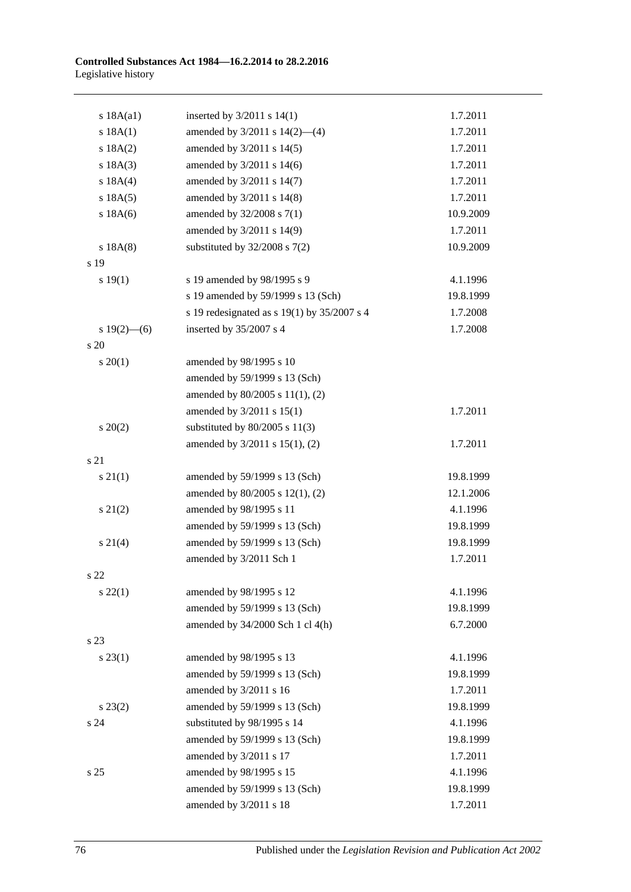| s 18A(a1)       | inserted by $3/2011$ s $14(1)$              | 1.7.2011  |
|-----------------|---------------------------------------------|-----------|
| s 18A(1)        | amended by $3/2011$ s $14(2)$ —(4)          | 1.7.2011  |
| s 18A(2)        | amended by 3/2011 s 14(5)                   | 1.7.2011  |
| s 18A(3)        | amended by 3/2011 s 14(6)                   | 1.7.2011  |
| s 18A(4)        | amended by 3/2011 s 14(7)                   | 1.7.2011  |
| s 18A(5)        | amended by 3/2011 s 14(8)                   | 1.7.2011  |
| s 18A(6)        | amended by 32/2008 s 7(1)                   | 10.9.2009 |
|                 | amended by 3/2011 s 14(9)                   | 1.7.2011  |
| s 18A(8)        | substituted by $32/2008$ s $7(2)$           | 10.9.2009 |
| s 19            |                                             |           |
| s 19(1)         | s 19 amended by 98/1995 s 9                 | 4.1.1996  |
|                 | s 19 amended by 59/1999 s 13 (Sch)          | 19.8.1999 |
|                 | s 19 redesignated as s 19(1) by 35/2007 s 4 | 1.7.2008  |
| s $19(2)$ - (6) | inserted by 35/2007 s 4                     | 1.7.2008  |
| s 20            |                                             |           |
| $s \ 20(1)$     | amended by 98/1995 s 10                     |           |
|                 | amended by 59/1999 s 13 (Sch)               |           |
|                 | amended by 80/2005 s 11(1), (2)             |           |
|                 | amended by 3/2011 s 15(1)                   | 1.7.2011  |
| $s\ 20(2)$      | substituted by $80/2005$ s $11(3)$          |           |
|                 | amended by 3/2011 s 15(1), (2)              | 1.7.2011  |
| s 21            |                                             |           |
| $s \, 21(1)$    | amended by 59/1999 s 13 (Sch)               | 19.8.1999 |
|                 | amended by 80/2005 s 12(1), (2)             | 12.1.2006 |
| $s\ 21(2)$      | amended by 98/1995 s 11                     | 4.1.1996  |
|                 | amended by 59/1999 s 13 (Sch)               | 19.8.1999 |
| $s \, 21(4)$    | amended by 59/1999 s 13 (Sch)               | 19.8.1999 |
|                 | amended by 3/2011 Sch 1                     | 1.7.2011  |
| s 22            |                                             |           |
| $s\,22(1)$      | amended by 98/1995 s 12                     | 4.1.1996  |
|                 | amended by 59/1999 s 13 (Sch)               | 19.8.1999 |
|                 | amended by 34/2000 Sch 1 cl 4(h)            | 6.7.2000  |
| s 23            |                                             |           |
| $s\,23(1)$      | amended by 98/1995 s 13                     | 4.1.1996  |
|                 | amended by 59/1999 s 13 (Sch)               | 19.8.1999 |
|                 | amended by 3/2011 s 16                      | 1.7.2011  |
| $s\,23(2)$      | amended by 59/1999 s 13 (Sch)               | 19.8.1999 |
| s24             | substituted by 98/1995 s 14                 | 4.1.1996  |
|                 | amended by 59/1999 s 13 (Sch)               | 19.8.1999 |
|                 | amended by 3/2011 s 17                      | 1.7.2011  |
| s 25            | amended by 98/1995 s 15                     | 4.1.1996  |
|                 | amended by 59/1999 s 13 (Sch)               | 19.8.1999 |
|                 | amended by 3/2011 s 18                      | 1.7.2011  |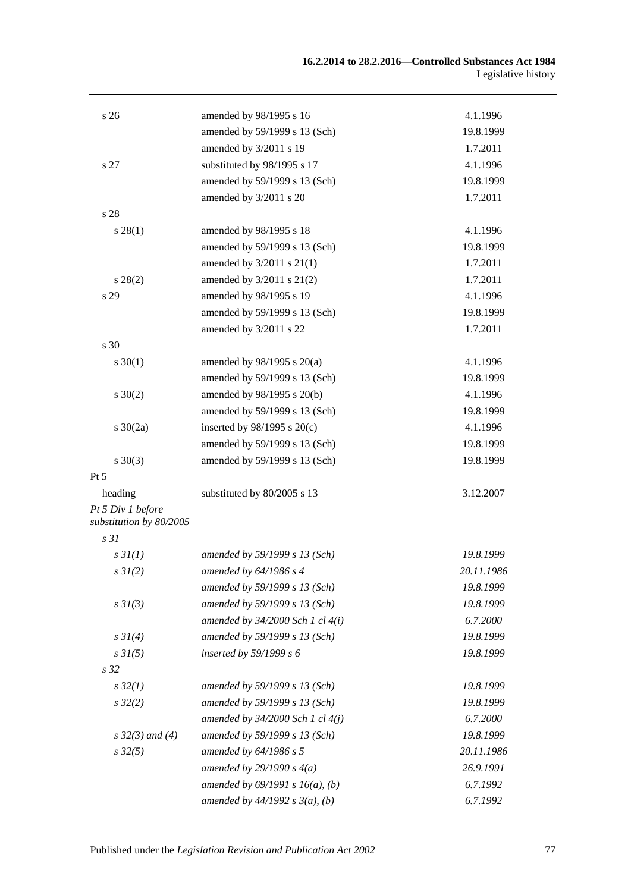| s <sub>26</sub>                              | amended by 98/1995 s 16              | 4.1.1996   |
|----------------------------------------------|--------------------------------------|------------|
|                                              | amended by 59/1999 s 13 (Sch)        | 19.8.1999  |
|                                              | amended by 3/2011 s 19               | 1.7.2011   |
| s 27                                         | substituted by 98/1995 s 17          | 4.1.1996   |
|                                              | amended by 59/1999 s 13 (Sch)        | 19.8.1999  |
|                                              | amended by 3/2011 s 20               | 1.7.2011   |
| s 28                                         |                                      |            |
| $s\,28(1)$                                   | amended by 98/1995 s 18              | 4.1.1996   |
|                                              | amended by 59/1999 s 13 (Sch)        | 19.8.1999  |
|                                              | amended by 3/2011 s 21(1)            | 1.7.2011   |
| $s\,28(2)$                                   | amended by $3/2011$ s $21(2)$        | 1.7.2011   |
| s 29                                         | amended by 98/1995 s 19              | 4.1.1996   |
|                                              | amended by 59/1999 s 13 (Sch)        | 19.8.1999  |
|                                              | amended by 3/2011 s 22               | 1.7.2011   |
| s 30                                         |                                      |            |
| $s \ 30(1)$                                  | amended by $98/1995$ s $20(a)$       | 4.1.1996   |
|                                              | amended by 59/1999 s 13 (Sch)        | 19.8.1999  |
| $s \ 30(2)$                                  | amended by 98/1995 s 20(b)           | 4.1.1996   |
|                                              | amended by 59/1999 s 13 (Sch)        | 19.8.1999  |
| s $30(2a)$                                   | inserted by $98/1995$ s $20(c)$      | 4.1.1996   |
|                                              | amended by 59/1999 s 13 (Sch)        | 19.8.1999  |
| $s \ 30(3)$                                  | amended by 59/1999 s 13 (Sch)        | 19.8.1999  |
| Pt 5                                         |                                      |            |
| heading                                      | substituted by 80/2005 s 13          | 3.12.2007  |
| Pt 5 Div 1 before<br>substitution by 80/2005 |                                      |            |
| s <sub>31</sub>                              |                                      |            |
| s3I(1)                                       | amended by 59/1999 s 13 (Sch)        | 19.8.1999  |
| $s \, 3I(2)$                                 | amended by 64/1986 s 4               | 20.11.1986 |
|                                              | amended by 59/1999 s 13 (Sch)        | 19.8.1999  |
| $s \frac{3I(3)}{3}$                          | amended by 59/1999 s 13 (Sch)        | 19.8.1999  |
|                                              | amended by $34/2000$ Sch 1 cl $4(i)$ | 6.7.2000   |
| $s \, 3I(4)$                                 | amended by 59/1999 s 13 (Sch)        | 19.8.1999  |
| s 3I(5)                                      | inserted by $59/1999 s 6$            | 19.8.1999  |
| s 32                                         |                                      |            |
| $s\,32(1)$                                   | amended by 59/1999 s 13 (Sch)        | 19.8.1999  |
| $s\,32(2)$                                   | amended by 59/1999 s 13 (Sch)        | 19.8.1999  |
|                                              | amended by $34/2000$ Sch 1 cl $4(j)$ | 6.7.2000   |
| $s \, 32(3)$ and (4)                         | amended by 59/1999 s 13 (Sch)        | 19.8.1999  |
| $s\,32(5)$                                   | amended by 64/1986 s 5               | 20.11.1986 |
|                                              | amended by $29/1990 s 4(a)$          | 26.9.1991  |
|                                              | amended by $69/1991 s 16(a)$ , (b)   | 6.7.1992   |
|                                              | amended by $44/1992 s 3(a)$ , (b)    | 6.7.1992   |
|                                              |                                      |            |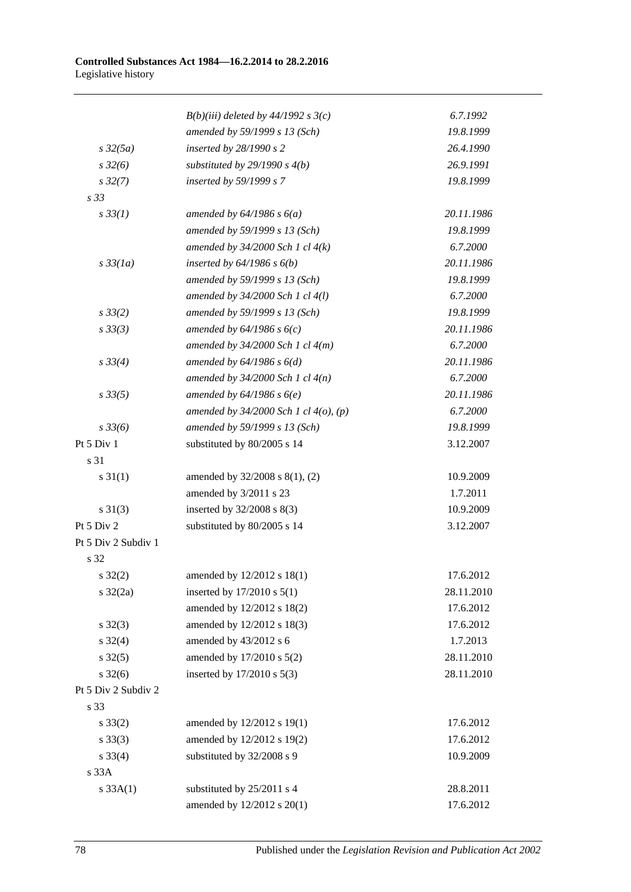|                     | $B(b)(iii)$ deleted by 44/1992 s 3(c)      | 6.7.1992   |
|---------------------|--------------------------------------------|------------|
|                     | amended by 59/1999 s 13 (Sch)              | 19.8.1999  |
| $s\,32(5a)$         | inserted by 28/1990 s 2                    | 26.4.1990  |
| $s\,32(6)$          | substituted by $29/1990 s 4(b)$            | 26.9.1991  |
| $s\,32(7)$          | inserted by 59/1999 s 7                    | 19.8.1999  |
| s 33                |                                            |            |
| $s \, 33(1)$        | amended by $64/1986$ s $6(a)$              | 20.11.1986 |
|                     | amended by 59/1999 s 13 (Sch)              | 19.8.1999  |
|                     | amended by $34/2000$ Sch 1 cl $4(k)$       | 6.7.2000   |
| $s\,33(1a)$         | inserted by $64/1986$ s $6(b)$             | 20.11.1986 |
|                     | amended by 59/1999 s 13 (Sch)              | 19.8.1999  |
|                     | amended by 34/2000 Sch 1 cl 4(l)           | 6.7.2000   |
| $s \frac{33}{2}$    | amended by 59/1999 s 13 (Sch)              | 19.8.1999  |
| $s \, 33(3)$        | amended by $64/1986 s 6(c)$                | 20.11.1986 |
|                     | amended by $34/2000$ Sch 1 cl $4(m)$       | 6.7.2000   |
| $s \, 33(4)$        | amended by $64/1986 s 6(d)$                | 20.11.1986 |
|                     | amended by $34/2000$ Sch 1 cl $4(n)$       | 6.7.2000   |
| $s \, 33(5)$        | amended by $64/1986 s 6(e)$                | 20.11.1986 |
|                     | amended by $34/2000$ Sch 1 cl $4(o)$ , (p) | 6.7.2000   |
| $s \frac{33}{6}$    | amended by 59/1999 s 13 (Sch)              | 19.8.1999  |
| Pt 5 Div 1          | substituted by 80/2005 s 14                | 3.12.2007  |
| s 31                |                                            |            |
| $s \, 31(1)$        | amended by 32/2008 s 8(1), (2)             | 10.9.2009  |
|                     | amended by 3/2011 s 23                     | 1.7.2011   |
| $s \ 31(3)$         | inserted by 32/2008 s 8(3)                 | 10.9.2009  |
| Pt 5 Div 2          | substituted by 80/2005 s 14                | 3.12.2007  |
| Pt 5 Div 2 Subdiv 1 |                                            |            |
| s 32                |                                            |            |
| $s \, 32(2)$        | amended by 12/2012 s 18(1)                 | 17.6.2012  |
| $s \frac{32}{2a}$   | inserted by $17/2010$ s $5(1)$             | 28.11.2010 |
|                     | amended by 12/2012 s 18(2)                 | 17.6.2012  |
| $s \, 32(3)$        | amended by 12/2012 s 18(3)                 | 17.6.2012  |
| $s \, 32(4)$        | amended by 43/2012 s 6                     | 1.7.2013   |
| $s \, 32(5)$        | amended by 17/2010 s 5(2)                  | 28.11.2010 |
| $s \frac{32(6)}{2}$ | inserted by 17/2010 s 5(3)                 | 28.11.2010 |
| Pt 5 Div 2 Subdiv 2 |                                            |            |
| s 33                |                                            |            |
| $s \, 33(2)$        | amended by 12/2012 s 19(1)                 | 17.6.2012  |
| $s \, 33(3)$        | amended by 12/2012 s 19(2)                 | 17.6.2012  |
| $s \, 33(4)$        | substituted by 32/2008 s 9                 | 10.9.2009  |
| s 33A               |                                            |            |
| s 33A(1)            | substituted by 25/2011 s 4                 | 28.8.2011  |
|                     | amended by 12/2012 s 20(1)                 | 17.6.2012  |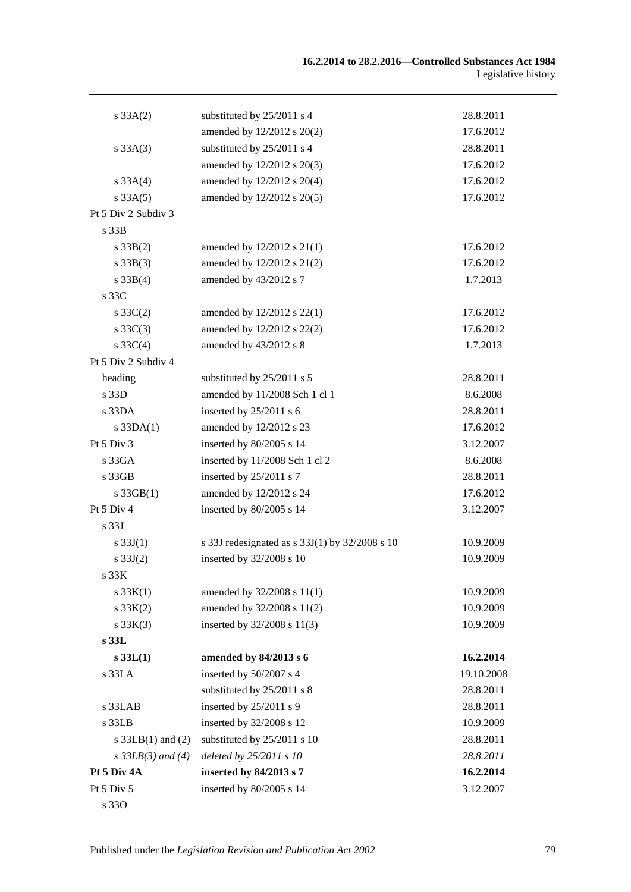| s 33A(2)              | substituted by 25/2011 s 4                     | 28.8.2011  |
|-----------------------|------------------------------------------------|------------|
|                       | amended by $12/2012$ s $20(2)$                 | 17.6.2012  |
| $s \, 33A(3)$         | substituted by 25/2011 s 4                     | 28.8.2011  |
|                       | amended by 12/2012 s 20(3)                     | 17.6.2012  |
| $s \, 33A(4)$         | amended by 12/2012 s 20(4)                     | 17.6.2012  |
| $s \, 33A(5)$         | amended by 12/2012 s 20(5)                     | 17.6.2012  |
| Pt 5 Div 2 Subdiv 3   |                                                |            |
| s <sub>33B</sub>      |                                                |            |
| $s \, 33B(2)$         | amended by $12/2012$ s $21(1)$                 | 17.6.2012  |
| $s \, 33B(3)$         | amended by 12/2012 s 21(2)                     | 17.6.2012  |
| $s \, 33B(4)$         | amended by 43/2012 s 7                         | 1.7.2013   |
| s 33C                 |                                                |            |
| $s \, 33C(2)$         | amended by 12/2012 s 22(1)                     | 17.6.2012  |
| $s \, 33C(3)$         | amended by 12/2012 s 22(2)                     | 17.6.2012  |
| $s \, 33C(4)$         | amended by 43/2012 s 8                         | 1.7.2013   |
| Pt 5 Div 2 Subdiv 4   |                                                |            |
| heading               | substituted by 25/2011 s 5                     | 28.8.2011  |
| s 33D                 | amended by 11/2008 Sch 1 cl 1                  | 8.6.2008   |
| s33DA                 | inserted by 25/2011 s 6                        | 28.8.2011  |
| $s$ 33DA $(1)$        | amended by 12/2012 s 23                        | 17.6.2012  |
| Pt $5$ Div $3$        | inserted by 80/2005 s 14                       | 3.12.2007  |
| s33GA                 | inserted by 11/2008 Sch 1 cl 2                 | 8.6.2008   |
| $s\,33GB$             | inserted by 25/2011 s 7                        | 28.8.2011  |
| $s$ 33GB $(1)$        | amended by 12/2012 s 24                        | 17.6.2012  |
| Pt 5 Div 4            | inserted by 80/2005 s 14                       | 3.12.2007  |
| s <sub>33J</sub>      |                                                |            |
| s $33J(1)$            | s 33J redesignated as s 33J(1) by 32/2008 s 10 | 10.9.2009  |
| $s \, 33J(2)$         | inserted by 32/2008 s 10                       | 10.9.2009  |
| s.33K                 |                                                |            |
| s $33K(1)$            | amended by 32/2008 s 11(1)                     | 10.9.2009  |
| s 33K(2)              | amended by 32/2008 s 11(2)                     | 10.9.2009  |
| s 33K(3)              | inserted by 32/2008 s 11(3)                    | 10.9.2009  |
| s 33L                 |                                                |            |
| s 33L(1)              | amended by 84/2013 s 6                         | 16.2.2014  |
| s 33LA                | inserted by 50/2007 s 4                        | 19.10.2008 |
|                       | substituted by 25/2011 s 8                     | 28.8.2011  |
| s 33LAB               | inserted by 25/2011 s 9                        | 28.8.2011  |
| s 33LB                | inserted by 32/2008 s 12                       | 10.9.2009  |
| s $33LB(1)$ and $(2)$ | substituted by 25/2011 s 10                    | 28.8.2011  |
| $s$ 33LB(3) and (4)   | deleted by 25/2011 s 10                        | 28.8.2011  |
| Pt 5 Div 4A           | inserted by 84/2013 s 7                        | 16.2.2014  |
| Pt 5 Div 5            | inserted by 80/2005 s 14                       | 3.12.2007  |
| s 330                 |                                                |            |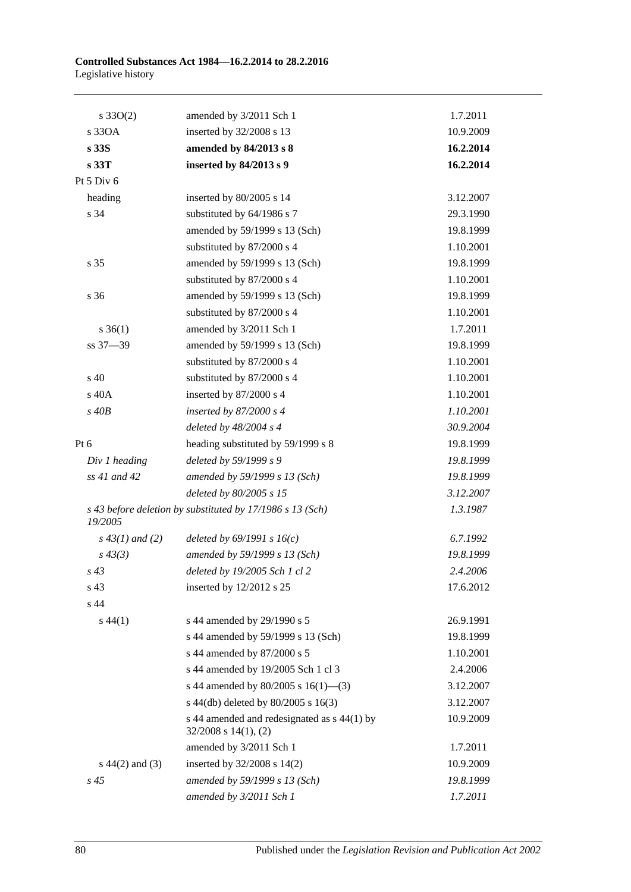| $s \, 33O(2)$      | amended by 3/2011 Sch 1                                                  | 1.7.2011  |
|--------------------|--------------------------------------------------------------------------|-----------|
| s 330A             | inserted by 32/2008 s 13                                                 | 10.9.2009 |
| s 33S              | amended by 84/2013 s 8                                                   | 16.2.2014 |
| s 33T              | inserted by 84/2013 s 9                                                  | 16.2.2014 |
| Pt 5 Div 6         |                                                                          |           |
| heading            | inserted by 80/2005 s 14                                                 | 3.12.2007 |
| s 34               | substituted by 64/1986 s 7                                               | 29.3.1990 |
|                    | amended by 59/1999 s 13 (Sch)                                            | 19.8.1999 |
|                    | substituted by 87/2000 s 4                                               | 1.10.2001 |
| s 35               | amended by 59/1999 s 13 (Sch)                                            | 19.8.1999 |
|                    | substituted by 87/2000 s 4                                               | 1.10.2001 |
| s 36               | amended by 59/1999 s 13 (Sch)                                            | 19.8.1999 |
|                    | substituted by 87/2000 s 4                                               | 1.10.2001 |
| $s \; 36(1)$       | amended by 3/2011 Sch 1                                                  | 1.7.2011  |
| ss 37-39           | amended by 59/1999 s 13 (Sch)                                            | 19.8.1999 |
|                    | substituted by 87/2000 s 4                                               | 1.10.2001 |
| $\rm s$ 40         | substituted by 87/2000 s 4                                               | 1.10.2001 |
| s 40A              | inserted by 87/2000 s 4                                                  | 1.10.2001 |
| $s$ 40 $B$         | inserted by 87/2000 s 4                                                  | 1.10.2001 |
|                    | deleted by 48/2004 s 4                                                   | 30.9.2004 |
| Pt $6$             | heading substituted by 59/1999 s 8                                       | 19.8.1999 |
| Div 1 heading      | deleted by 59/1999 s 9                                                   | 19.8.1999 |
| $ss$ 41 and 42     | amended by 59/1999 s 13 (Sch)                                            | 19.8.1999 |
|                    | deleted by 80/2005 s 15                                                  | 3.12.2007 |
| 19/2005            | s 43 before deletion by substituted by 17/1986 s 13 (Sch)                | 1.3.1987  |
| $s\,43(1)$ and (2) | deleted by $69/1991 s 16(c)$                                             | 6.7.1992  |
| $s\,43(3)$         | amended by 59/1999 s 13 (Sch)                                            | 19.8.1999 |
| $s\,43$            | deleted by 19/2005 Sch 1 cl 2                                            | 2.4.2006  |
| s 43               | inserted by 12/2012 s 25                                                 | 17.6.2012 |
| s 44               |                                                                          |           |
| $s\,44(1)$         | s 44 amended by 29/1990 s 5                                              | 26.9.1991 |
|                    | s 44 amended by 59/1999 s 13 (Sch)                                       | 19.8.1999 |
|                    | s 44 amended by 87/2000 s 5                                              | 1.10.2001 |
|                    | s 44 amended by 19/2005 Sch 1 cl 3                                       | 2.4.2006  |
|                    | s 44 amended by $80/2005$ s $16(1)$ —(3)                                 | 3.12.2007 |
|                    | s 44(db) deleted by 80/2005 s 16(3)                                      | 3.12.2007 |
|                    | s 44 amended and redesignated as s 44(1) by<br>$32/2008$ s $14(1)$ , (2) | 10.9.2009 |
|                    | amended by 3/2011 Sch 1                                                  | 1.7.2011  |
| $s\ 44(2)$ and (3) | inserted by 32/2008 s 14(2)                                              | 10.9.2009 |
| s 45               | amended by 59/1999 s 13 (Sch)                                            | 19.8.1999 |
|                    | amended by 3/2011 Sch 1                                                  | 1.7.2011  |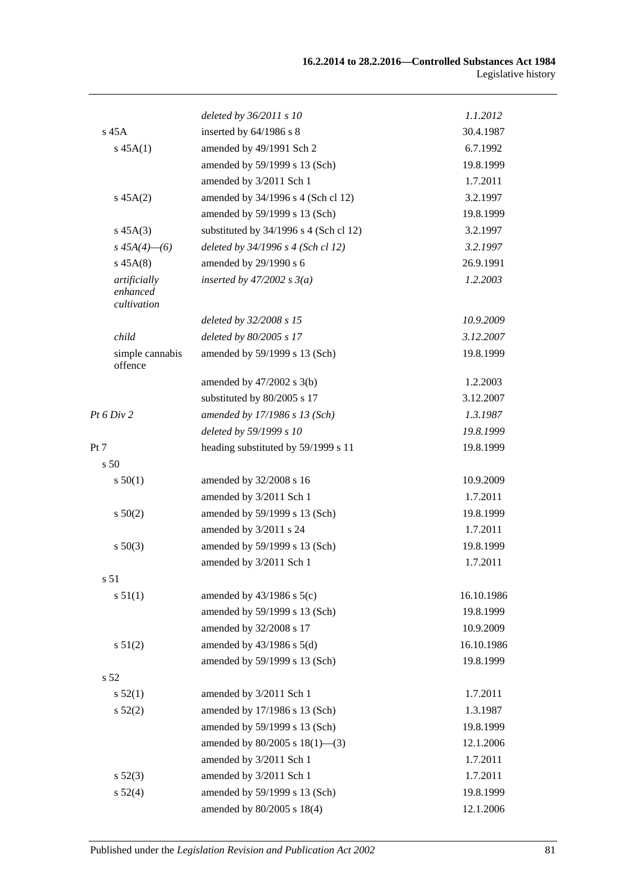|                                         | deleted by 36/2011 s 10                  | 1.1.2012   |
|-----------------------------------------|------------------------------------------|------------|
| $s$ 45 $A$                              | inserted by 64/1986 s 8                  | 30.4.1987  |
| $s\,45A(1)$                             | amended by 49/1991 Sch 2                 | 6.7.1992   |
|                                         | amended by 59/1999 s 13 (Sch)            | 19.8.1999  |
|                                         | amended by 3/2011 Sch 1                  | 1.7.2011   |
| $s\,45A(2)$                             | amended by 34/1996 s 4 (Sch cl 12)       | 3.2.1997   |
|                                         | amended by 59/1999 s 13 (Sch)            | 19.8.1999  |
| $s\,45A(3)$                             | substituted by $34/1996$ s 4 (Sch cl 12) | 3.2.1997   |
| $s\,45A(4)$ - (6)                       | deleted by 34/1996 s 4 (Sch cl 12)       | 3.2.1997   |
| $s\,45A(8)$                             | amended by 29/1990 s 6                   | 26.9.1991  |
| artificially<br>enhanced<br>cultivation | inserted by $47/2002$ s $3(a)$           | 1.2.2003   |
|                                         | deleted by 32/2008 s 15                  | 10.9.2009  |
| child                                   | deleted by 80/2005 s 17                  | 3.12.2007  |
| simple cannabis<br>offence              | amended by 59/1999 s 13 (Sch)            | 19.8.1999  |
|                                         | amended by $47/2002$ s $3(b)$            | 1.2.2003   |
|                                         | substituted by 80/2005 s 17              | 3.12.2007  |
| Pt 6 Div 2                              | amended by 17/1986 s 13 (Sch)            | 1.3.1987   |
|                                         | deleted by 59/1999 s 10                  | 19.8.1999  |
| Pt 7                                    | heading substituted by 59/1999 s 11      | 19.8.1999  |
| s 50                                    |                                          |            |
| s 50(1)                                 | amended by 32/2008 s 16                  | 10.9.2009  |
|                                         | amended by 3/2011 Sch 1                  | 1.7.2011   |
| s 50(2)                                 | amended by 59/1999 s 13 (Sch)            | 19.8.1999  |
|                                         | amended by 3/2011 s 24                   | 1.7.2011   |
| $s\ 50(3)$                              | amended by 59/1999 s 13 (Sch)            | 19.8.1999  |
|                                         | amended by 3/2011 Sch 1                  | 1.7.2011   |
| s 51                                    |                                          |            |
| s 51(1)                                 | amended by $43/1986$ s $5(c)$            | 16.10.1986 |
|                                         | amended by 59/1999 s 13 (Sch)            | 19.8.1999  |
|                                         | amended by 32/2008 s 17                  | 10.9.2009  |
| s 51(2)                                 | amended by $43/1986$ s $5(d)$            | 16.10.1986 |
|                                         | amended by 59/1999 s 13 (Sch)            | 19.8.1999  |
| s <sub>52</sub>                         |                                          |            |
| s 52(1)                                 | amended by 3/2011 Sch 1                  | 1.7.2011   |
| s 52(2)                                 | amended by 17/1986 s 13 (Sch)            | 1.3.1987   |
|                                         | amended by 59/1999 s 13 (Sch)            | 19.8.1999  |
|                                         | amended by 80/2005 s 18(1)-(3)           | 12.1.2006  |
|                                         | amended by 3/2011 Sch 1                  | 1.7.2011   |
| $s\,52(3)$                              | amended by 3/2011 Sch 1                  | 1.7.2011   |
| s 52(4)                                 | amended by 59/1999 s 13 (Sch)            | 19.8.1999  |
|                                         | amended by 80/2005 s 18(4)               | 12.1.2006  |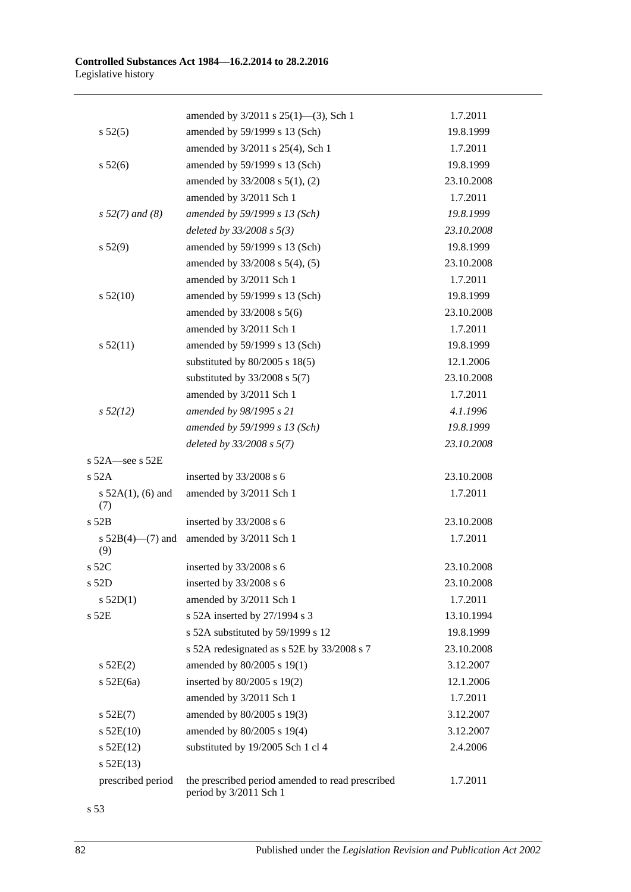|                               | amended by 3/2011 s 25(1)-(3), Sch 1                                       | 1.7.2011   |
|-------------------------------|----------------------------------------------------------------------------|------------|
| s 52(5)                       | amended by 59/1999 s 13 (Sch)                                              | 19.8.1999  |
|                               | amended by 3/2011 s 25(4), Sch 1                                           | 1.7.2011   |
| s 52(6)                       | amended by 59/1999 s 13 (Sch)                                              | 19.8.1999  |
|                               | amended by 33/2008 s 5(1), (2)                                             | 23.10.2008 |
|                               | amended by 3/2011 Sch 1                                                    | 1.7.2011   |
| $s 52(7)$ and (8)             | amended by 59/1999 s 13 (Sch)                                              | 19.8.1999  |
|                               | deleted by $33/2008 s 5(3)$                                                | 23.10.2008 |
| s 52(9)                       | amended by 59/1999 s 13 (Sch)                                              | 19.8.1999  |
|                               | amended by 33/2008 s 5(4), (5)                                             | 23.10.2008 |
|                               | amended by 3/2011 Sch 1                                                    | 1.7.2011   |
| s 52(10)                      | amended by 59/1999 s 13 (Sch)                                              | 19.8.1999  |
|                               | amended by 33/2008 s 5(6)                                                  | 23.10.2008 |
|                               | amended by 3/2011 Sch 1                                                    | 1.7.2011   |
| s 52(11)                      | amended by 59/1999 s 13 (Sch)                                              | 19.8.1999  |
|                               | substituted by $80/2005$ s $18(5)$                                         | 12.1.2006  |
|                               | substituted by $33/2008$ s $5(7)$                                          | 23.10.2008 |
|                               | amended by 3/2011 Sch 1                                                    | 1.7.2011   |
| $s\,52(12)$                   | amended by 98/1995 s 21                                                    | 4.1.1996   |
|                               | amended by 59/1999 s 13 (Sch)                                              | 19.8.1999  |
|                               | deleted by 33/2008 s 5(7)                                                  | 23.10.2008 |
| s 52A-see s 52E               |                                                                            |            |
| $s$ 52A                       | inserted by 33/2008 s 6                                                    | 23.10.2008 |
| s $52A(1)$ , (6) and<br>(7)   | amended by 3/2011 Sch 1                                                    | 1.7.2011   |
| s 52B                         | inserted by 33/2008 s 6                                                    | 23.10.2008 |
| s $52B(4)$ — $(7)$ and<br>(9) | amended by 3/2011 Sch 1                                                    | 1.7.2011   |
| s 52C                         | inserted by 33/2008 s 6                                                    | 23.10.2008 |
| s 52D                         | inserted by 33/2008 s 6                                                    | 23.10.2008 |
| s $52D(1)$                    | amended by 3/2011 Sch 1                                                    | 1.7.2011   |
| s 52E                         | s 52A inserted by 27/1994 s 3                                              | 13.10.1994 |
|                               | s 52A substituted by 59/1999 s 12                                          | 19.8.1999  |
|                               | s 52A redesignated as s 52E by 33/2008 s 7                                 | 23.10.2008 |
| s 52E(2)                      | amended by 80/2005 s 19(1)                                                 | 3.12.2007  |
| $s$ 52E(6a)                   | inserted by 80/2005 s 19(2)                                                | 12.1.2006  |
|                               | amended by 3/2011 Sch 1                                                    | 1.7.2011   |
| $s$ 52E(7)                    | amended by 80/2005 s 19(3)                                                 | 3.12.2007  |
| $s$ 52E(10)                   | amended by 80/2005 s 19(4)                                                 | 3.12.2007  |
| $s$ 52E(12)                   | substituted by 19/2005 Sch 1 cl 4                                          | 2.4.2006   |
| $s$ 52E(13)                   |                                                                            |            |
| prescribed period             | the prescribed period amended to read prescribed<br>period by 3/2011 Sch 1 | 1.7.2011   |

s 53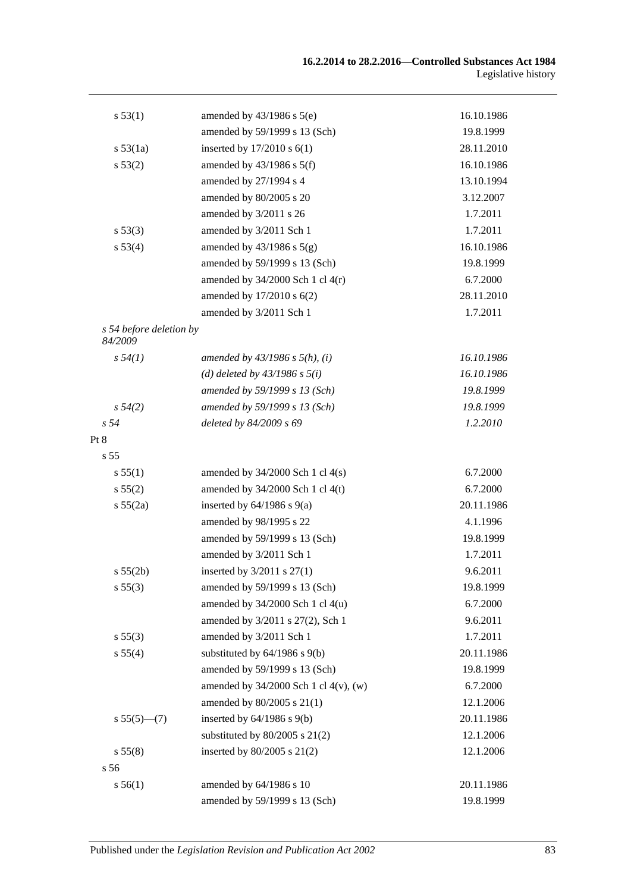| s 53(1)                            | amended by $43/1986$ s $5(e)$         | 16.10.1986 |
|------------------------------------|---------------------------------------|------------|
|                                    | amended by 59/1999 s 13 (Sch)         | 19.8.1999  |
| s 53(1a)                           | inserted by $17/2010$ s $6(1)$        | 28.11.2010 |
| s 53(2)                            | amended by $43/1986$ s $5(f)$         | 16.10.1986 |
|                                    | amended by 27/1994 s 4                | 13.10.1994 |
|                                    | amended by 80/2005 s 20               | 3.12.2007  |
|                                    | amended by 3/2011 s 26                | 1.7.2011   |
| s 53(3)                            | amended by 3/2011 Sch 1               | 1.7.2011   |
| s 53(4)                            | amended by $43/1986$ s $5(g)$         | 16.10.1986 |
|                                    | amended by 59/1999 s 13 (Sch)         | 19.8.1999  |
|                                    | amended by $34/2000$ Sch 1 cl $4(r)$  | 6.7.2000   |
|                                    | amended by 17/2010 s 6(2)             | 28.11.2010 |
|                                    | amended by 3/2011 Sch 1               | 1.7.2011   |
| s 54 before deletion by<br>84/2009 |                                       |            |
| s 54(1)                            | amended by $43/1986$ s $5(h)$ , (i)   | 16.10.1986 |
|                                    | (d) deleted by $43/1986$ s $5(i)$     | 16.10.1986 |
|                                    | amended by 59/1999 s 13 (Sch)         | 19.8.1999  |
| $s\,54(2)$                         | amended by 59/1999 s 13 (Sch)         | 19.8.1999  |
| s <sub>54</sub>                    | deleted by 84/2009 s 69               | 1.2.2010   |
| Pt 8                               |                                       |            |
| s <sub>55</sub>                    |                                       |            |
| s 55(1)                            | amended by $34/2000$ Sch 1 cl $4(s)$  | 6.7.2000   |
| s 55(2)                            | amended by $34/2000$ Sch 1 cl 4(t)    | 6.7.2000   |
| s 55(2a)                           | inserted by $64/1986$ s $9(a)$        | 20.11.1986 |
|                                    | amended by 98/1995 s 22               | 4.1.1996   |
|                                    | amended by 59/1999 s 13 (Sch)         | 19.8.1999  |
|                                    | amended by 3/2011 Sch 1               | 1.7.2011   |
| s 55(2b)                           | inserted by 3/2011 s 27(1)            | 9.6.2011   |
| s 55(3)                            | amended by 59/1999 s 13 (Sch)         | 19.8.1999  |
|                                    | amended by $34/2000$ Sch 1 cl $4(u)$  | 6.7.2000   |
|                                    | amended by 3/2011 s 27(2), Sch 1      | 9.6.2011   |
| s 55(3)                            | amended by 3/2011 Sch 1               | 1.7.2011   |
| s 55(4)                            | substituted by $64/1986$ s $9(b)$     | 20.11.1986 |
|                                    | amended by 59/1999 s 13 (Sch)         | 19.8.1999  |
|                                    | amended by 34/2000 Sch 1 cl 4(v), (w) | 6.7.2000   |
|                                    | amended by 80/2005 s 21(1)            | 12.1.2006  |
| $s 55(5)$ (7)                      | inserted by $64/1986$ s $9(b)$        | 20.11.1986 |
|                                    | substituted by $80/2005$ s $21(2)$    | 12.1.2006  |
| s 55(8)                            | inserted by 80/2005 s 21(2)           | 12.1.2006  |
| s 56                               |                                       |            |
| s 56(1)                            | amended by 64/1986 s 10               | 20.11.1986 |
|                                    | amended by 59/1999 s 13 (Sch)         | 19.8.1999  |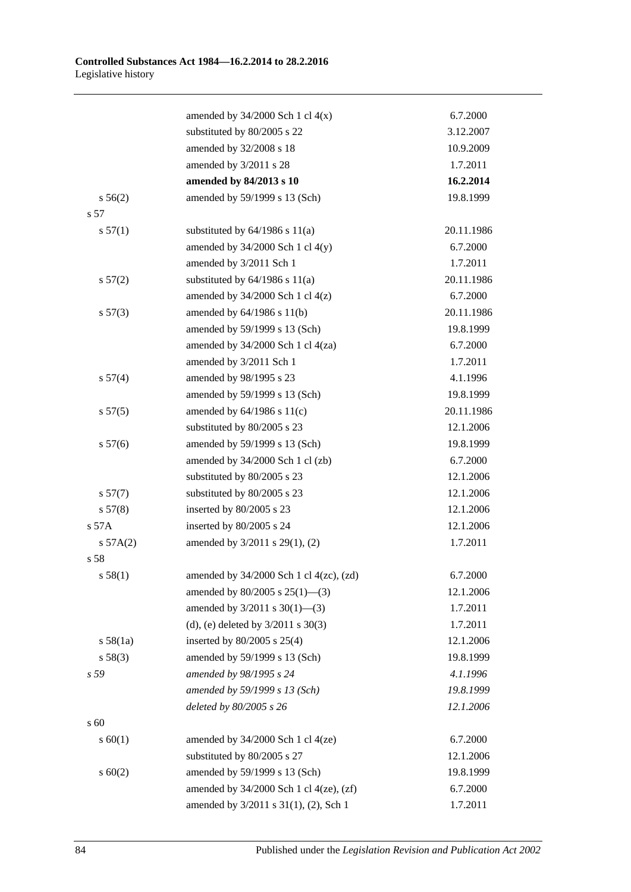|             | amended by $34/2000$ Sch 1 cl $4(x)$           | 6.7.2000   |
|-------------|------------------------------------------------|------------|
|             | substituted by 80/2005 s 22                    | 3.12.2007  |
|             | amended by 32/2008 s 18                        | 10.9.2009  |
|             | amended by 3/2011 s 28                         | 1.7.2011   |
|             | amended by 84/2013 s 10                        | 16.2.2014  |
| s 56(2)     | amended by 59/1999 s 13 (Sch)                  | 19.8.1999  |
| s 57        |                                                |            |
| s 57(1)     | substituted by $64/1986$ s $11(a)$             | 20.11.1986 |
|             | amended by $34/2000$ Sch 1 cl $4(y)$           | 6.7.2000   |
|             | amended by 3/2011 Sch 1                        | 1.7.2011   |
| s 57(2)     | substituted by $64/1986$ s $11(a)$             | 20.11.1986 |
|             | amended by $34/2000$ Sch 1 cl $4(z)$           | 6.7.2000   |
| s 57(3)     | amended by 64/1986 s 11(b)                     | 20.11.1986 |
|             | amended by 59/1999 s 13 (Sch)                  | 19.8.1999  |
|             | amended by $34/2000$ Sch 1 cl $4(za)$          | 6.7.2000   |
|             | amended by 3/2011 Sch 1                        | 1.7.2011   |
| s 57(4)     | amended by 98/1995 s 23                        | 4.1.1996   |
|             | amended by 59/1999 s 13 (Sch)                  | 19.8.1999  |
| s 57(5)     | amended by $64/1986$ s $11(c)$                 | 20.11.1986 |
|             | substituted by 80/2005 s 23                    | 12.1.2006  |
| s 57(6)     | amended by 59/1999 s 13 (Sch)                  | 19.8.1999  |
|             | amended by 34/2000 Sch 1 cl (zb)               | 6.7.2000   |
|             | substituted by 80/2005 s 23                    | 12.1.2006  |
| s 57(7)     | substituted by 80/2005 s 23                    | 12.1.2006  |
| s 57(8)     | inserted by 80/2005 s 23                       | 12.1.2006  |
| s 57A       | inserted by 80/2005 s 24                       | 12.1.2006  |
| s 57A(2)    | amended by 3/2011 s 29(1), (2)                 | 1.7.2011   |
| s 58        |                                                |            |
| s 58(1)     | amended by 34/2000 Sch 1 cl 4(zc), (zd)        | 6.7.2000   |
|             | amended by $80/2005$ s $25(1)$ —(3)            | 12.1.2006  |
|             | amended by $3/2011$ s $30(1)$ —(3)             | 1.7.2011   |
|             | (d), (e) deleted by $3/2011$ s $30(3)$         | 1.7.2011   |
| s 58(1a)    | inserted by 80/2005 s 25(4)                    | 12.1.2006  |
| s 58(3)     | amended by 59/1999 s 13 (Sch)                  | 19.8.1999  |
| s 59        | amended by 98/1995 s 24                        | 4.1.1996   |
|             | amended by 59/1999 s 13 (Sch)                  | 19.8.1999  |
|             | deleted by 80/2005 s 26                        | 12.1.2006  |
| s 60        |                                                |            |
| s 60(1)     | amended by $34/2000$ Sch 1 cl $4(ze)$          | 6.7.2000   |
|             | substituted by 80/2005 s 27                    | 12.1.2006  |
| $s \ 60(2)$ | amended by 59/1999 s 13 (Sch)                  | 19.8.1999  |
|             | amended by $34/2000$ Sch 1 cl $4(ze)$ , $(zf)$ | 6.7.2000   |
|             | amended by 3/2011 s 31(1), (2), Sch 1          | 1.7.2011   |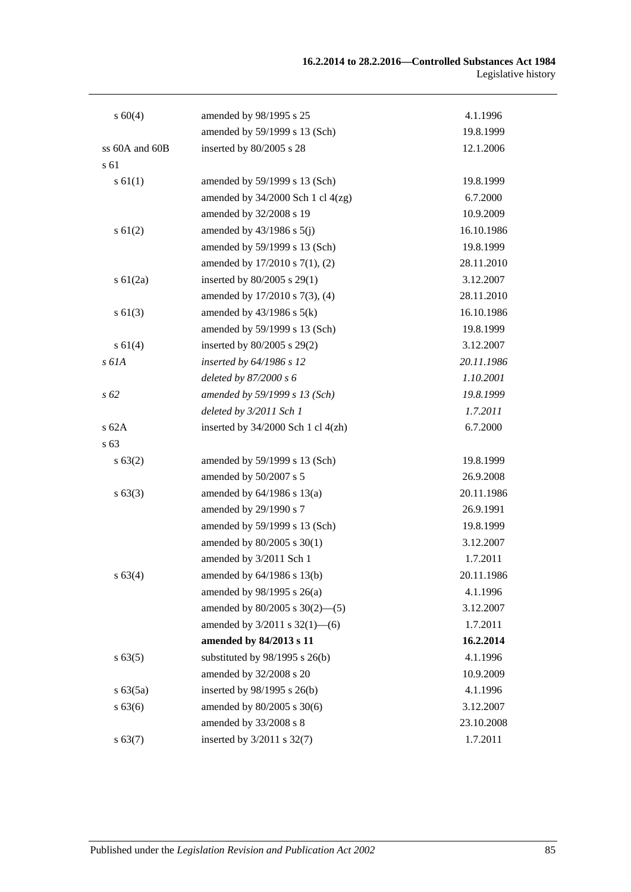| $s\ 60(4)$     | amended by 98/1995 s 25               | 4.1.1996   |
|----------------|---------------------------------------|------------|
|                | amended by 59/1999 s 13 (Sch)         | 19.8.1999  |
| ss 60A and 60B | inserted by 80/2005 s 28              | 12.1.2006  |
| s 61           |                                       |            |
| $s \, 61(1)$   | amended by 59/1999 s 13 (Sch)         | 19.8.1999  |
|                | amended by $34/2000$ Sch 1 cl $4(zg)$ | 6.7.2000   |
|                | amended by 32/2008 s 19               | 10.9.2009  |
| $s \, 61(2)$   | amended by $43/1986$ s $5(j)$         | 16.10.1986 |
|                | amended by 59/1999 s 13 (Sch)         | 19.8.1999  |
|                | amended by 17/2010 s 7(1), (2)        | 28.11.2010 |
| $s \ 61(2a)$   | inserted by 80/2005 s 29(1)           | 3.12.2007  |
|                | amended by 17/2010 s 7(3), (4)        | 28.11.2010 |
| $s \, 61(3)$   | amended by $43/1986$ s $5(k)$         | 16.10.1986 |
|                | amended by 59/1999 s 13 (Sch)         | 19.8.1999  |
| s 61(4)        | inserted by 80/2005 s 29(2)           | 3.12.2007  |
| s 61A          | inserted by 64/1986 s 12              | 20.11.1986 |
|                | deleted by $87/2000 s 6$              | 1.10.2001  |
| $s\,62$        | amended by 59/1999 s 13 (Sch)         | 19.8.1999  |
|                | deleted by 3/2011 Sch 1               | 1.7.2011   |
| s62A           | inserted by 34/2000 Sch 1 cl 4(zh)    | 6.7.2000   |
| s 63           |                                       |            |
| s 63(2)        | amended by 59/1999 s 13 (Sch)         | 19.8.1999  |
|                | amended by 50/2007 s 5                | 26.9.2008  |
| s 63(3)        | amended by $64/1986$ s $13(a)$        | 20.11.1986 |
|                | amended by 29/1990 s 7                | 26.9.1991  |
|                | amended by 59/1999 s 13 (Sch)         | 19.8.1999  |
|                | amended by 80/2005 s 30(1)            | 3.12.2007  |
|                | amended by 3/2011 Sch 1               | 1.7.2011   |
| $s\,63(4)$     | amended by 64/1986 s 13(b)            | 20.11.1986 |
|                | amended by 98/1995 s 26(a)            | 4.1.1996   |
|                | amended by $80/2005$ s $30(2)$ —(5)   | 3.12.2007  |
|                | amended by 3/2011 s 32(1)-6)          | 1.7.2011   |
|                | amended by 84/2013 s 11               | 16.2.2014  |
| s 63(5)        | substituted by $98/1995$ s $26(b)$    | 4.1.1996   |
|                | amended by 32/2008 s 20               | 10.9.2009  |
| s 63(5a)       | inserted by 98/1995 s 26(b)           | 4.1.1996   |
| s 63(6)        | amended by 80/2005 s 30(6)            | 3.12.2007  |
|                | amended by 33/2008 s 8                | 23.10.2008 |
| s 63(7)        | inserted by 3/2011 s 32(7)            | 1.7.2011   |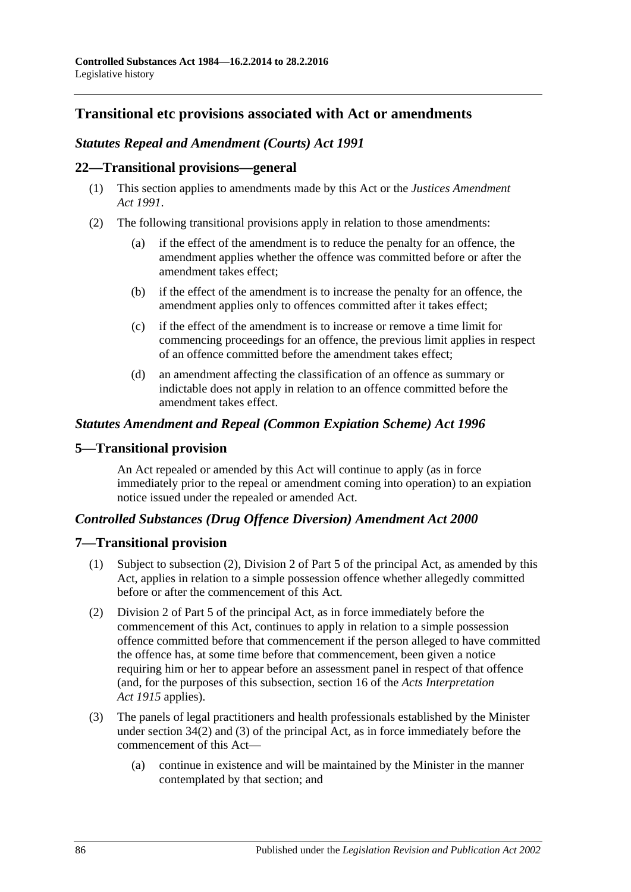# **Transitional etc provisions associated with Act or amendments**

# *Statutes Repeal and Amendment (Courts) Act 1991*

### **22—Transitional provisions—general**

- (1) This section applies to amendments made by this Act or the *[Justices Amendment](http://www.legislation.sa.gov.au/index.aspx?action=legref&type=act&legtitle=Justices%20Amendment%20Act%201991)  Act [1991](http://www.legislation.sa.gov.au/index.aspx?action=legref&type=act&legtitle=Justices%20Amendment%20Act%201991)*.
- (2) The following transitional provisions apply in relation to those amendments:
	- (a) if the effect of the amendment is to reduce the penalty for an offence, the amendment applies whether the offence was committed before or after the amendment takes effect;
	- (b) if the effect of the amendment is to increase the penalty for an offence, the amendment applies only to offences committed after it takes effect;
	- (c) if the effect of the amendment is to increase or remove a time limit for commencing proceedings for an offence, the previous limit applies in respect of an offence committed before the amendment takes effect;
	- (d) an amendment affecting the classification of an offence as summary or indictable does not apply in relation to an offence committed before the amendment takes effect.

## *Statutes Amendment and Repeal (Common Expiation Scheme) Act 1996*

# **5—Transitional provision**

An Act repealed or amended by this Act will continue to apply (as in force immediately prior to the repeal or amendment coming into operation) to an expiation notice issued under the repealed or amended Act.

# *Controlled Substances (Drug Offence Diversion) Amendment Act 2000*

### **7—Transitional provision**

- (1) Subject to subsection (2), Division 2 of Part 5 of the principal Act, as amended by this Act, applies in relation to a simple possession offence whether allegedly committed before or after the commencement of this Act.
- (2) Division 2 of Part 5 of the principal Act, as in force immediately before the commencement of this Act, continues to apply in relation to a simple possession offence committed before that commencement if the person alleged to have committed the offence has, at some time before that commencement, been given a notice requiring him or her to appear before an assessment panel in respect of that offence (and, for the purposes of this subsection, section 16 of the *[Acts Interpretation](http://www.legislation.sa.gov.au/index.aspx?action=legref&type=act&legtitle=Acts%20Interpretation%20Act%201915)  Act [1915](http://www.legislation.sa.gov.au/index.aspx?action=legref&type=act&legtitle=Acts%20Interpretation%20Act%201915)* applies).
- (3) The panels of legal practitioners and health professionals established by the Minister under section 34(2) and (3) of the principal Act, as in force immediately before the commencement of this Act—
	- (a) continue in existence and will be maintained by the Minister in the manner contemplated by that section; and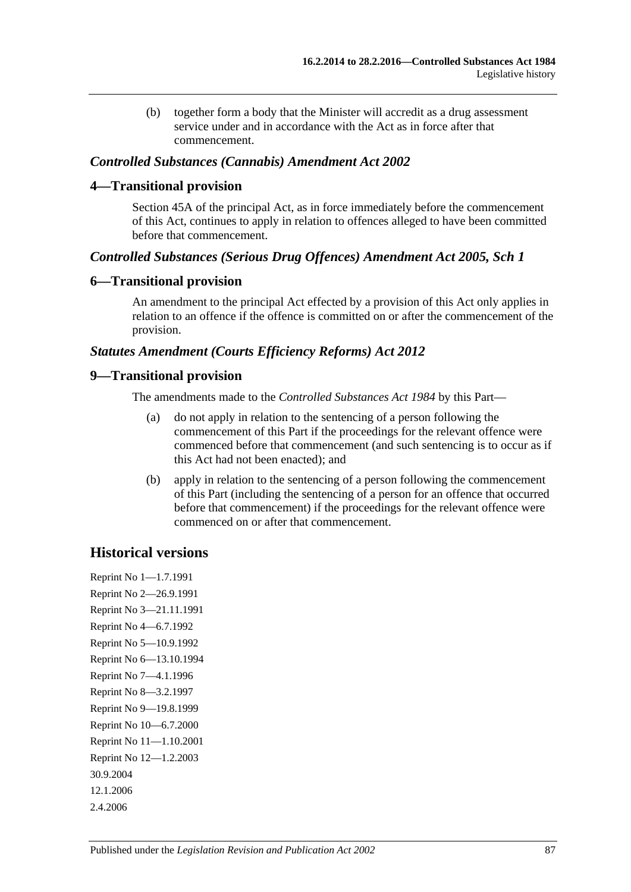(b) together form a body that the Minister will accredit as a drug assessment service under and in accordance with the Act as in force after that commencement.

#### *Controlled Substances (Cannabis) Amendment Act 2002*

#### **4—Transitional provision**

Section 45A of the principal Act, as in force immediately before the commencement of this Act, continues to apply in relation to offences alleged to have been committed before that commencement.

### *Controlled Substances (Serious Drug Offences) Amendment Act 2005, Sch 1*

### **6—Transitional provision**

An amendment to the principal Act effected by a provision of this Act only applies in relation to an offence if the offence is committed on or after the commencement of the provision.

### *Statutes Amendment (Courts Efficiency Reforms) Act 2012*

### **9—Transitional provision**

The amendments made to the *[Controlled Substances Act](http://www.legislation.sa.gov.au/index.aspx?action=legref&type=act&legtitle=Controlled%20Substances%20Act%201984) 1984* by this Part—

- (a) do not apply in relation to the sentencing of a person following the commencement of this Part if the proceedings for the relevant offence were commenced before that commencement (and such sentencing is to occur as if this Act had not been enacted); and
- (b) apply in relation to the sentencing of a person following the commencement of this Part (including the sentencing of a person for an offence that occurred before that commencement) if the proceedings for the relevant offence were commenced on or after that commencement.

# **Historical versions**

Reprint No 1—1.7.1991 Reprint No 2—26.9.1991 Reprint No 3—21.11.1991 Reprint No 4—6.7.1992 Reprint No 5—10.9.1992 Reprint No 6—13.10.1994 Reprint No 7—4.1.1996 Reprint No 8—3.2.1997 Reprint No 9—19.8.1999 Reprint No 10—6.7.2000 Reprint No 11—1.10.2001 Reprint No 12—1.2.2003 30.9.2004 12.1.2006 2.4.2006